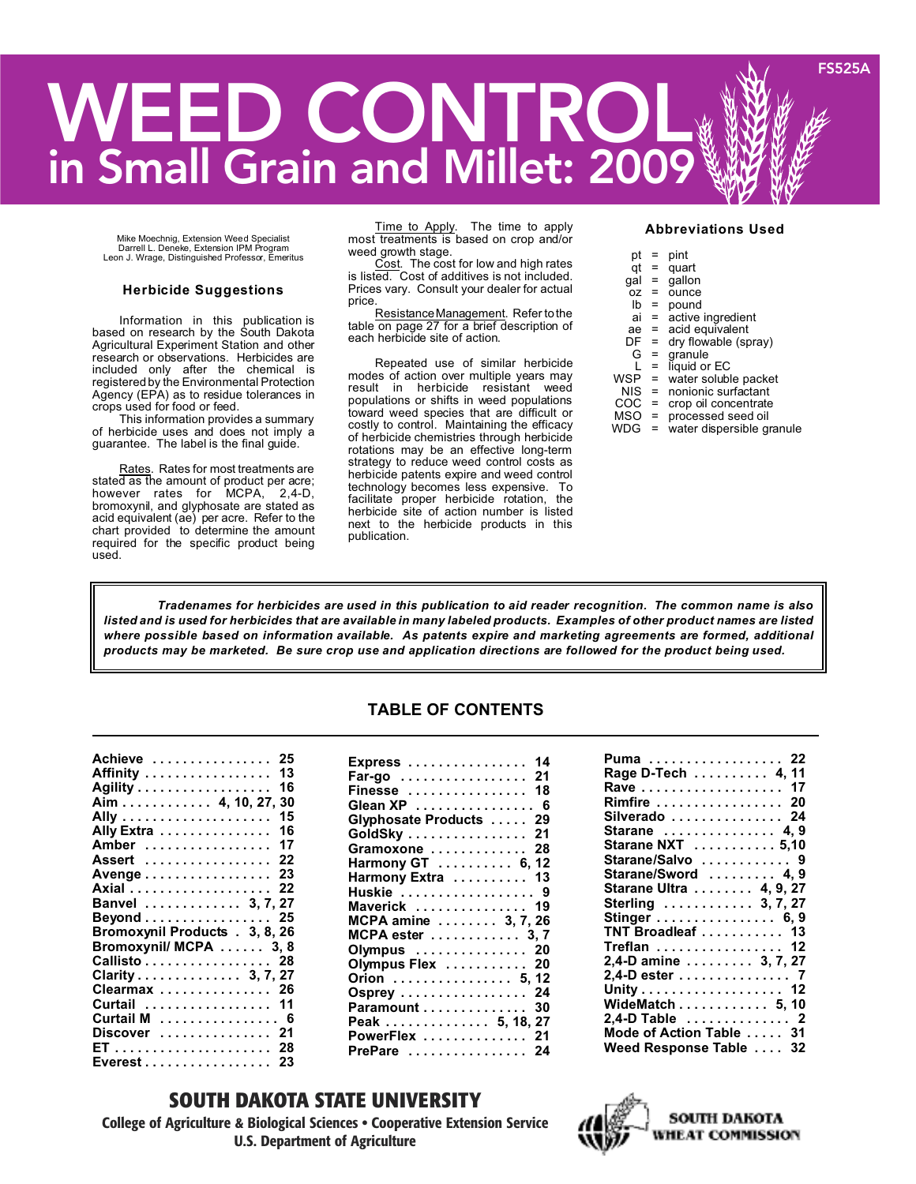# **WEED CONTROL in Small Grain and Millet: 2009 FS525A**

Mike Moechnig, Extension Weed Specialist Darrell L. Deneke, Extension IPM Program Leon J. Wrage, Distinguished Professor, Emeritus

#### **Herbicide Suggestions**

Information in this publication is based on research by the South Dakota Agricultural Experiment Station and other research or observations. Herbicides are included only after the chemical is registered by the Environmental Protection Agency (EPA) as to residue tolerances in crops used for food or feed.

This information provides a summary of herbicide uses and does not imply a guarantee. The label is the final guide.

Rates. Rates for most treatments are stated as the amount of product per acre; however rates for MCPA, 2,4-D, bromoxynil, and glyphosate are stated as acid equivalent (ae) per acre. Refer to the chart provided to determine the amount required for the specific product being used.

Time to Apply. The time to apply most treatments is based on crop and/or weed growth stage.

Cost. The cost for low and high rates is listed. Cost of additives is not included. Prices vary. Consult your dealer for actual price.

ResistanceManagement. Refer tothe table on page 27 for a brief description of each herbicide site of action.

Repeated use of similar herbicide modes of action over multiple years may result in herbicide resistant weed populations or shifts in weed populations toward weed species that are difficult or costly to control. Maintaining the efficacy of herbicide chemistries through herbicide rotations may be an effective long-term strategy to reduce weed control costs as herbicide patents expire and weed control technology becomes less expensive. To facilitate proper herbicide rotation, the herbicide site of action number is listed next to the herbicide products in this publication.

#### **Abbreviations Used**

| pt  | =   | pint                      |
|-----|-----|---------------------------|
| qt  | $=$ | quart                     |
| gal | $=$ | qallon                    |
| 0Z  | =   | ounce                     |
| lb  | $=$ | pound                     |
| ai  | $=$ | active ingredient         |
| ae  | $=$ | acid equivalent           |
| DF  | $=$ | dry flowable (spray)      |
| G   | $=$ | granule                   |
|     | $=$ | liquid or EC              |
| WSP | $=$ | water soluble packet      |
| NIS | $=$ | nonionic surfactant       |
| COC | $=$ | crop oil concentrate      |
| MSO | $=$ | processed seed oil        |
| WDG | Ξ   | water dispersible granule |

*Tradenames for herbicides are used in this publication to aid reader recognition. The common name is also* listed and is used for herbicides that are available in many labeled products. Examples of other product names are listed *where possible based on information available. As patents expire and marketing agreements are formed, additional* products may be marketed. Be sure crop use and application directions are followed for the product being used.

### **TABLE OF CONTENTS**

**Express . . . . . . . . . . . . . . . . 14**

| Achieve<br>25                  |
|--------------------------------|
| Affinity  13                   |
| 16<br>Agility                  |
| Aim 4, 10, 27, 30              |
| 15                             |
| Ally Extra<br>16               |
| 17<br>Amber                    |
| 22<br>Assert                   |
| Avenge 23                      |
| Axial 22                       |
| Banvel  3, 7, 27               |
| Beyond 25                      |
| Bromoxynil Products . 3, 8, 26 |
| Bromoxynil/ MCPA 3, 8          |
| Callisto 28                    |
| Clarity 3, 7, 27               |
| Clearmax  26                   |
| Curtail  11                    |
| Curtail M  6                   |
| Discover  21                   |
|                                |
| Everest 23                     |

| EXPICSS  14             |
|-------------------------|
| Far-go  21              |
| Finesse  18             |
| Glean XP  6             |
| Glyphosate Products  29 |
| GoldSky 21              |
| Gramoxone  28           |
| Harmony GT  6, 12       |
| Harmony Extra  13       |
| Huskie  9               |
| Maverick  19            |
| MCPA amine  3, 7, 26    |
| MCPA ester  3,7         |
| Olympus  20             |
| Olympus Flex  20        |
| Orion  5, 12            |
| Osprey  24              |
| Paramount 30            |
| Peak 5, 18, 27          |
| PowerFlex  21           |
| PrePare  24             |
|                         |

### **SOUTH DAKOTA STATE UNIVERSITY**

**College of Agriculture & Biological Sciences • Cooperative Extension Service U.S. Department of Agriculture**

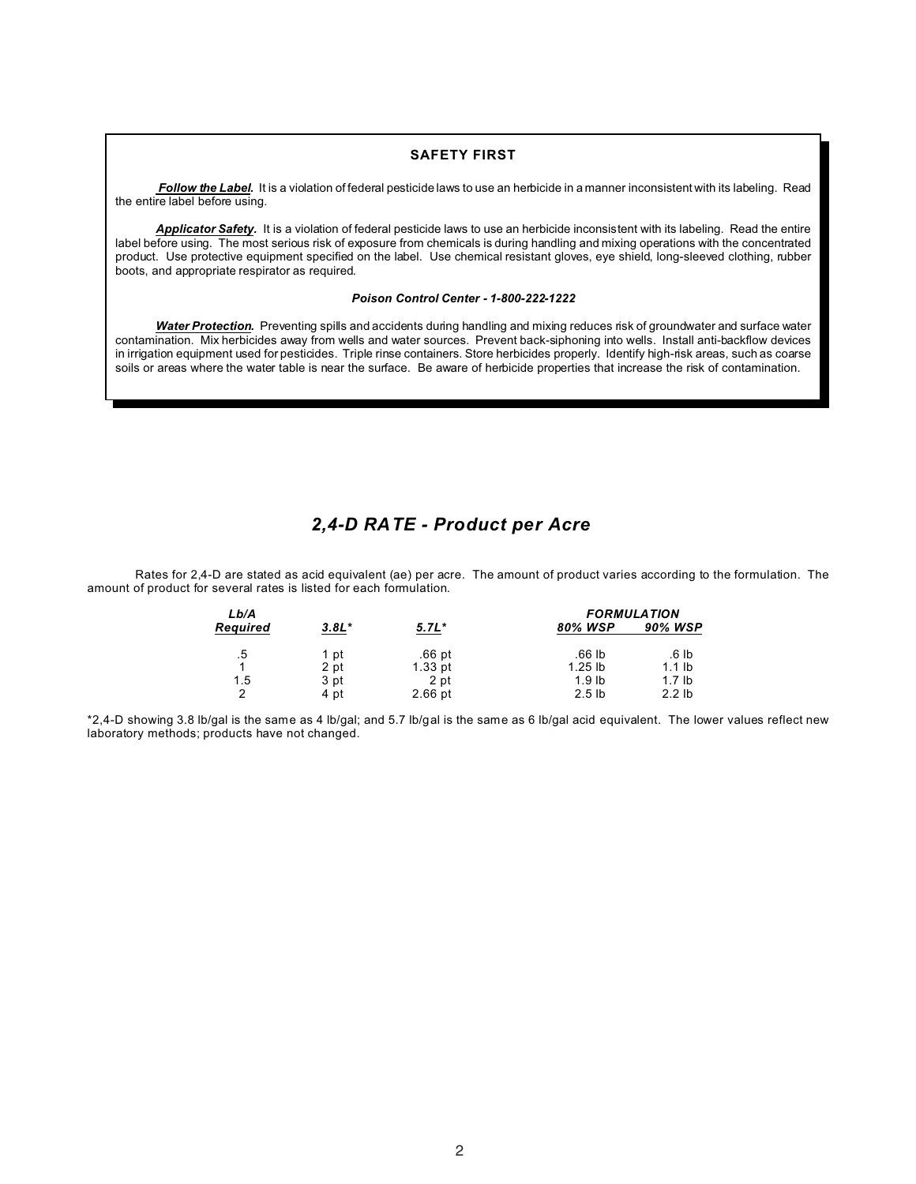### **SAFETY FIRST**

*Follow the Label.* It is a violation of federal pesticide laws to use an herbicide in a manner inconsistent with its labeling. Read the entire label before using.

*Applicator Safety.* It is a violation of federal pesticide laws to use an herbicide inconsistent with its labeling. Read the entire label before using. The most serious risk of exposure from chemicals is during handling and mixing operations with the concentrated product. Use protective equipment specified on the label. Use chemical resistant gloves, eye shield, long-sleeved clothing, rubber boots, and appropriate respirator as required.

#### *Poison Control Center - 1-800-222-1222*

*Water Protection.* Preventing spills and accidents during handling and mixing reduces risk of groundwater and surface water contamination. Mix herbicides away from wells and water sources. Prevent back-siphoning into wells. Install anti-backflow devices in irrigation equipment used for pesticides. Triple rinse containers. Store herbicides properly. Identify high-risk areas, such as coarse soils or areas where the water table is near the surface. Be aware of herbicide properties that increase the risk of contamination.

### *2,4-D RATE - Product per Acre*

Rates for 2,4-D are stated as acid equivalent (ae) per acre. The amount of product varies according to the formulation. The amount of product for several rates is listed for each formulation.

| Lb/A     |         |           |                   | <b>FORMULATION</b> |
|----------|---------|-----------|-------------------|--------------------|
| Required | $3.8L*$ | $5.7L*$   | 80% WSP           | 90% WSP            |
| .5       | 1 pt    | .66 pt    | .66 lb            | .6 lb              |
|          | 2 pt    | $1.33$ pt | $1.25$ lb         | $1.1$ lb           |
| 1.5      | 3 pt    | 2 pt      | 1.9 <sub>lb</sub> | 1.7 <sub>lb</sub>  |
| ົ        | 4 pt    | $2.66$ pt | 2.5 <sub>lb</sub> | $2.2$ lb           |

\*2,4-D showing 3.8 lb/gal is the same as 4 lb/gal; and 5.7 lb/gal is the same as 6 lb/gal acid equivalent. The lower values reflect new laboratory methods; products have not changed.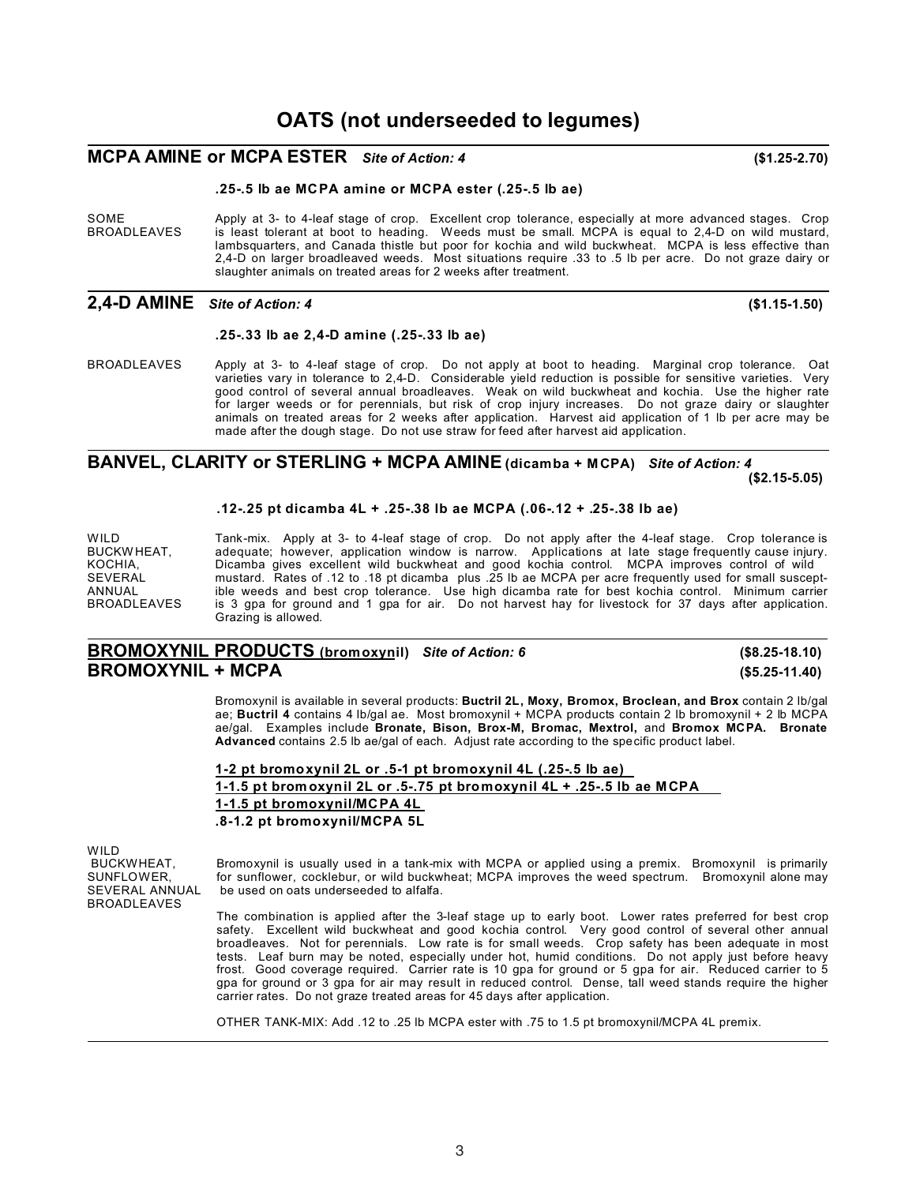## **MCPA AMINE or MCPA ESTER** *Site of Action: 4* **(\$1.25-2.70)**

### **.25-.5 lb ae MCPA amine or MCPA ester (.25-.5 lb ae)**

SOME Apply at 3- to 4-leaf stage of crop. Excellent crop tolerance, especially at more advanced stages. Crop<br>BROADLEAVES is least tolerant at boot to heading. Weeds must be small. MCPA is equal to 2,4-D on wild mustard, is least tolerant at boot to heading. Weeds must be small. MCPA is equal to 2,4-D on wild mustard, lambsquarters, and Canada thistle but poor for kochia and wild buckwheat. MCPA is less effective than 2,4-D on larger broadleaved weeds. Most situations require .33 to .5 lb per acre. Do not graze dairy or slaughter animals on treated areas for 2 weeks after treatment.

### **2,4-D AMINE** *Site of Action: 4* **(\$1.15-1.50)**

### **.25-.33 lb ae 2,4-D amine (.25-.33 lb ae)**

BROADLEAVES Apply at 3- to 4-leaf stage of crop. Do not apply at boot to heading. Marginal crop tolerance. Oat varieties vary in tolerance to 2,4-D. Considerable yield reduction is possible for sensitive varieties. Very good control of several annual broadleaves. Weak on wild buckwheat and kochia. Use the higher rate for larger weeds or for perennials, but risk of crop injury increases. Do not graze dairy or slaughter animals on treated areas for 2 weeks after application. Harvest aid application of 1 lb per acre may be made after the dough stage. Do not use straw for feed after harvest aid application.

#### **BANVEL, CLARITY or STERLING + MCPA AMINE(dicamba + M CPA)** *Site of Action: 4* **(\$2.15-5.05)**

### **.12-.25 pt dicamba 4L + .25-.38 lb ae MCPA (.06-.12 + .25-.38 lb ae)**

WILD Tank-mix. Apply at 3- to 4-leaf stage of crop. Do not apply after the 4-leaf stage. Crop tolerance is<br>BUCKWHEAT, adequate; however, application window is narrow. Applications at late stage frequently cause injury. BUCKW HEAT, adequate; however, application window is narrow. Applications at late stage frequently cause injury.<br>KOCHIA, Colomba gives excellent wild buckwheat and good kochia control. MCPA improves control of wild KOCHIA, Dicamba gives excellent wild buckwheat and good kochia control. MCPA improves control of wild SEVERAL mustard. Rates of .12 to .18 pt dicamba plus .25 lb ae MCPA per acre frequently used for small suscept-ANNUAL ible weeds and best crop tolerance. Use high dicamba rate for best kochia control. Minimum carrier<br>BROADLEAVES is 3 qpa for ground and 1 qpa for air. Do not harvest hay for livestock for 37 days after application. is 3 gpa for ground and 1 gpa for air. Do not harvest hay for livestock for 37 days after application. Grazing is allowed.

### **BROMOXYNIL PRODUCTS (bromoxynil)** *Site of Action: 6* **(\$8.25-18.10) BROMOXYNIL + MCPA (\$5.25-11.40)**

Bromoxynil is available in several products: **Buctril 2L, Moxy, Bromox, Broclean, and Brox** contain 2 lb/gal ae; **Buctril 4** contains 4 lb/gal ae. Most bromoxynil + MCPA products contain 2 lb bromoxynil + 2 lb MCPA ae/gal. Examples include **Bronate, Bison, Brox-M, Bromac, Mextrol,** and **Bromox MCPA. Bronate Advanced** contains 2.5 lb ae/gal of each. Adjust rate according to the specific product label.

| 1-2 pt bromoxynil 2L or $.5-1$ pt bromoxynil 4L $(.25-.5$ lb ae)        |  |
|-------------------------------------------------------------------------|--|
| 1-1.5 pt bromoxynil 2L or .5-.75 pt bromoxynil 4L $+$ .25-.5 lb ae MCPA |  |
| 1-1.5 pt bromoxynil/MCPA 4L                                             |  |
| .8-1.2 pt bromoxynil/MCPA 5L                                            |  |

WILD<br>BUCKWHEAT, BROADLEAVES

BUCKWHEAT, Bromoxynil is usually used in a tank-mix with MCPA or applied using a premix. Bromoxynil is primarily<br>SUNFLOWER. for sunflower, cocklebur, or wild buckwheat: MCPA improves the weed spectrum. Bromoxynil alone may SUNFLOWER, for sunflower, cocklebur, or wild buckwheat; MCPA improves the weed spectrum. Bromoxynil alone may<br>SEVERAL ANNUAL be used on oats underseeded to alfalfa. be used on oats underseeded to alfalfa.

> The combination is applied after the 3-leaf stage up to early boot. Lower rates preferred for best crop safety. Excellent wild buckwheat and good kochia control. Very good control of several other annual broadleaves. Not for perennials. Low rate is for small weeds. Crop safety has been adequate in most tests. Leaf burn may be noted, especially under hot, humid conditions. Do not apply just before heavy frost. Good coverage required. Carrier rate is 10 gpa for ground or 5 gpa for air. Reduced carrier to 5 gpa for ground or 3 gpa for air may result in reduced control. Dense, tall weed stands require the higher carrier rates. Do not graze treated areas for 45 days after application.

OTHER TANK-MIX: Add .12 to .25 lb MCPA ester with .75 to 1.5 pt bromoxynil/MCPA 4L premix.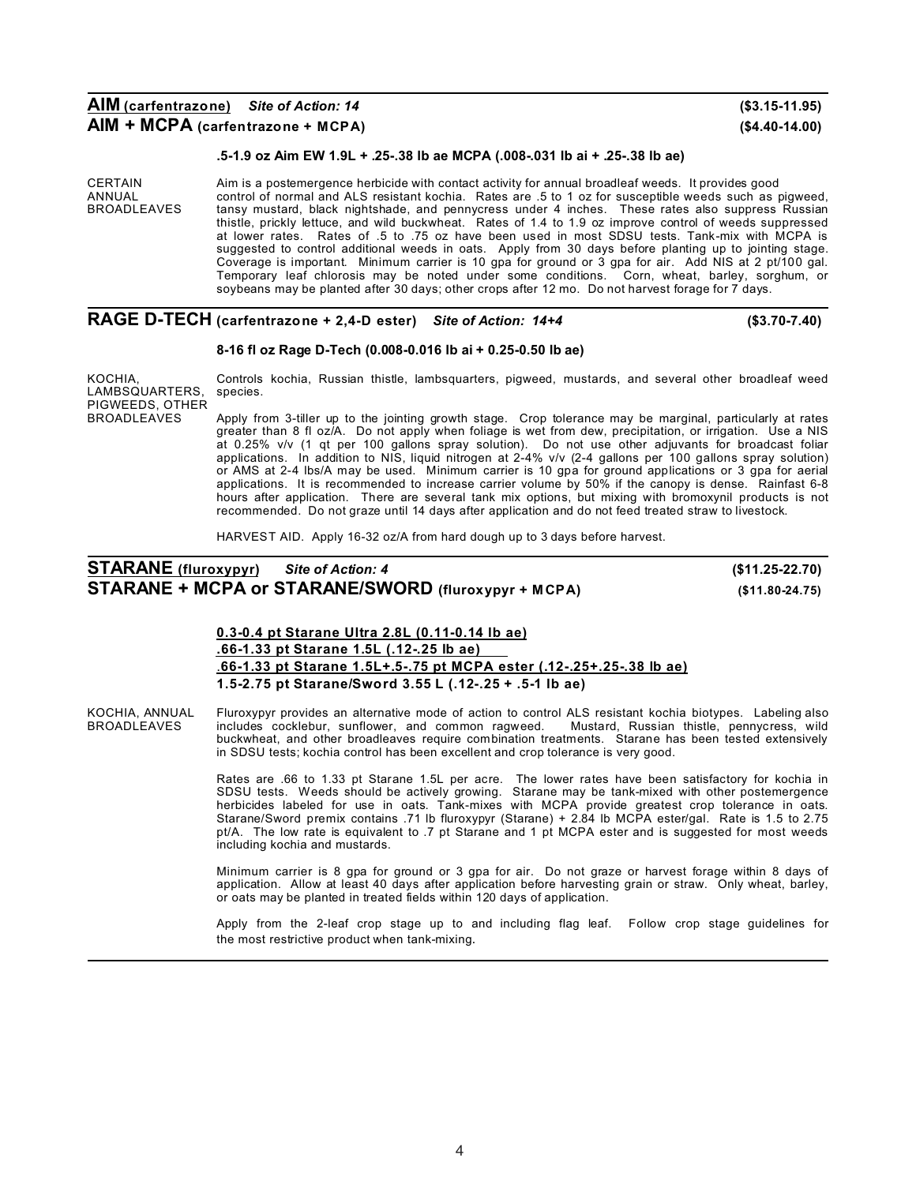### **.5-1.9 oz Aim EW 1.9L + .25-.38 lb ae MCPA (.008-.031 lb ai + .25-.38 lb ae)**

CERTAIN Aim is a postemergence herbicide with contact activity for annual broadleaf weeds. It provides good<br>ANNUAL control of normal and ALS resistant kochia. Rates are .5 to 1 oz for susceptible weeds such as publican ANNUAL control of normal and ALS resistant kochia. Rates are .5 to 1 oz for susceptible weeds such as pigweed,<br>BROADLEAVES tansy mustard, black nightshade, and pennycress under 4 inches. These rates also suppress Russian BROADLEAVES tansy mustard, black nightshade, and pennycress under 4 inches. These rates also suppress Russian thistle, prickly lettuce, and wild buckwheat. Rates of 1.4 to 1.9 oz improve control of weeds suppressed at lower rates. Rates of .5 to .75 oz have been used in most SDSU tests. Tank-mix with MCPA is suggested to control additional weeds in oats. Apply from 30 days before planting up to jointing stage. Coverage is important. Minimum carrier is 10 gpa for ground or 3 gpa for air. Add NIS at 2 pt/100 gal. Temporary leaf chlorosis may be noted under some conditions. Corn, wheat, barley, sorghum, or soybeans may be planted after 30 days; other crops after 12 mo. Do not harvest forage for 7 days.

### **RAGE D-TECH (carfentrazone + 2,4-D ester)** *Site of Action: 14+4* **(\$3.70-7.40)**

#### **8-16 fl oz Rage D-Tech (0.008-0.016 lb ai + 0.25-0.50 lb ae)**

KOCHIA, Controls kochia, Russian thistle, lambsquarters, pigweed, mustards, and several other broadleaf weed<br>LAMBSQUARTERS, species.

Apply from 3-tiller up to the jointing growth stage. Crop tolerance may be marginal, particularly at rates greater than 8 fl oz/A. Do not apply when foliage is wet from dew, precipitation, or irrigation. Use a NIS at 0.25% v/v (1 qt per 100 gallons spray solution). Do not use other adjuvants for broadcast foliar applications. In addition to NIS, liquid nitrogen at 2-4% v/v (2-4 gallons per 100 gallons spray solution) or AMS at 2-4 lbs/A may be used. Minimum carrier is 10 gpa for ground applications or 3 gpa for aerial applications. It is recommended to increase carrier volume by 50% if the canopy is dense. Rainfast 6-8 hours after application. There are several tank mix options, but mixing with bromoxynil products is not recommended. Do not graze until 14 days after application and do not feed treated straw to livestock.

HARVEST AID. Apply 16-32 oz/A from hard dough up to 3 days before harvest.

### **STARANE (fluroxypyr)** *Site of Action: 4* **(\$11.25-22.70) STARANE + MCPA or STARANE/SWORD (fluroxypyr + M CPA) (\$11.80-24.75)**

### **0.3-0.4 pt Starane Ultra 2.8L (0.11-0.14 lb ae) .66-1.33 pt Starane 1.5L (.12-.25 lb ae)** .**66-1.33 pt Starane 1.5L+.5-.75 pt MCPA ester (.12-.25+.25-.38 lb ae) 1.5-2.75 pt Starane/Sword 3.55 L (.12-.25 + .5-1 lb ae)**

KOCHIA, ANNUAL Fluroxypyr provides an alternative mode of action to control ALS resistant kochia biotypes. Labeling also<br>BROADLEAVES includes cocklebur, sunflower, and common ragweed. Mustard, Russian thistle, pennycress, includes cocklebur, sunflower, and common ragweed. Mustard, Russian thistle, pennycress, wild buckwheat, and other broadleaves require combination treatments. Starane has been tested extensively in SDSU tests; kochia control has been excellent and crop tolerance is very good.

> Rates are .66 to 1.33 pt Starane 1.5L per acre. The lower rates have been satisfactory for kochia in SDSU tests. Weeds should be actively growing. Starane may be tank-mixed with other postemergence herbicides labeled for use in oats. Tank-mixes with MCPA provide greatest crop tolerance in oats. Starane/Sword premix contains .71 lb fluroxypyr (Starane) + 2.84 lb MCPA ester/gal. Rate is 1.5 to 2.75 pt/A. The low rate is equivalent to .7 pt Starane and 1 pt MCPA ester and is suggested for most weeds including kochia and mustards.

> Minimum carrier is 8 gpa for ground or 3 gpa for air. Do not graze or harvest forage within 8 days of application. Allow at least 40 days after application before harvesting grain or straw. Only wheat, barley, or oats may be planted in treated fields within 120 days of application.

> Apply from the 2-leaf crop stage up to and including flag leaf. Follow crop stage guidelines for the most restrictive product when tank-mixing.

LAMBSQUARTERS. PIGWEEDS, OTHER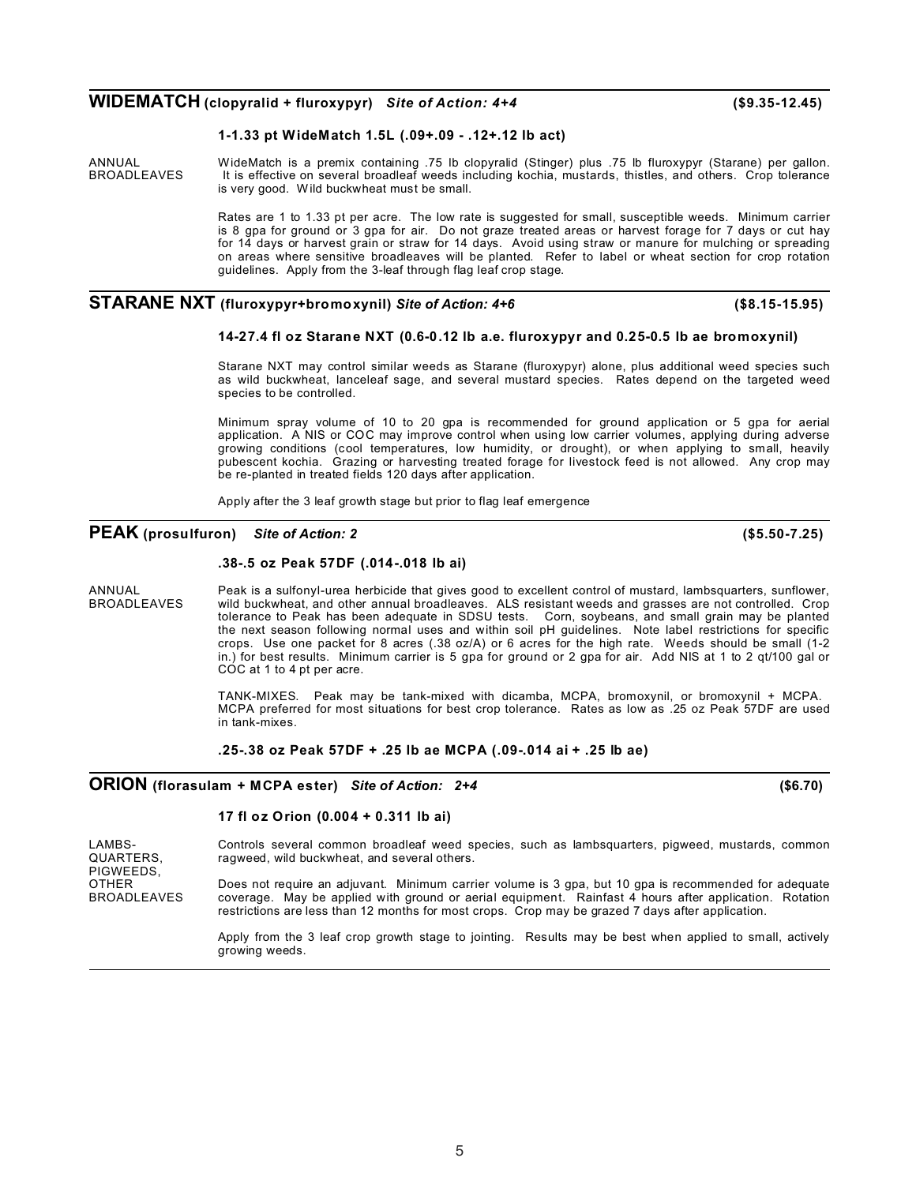### **WIDEMATCH (clopyralid + fluroxypyr)** *Site of Action: 4+4* **(\$9.35-12.45)**

### **1-1.33 pt WideMatch 1.5L (.09+.09 - .12+.12 lb act)**

ANNUAL WideMatch is a premix containing .75 lb clopyralid (Stinger) plus .75 lb fluroxypyr (Starane) per gallon. BROADLEAVES It is effective on several broadleaf weeds including kochia, mustards, thistles, and others. Crop tolerance is very good. Wild buckwheat must be small.

> Rates are 1 to 1.33 pt per acre. The low rate is suggested for small, susceptible weeds. Minimum carrier is 8 gpa for ground or 3 gpa for air. Do not graze treated areas or harvest forage for 7 days or cut hay for 14 days or harvest grain or straw for 14 days. Avoid using straw or manure for mulching or spreading on areas where sensitive broadleaves will be planted. Refer to label or wheat section for crop rotation guidelines. Apply from the 3-leaf through flag leaf crop stage.

### **STARANE NXT (fluroxypyr+bromoxynil)** *Site of Action: 4+6* **(\$8.15-15.95)**

### **14-27.4 fl oz Starane NXT (0.6-0.12 lb a.e. fluroxypyr and 0.25-0.5 lb ae bromoxynil)**

Starane NXT may control similar weeds as Starane (fluroxypyr) alone, plus additional weed species such as wild buckwheat, lanceleaf sage, and several mustard species. Rates depend on the targeted weed species to be controlled.

Minimum spray volume of 10 to 20 gpa is recommended for ground application or 5 gpa for aerial application. A NIS or COC may improve control when using low carrier volumes, applying during adverse growing conditions (cool temperatures, low humidity, or drought), or when applying to small, heavily pubescent kochia. Grazing or harvesting treated forage for livestock feed is not allowed. Any crop may be re-planted in treated fields 120 days after application.

Apply after the 3 leaf growth stage but prior to flag leaf emergence

### **PEAK (prosulfuron)** *Site of Action: 2* **(\$5.50-7.25)**

#### **.38-.5 oz Peak 57DF (.014-.018 lb ai)**

ANNUAL Peak is a sulfonyl-urea herbicide that gives good to excellent control of mustard, lambsquarters, sunflower,<br>BROADLEAVES wild buckwheat, and other annual broadleaves. ALS resistant weeds and grasses are not controll wild buckwheat, and other annual broadleaves. ALS resistant weeds and grasses are not controlled. Crop tolerance to Peak has been adequate in SDSU tests. Corn, soybeans, and small grain may be planted the next season following normal uses and within soil pH guidelines. Note label restrictions for specific crops. Use one packet for 8 acres (.38 oz/A) or 6 acres for the high rate. Weeds should be small (1-2 in.) for best results. Minimum carrier is 5 gpa for ground or 2 gpa for air. Add NIS at 1 to 2 qt/100 gal or COC at 1 to 4 pt per acre.

> TANK-MIXES. Peak may be tank-mixed with dicamba, MCPA, bromoxynil, or bromoxynil + MCPA. MCPA preferred for most situations for best crop tolerance. Rates as low as .25 oz Peak 57DF are used in tank-mixes.

### **.25-.38 oz Peak 57DF + .25 lb ae MCPA (.09-.014 ai + .25 lb ae)**

### **ORION (florasulam + MCPA ester)** *Site of Action: 2+4* **(\$6.70)**

#### **17 fl oz Orion (0.004 + 0.311 lb ai)**

| LAMBS-<br>QUARTERS.<br>PIGWEEDS.   | Controls several common broadleaf weed species, such as lambsquarters, piqweed, mustards, common<br>ragweed, wild buckwheat, and several others.                                                                                                                                                                     |
|------------------------------------|----------------------------------------------------------------------------------------------------------------------------------------------------------------------------------------------------------------------------------------------------------------------------------------------------------------------|
| <b>OTHER</b><br><b>BROADLEAVES</b> | Does not require an adjuvant. Minimum carrier volume is 3 gpa, but 10 gpa is recommended for adequate<br>coverage. May be applied with ground or aerial equipment. Rainfast 4 hours after application. Rotation<br>restrictions are less than 12 months for most crops. Crop may be grazed 7 days after application. |
|                                    | Apply from the 3 leaf crop growth stage to jointing. Results may be best when applied to small, actively<br>arowing weeds.                                                                                                                                                                                           |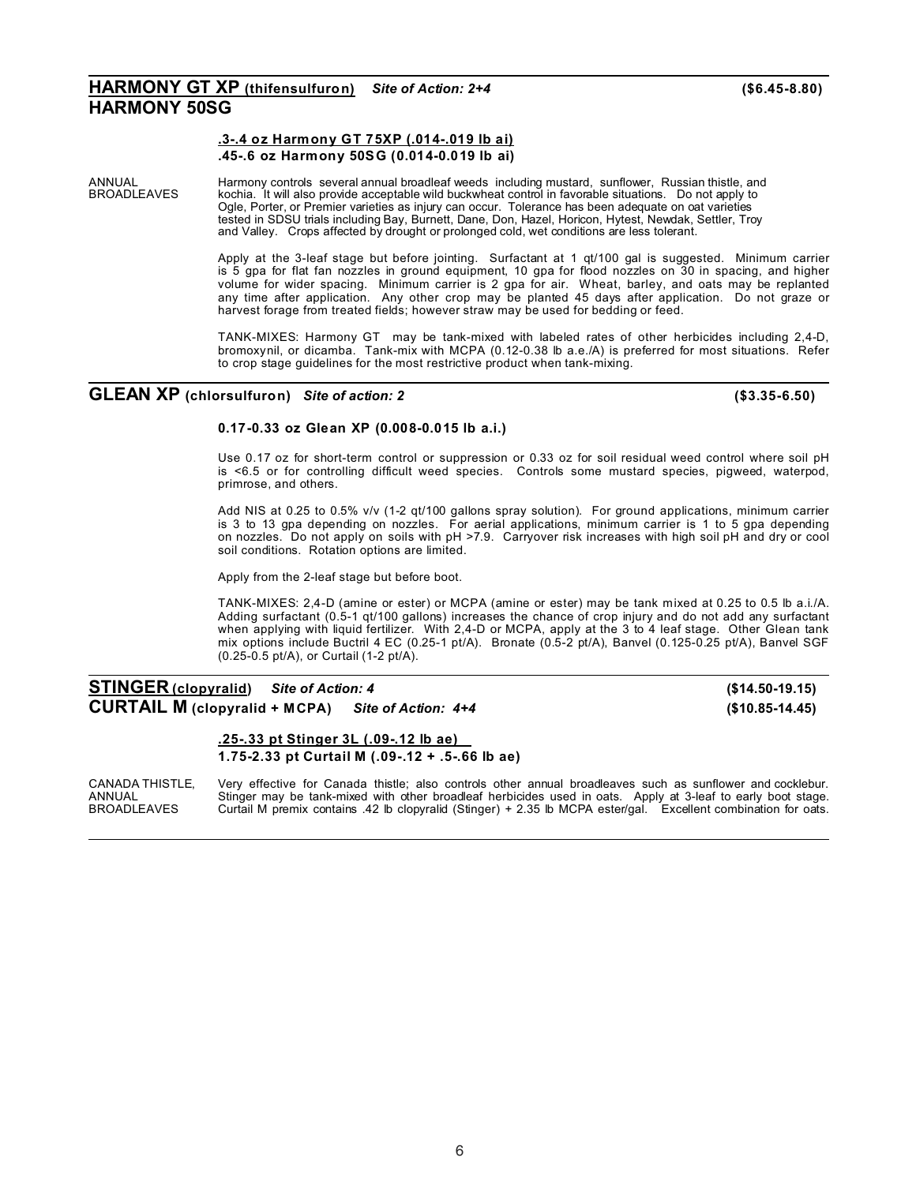### **HARMONY GT XP (thifensulfuron)** *Site of Action: 2+4* **(\$6.45-8.80) HARMONY 50SG**

### **.3-.4 oz Harmony GT 75XP (.014-.019 lb ai) .45-.6 oz Harmony 50SG (0.014-0.019 lb ai)**

ANNUAL Harmony controls several annual broadleaf weeds including mustard, sunflower, Russian thistle, and<br>BROADLEAVES kochia. It will also provide acceptable wild buckwheat control in favorable situations. Do not apply to BROADLEAVES kochia. It will also provide acceptable wild buckwheat control in favorable situations. Do not apply to Ogle, Porter, or Premier varieties as injury can occur. Tolerance has been adequate on oat varieties tested in SDSU trials including Bay, Burnett, Dane, Don, Hazel, Horicon, Hytest, Newdak, Settler, Troy and Valley. Crops affected by drought or prolonged cold, wet conditions are less tolerant.

> Apply at the 3-leaf stage but before jointing. Surfactant at 1 qt/100 gal is suggested. Minimum carrier is 5 gpa for flat fan nozzles in ground equipment, 10 gpa for flood nozzles on 30 in spacing, and higher volume for wider spacing. Minimum carrier is 2 gpa for air. Wheat, barley, and oats may be replanted any time after application. Any other crop may be planted 45 days after application. Do not graze or harvest forage from treated fields; however straw may be used for bedding or feed.

> TANK-MIXES: Harmony GT may be tank-mixed with labeled rates of other herbicides including 2,4-D, bromoxynil, or dicamba. Tank-mix with MCPA (0.12-0.38 lb a.e./A) is preferred for most situations. Refer to crop stage guidelines for the most restrictive product when tank-mixing.

### **GLEAN XP (chlorsulfuron)** *Site of action: 2* **(\$3.35-6.50)**

### **0.17-0.33 oz Glean XP (0.008-0.015 lb a.i.)**

Use 0.17 oz for short-term control or suppression or 0.33 oz for soil residual weed control where soil pH is <6.5 or for controlling difficult weed species. Controls some mustard species, pigweed, waterpod, primrose, and others.

Add NIS at 0.25 to 0.5% v/v (1-2 qt/100 gallons spray solution). For ground applications, minimum carrier is 3 to 13 gpa depending on nozzles. For aerial applications, minimum carrier is 1 to 5 gpa depending on nozzles. Do not apply on soils with pH >7.9. Carryover risk increases with high soil pH and dry or cool soil conditions. Rotation options are limited.

Apply from the 2-leaf stage but before boot.

TANK-MIXES: 2,4-D (amine or ester) or MCPA (amine or ester) may be tank mixed at 0.25 to 0.5 lb a.i./A. Adding surfactant (0.5-1 qt/100 gallons) increases the chance of crop injury and do not add any surfactant when applying with liquid fertilizer. With 2,4-D or MCPA, apply at the 3 to 4 leaf stage. Other Glean tank mix options include Buctril 4 EC (0.25-1 pt/A). Bronate (0.5-2 pt/A), Banvel (0.125-0.25 pt/A), Banvel SGF (0.25-0.5 pt/A), or Curtail (1-2 pt/A).

### **STINGER (clopyralid)** *Site of Action: 4* **(\$14.50-19.15) CURTAIL M (clopyralid + MCPA)** *Site of Action: 4+4* **(\$10.85-14.45)**

**.25-.33 pt Stinger 3L (.09-.12 lb ae) 1.75-2.33 pt Curtail M (.09-.12 + .5-.66 lb ae)**

CANADA THISTLE, Very effective for Canada thistle; also controls other annual broadleaves such as sunflower and cocklebur.<br>ANNUAL Stinger may be tank-mixed with other broadleaf herbicides used in oats. Apply at 3-leaf to e ANNUAL Stinger may be tank-mixed with other broadleaf herbicides used in oats. Apply at 3-leaf to early boot stage.<br>BROADLEAVES Curtail M premix contains .42 lb clopyralid (Stinger) + 2.35 lb MCPA ester/gal. Excellent comb Curtail M premix contains .42 lb clopyralid (Stinger) + 2.35 lb MCPA ester/gal. Excellent combination for oats.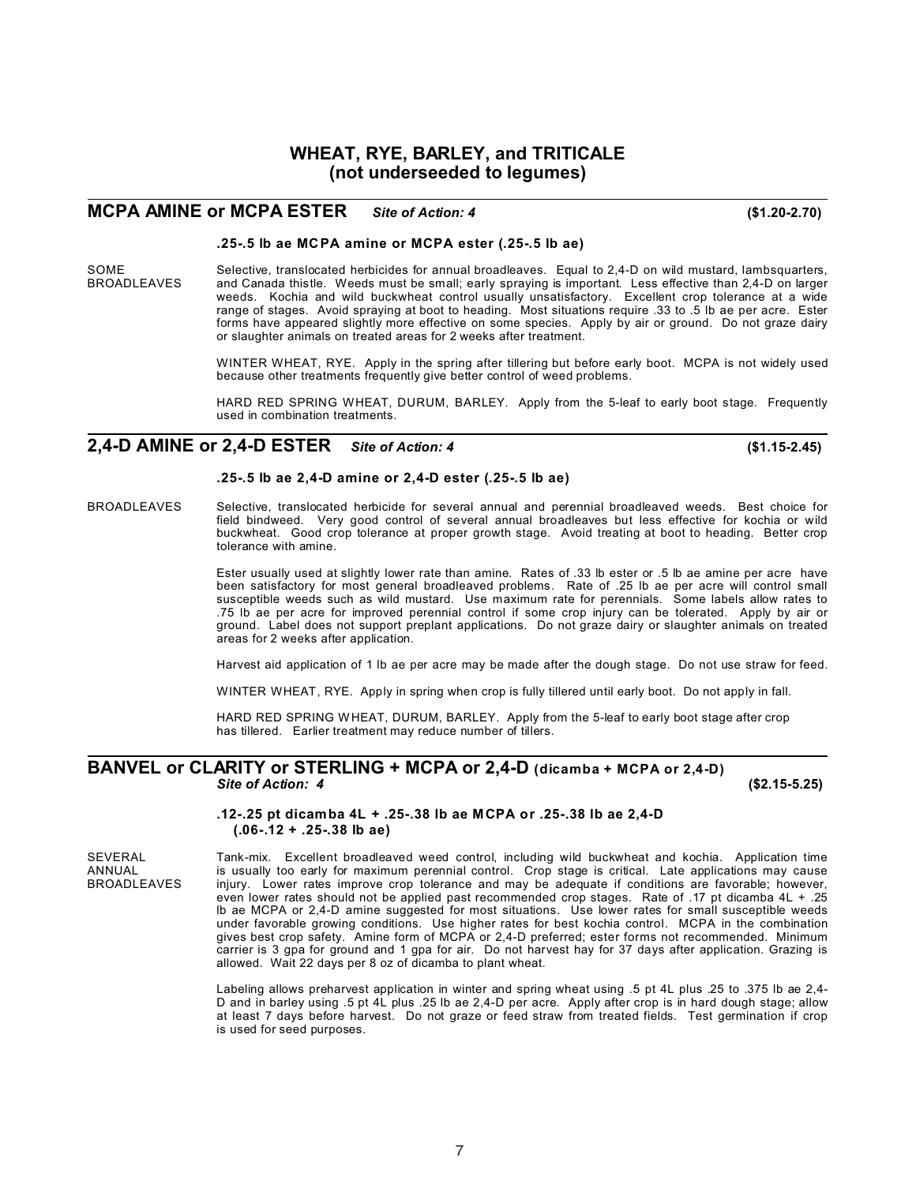### **WHEAT, RYE, BARLEY, and TRITICALE (not underseeded to legumes)**

### **MCPA AMINE or MCPA ESTER** *Site of Action: 4* **(\$1.20-2.70)**

#### **.25-.5 lb ae MCPA amine or MCPA ester (.25-.5 lb ae)**

SOME Selective, translocated herbicides for annual broadleaves. Equal to 2,4-D on wild mustard, lambsquarters,<br>SROADLEAVES and Canada thistle. Weeds must be small: early spraving is important. Less effective than 2.4-D on and Canada thistle. Weeds must be small; early spraying is important. Less effective than 2,4-D on larger weeds. Kochia and wild buckwheat control usually unsatisfactory. Excellent crop tolerance at a wide range of stages. Avoid spraying at boot to heading. Most situations require .33 to .5 lb ae per acre. Ester forms have appeared slightly more effective on some species. Apply by air or ground. Do not graze dairy or slaughter animals on treated areas for 2 weeks after treatment.

> WINTER WHEAT, RYE. Apply in the spring after tillering but before early boot. MCPA is not widely used because other treatments frequently give better control of weed problems.

> HARD RED SPRING WHEAT, DURUM, BARLEY. Apply from the 5-leaf to early boot stage. Frequently used in combination treatments.

### **2,4-D AMINE or 2,4-D ESTER** *Site of Action: 4* **(\$1.15-2.45)**

#### **.25-.5 lb ae 2,4-D amine or 2,4-D ester (.25-.5 lb ae)**

BROADLEAVES Selective, translocated herbicide for several annual and perennial broadleaved weeds. Best choice for field bindweed. Very good control of several annual broadleaves but less effective for kochia or wild buckwheat. Good crop tolerance at proper growth stage. Avoid treating at boot to heading. Better crop tolerance with amine.

> Ester usually used at slightly lower rate than amine. Rates of .33 lb ester or .5 lb ae amine per acre have been satisfactory for most general broadleaved problems. Rate of .25 lb ae per acre will control small susceptible weeds such as wild mustard. Use maximum rate for perennials. Some labels allow rates to .75 lb ae per acre for improved perennial control if some crop injury can be tolerated. Apply by air or ground. Label does not support preplant applications. Do not graze dairy or slaughter animals on treated areas for 2 weeks after application.

> Harvest aid application of 1 lb ae per acre may be made after the dough stage. Do not use straw for feed.

WINTER WHEAT, RYE. Apply in spring when crop is fully tillered until early boot. Do not apply in fall.

HARD RED SPRING WHEAT, DURUM, BARLEY. Apply from the 5-leaf to early boot stage after crop has tillered. Earlier treatment may reduce number of tillers.

### **BANVEL or CLARITY or STERLING + MCPA or 2,4-D (dicamba + MCPA or 2,4-D)** *Site of Action: 4* **(\$2.15-5.25)**

#### **.12-.25 pt dicamba 4L + .25-.38 lb ae MCPA or .25-.38 lb ae 2,4-D (.06-.12 + .25-.38 lb ae)**

SEVERAL Tank-mix. Excellent broadleaved weed control, including wild buckwheat and kochia. Application time<br>ANNUAL ANNUAL is usually too early for maximum perennial control. Crop stage is critical. Late applications may ca ANNUAL is usually too early for maximum perennial control. Crop stage is critical. Late applications may cause<br>BROADLEAVES injury. Lower rates improve crop tolerance and may be adequate if conditions are favorable: however injury. Lower rates improve crop tolerance and may be adequate if conditions are favorable; however, even lower rates should not be applied past recommended crop stages. Rate of .17 pt dicamba 4L + .25 lb ae MCPA or 2,4-D amine suggested for most situations. Use lower rates for small susceptible weeds under favorable growing conditions. Use higher rates for best kochia control. MCPA in the combination gives best crop safety. Amine form of MCPA or 2,4-D preferred; ester forms not recommended. Minimum carrier is 3 gpa for ground and 1 gpa for air. Do not harvest hay for 37 days after application. Grazing is allowed. Wait 22 days per 8 oz of dicamba to plant wheat.

> Labeling allows preharvest application in winter and spring wheat using .5 pt 4L plus .25 to .375 lb ae 2,4- D and in barley using .5 pt 4L plus .25 lb ae 2,4-D per acre. Apply after crop is in hard dough stage; allow at least 7 days before harvest. Do not graze or feed straw from treated fields. Test germination if crop is used for seed purposes.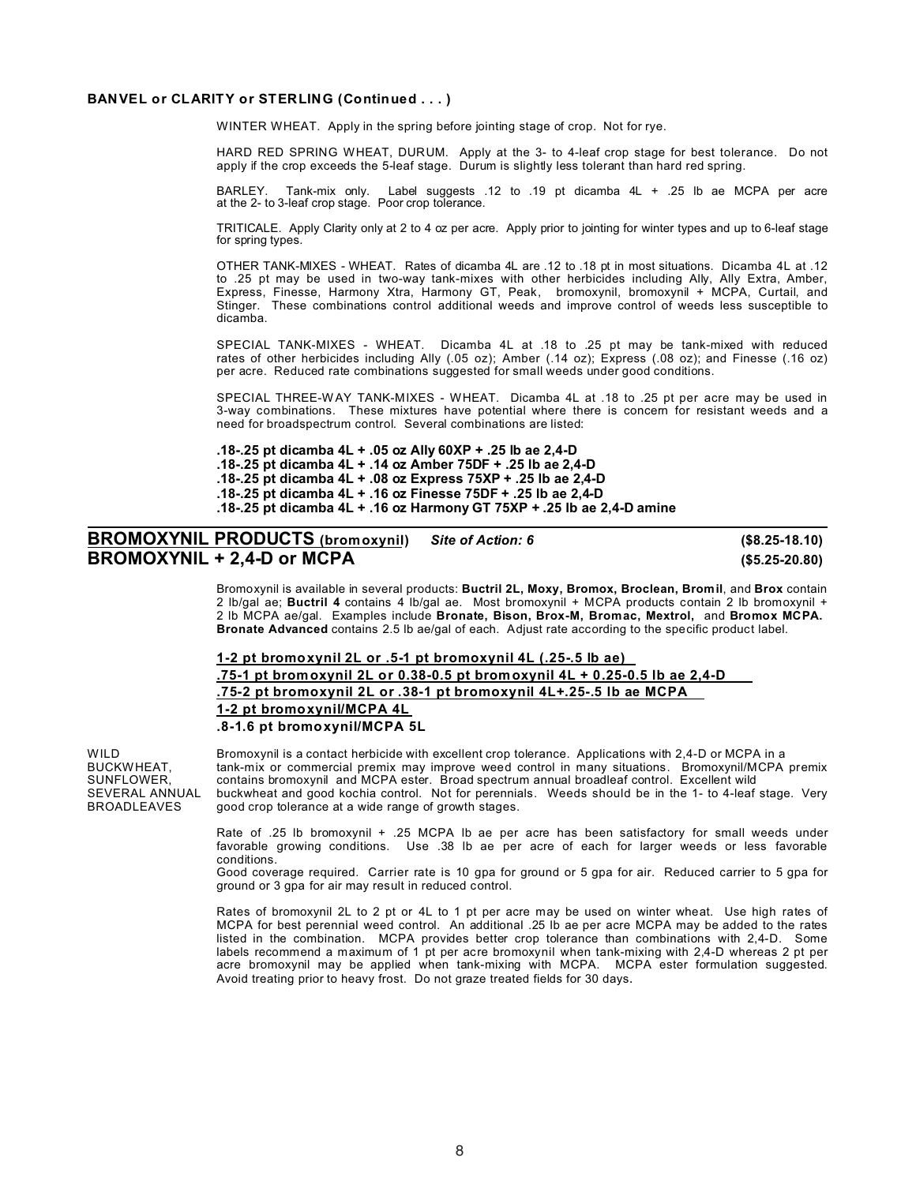### **BANVEL or CLARITY or STERLING (Continued . . . )**

WINTER WHEAT. Apply in the spring before jointing stage of crop. Not for rye.

HARD RED SPRING WHEAT, DURUM. Apply at the 3- to 4-leaf crop stage for best tolerance. Do not apply if the crop exceeds the 5-leaf stage. Durum is slightly less tolerant than hard red spring.

BARLEY. Tank-mix only. Label suggests .12 to .19 pt dicamba 4L + .25 lb ae MCPA per acre at the 2- to 3-leaf crop stage. Poor crop tolerance.

TRITICALE. Apply Clarity only at 2 to 4 oz per acre. Apply prior to jointing for winter types and up to 6-leaf stage for spring types.

OTHER TANK-MIXES - WHEAT. Rates of dicamba 4L are .12 to .18 pt in most situations. Dicamba 4L at .12 to .25 pt may be used in two-way tank-mixes with other herbicides including Ally, Ally Extra, Amber, Express, Finesse, Harmony Xtra, Harmony GT, Peak, bromoxynil, bromoxynil + MCPA, Curtail, and Stinger. These combinations control additional weeds and improve control of weeds less susceptible to dicamba.

SPECIAL TANK-MIXES - WHEAT. Dicamba 4L at .18 to .25 pt may be tank-mixed with reduced rates of other herbicides including Ally (.05 oz); Amber (.14 oz); Express (.08 oz); and Finesse (.16 oz) per acre. Reduced rate combinations suggested for small weeds under good conditions.

SPECIAL THREE-WAY TANK-MIXES - WHEAT. Dicamba 4L at .18 to .25 pt per acre may be used in 3-way combinations. These mixtures have potential where there is concern for resistant weeds and a need for broadspectrum control. Several combinations are listed:

**.18-.25 pt dicamba 4L + .05 oz Ally 60XP + .25 lb ae 2,4-D .18-.25 pt dicamba 4L + .14 oz Amber 75DF + .25 lb ae 2,4-D .18-.25 pt dicamba 4L + .08 oz Express 75XP + .25 lb ae 2,4-D .18-.25 pt dicamba 4L + .16 oz Finesse 75DF + .25 lb ae 2,4-D .18-.25 pt dicamba 4L + .16 oz Harmony GT 75XP + .25 lb ae 2,4-D amine**

## **BROMOXYNIL PRODUCTS (bromoxynil)** *Site of Action: 6* **(\$8.25-18.10) BROMOXYNIL + 2,4-D or MCPA (\$5.25-20.80)**

Bromoxynil is available in several products: **Buctril 2L, Moxy, Bromox, Broclean, Bromil**, and **Brox** contain 2 lb/gal ae; **Buctril 4** contains 4 lb/gal ae. Most bromoxynil + MCPA products contain 2 lb bromoxynil + 2 lb MCPA ae/gal. Examples include **Bronate, Bison, Brox-M, Bromac, Mextrol,** and **Bromox MCPA. Bronate Advanced** contains 2.5 lb ae/gal of each. Adjust rate according to the specific product label.

### **1-2 pt bromoxynil 2L or .5-1 pt bromoxynil 4L (.25-.5 lb ae) .75-1 pt bromoxynil 2L or 0.38-0.5 pt bromoxynil 4L + 0.25-0.5 lb ae 2,4-D .75-2 pt bromoxynil 2L or .38-1 pt bromoxynil 4L+.25-.5 lb ae MCPA 1-2 pt bromoxynil/MCPA 4L .8-1.6 pt bromoxynil/MCPA 5L**

WILD Bromoxynil is a contact herbicide with excellent crop tolerance. Applications with 2,4-D or MCPA in a<br>BUCKWHEAT. The tank-mix or commercial premix may improve weed control in many situations. Bromoxynil/MCPA BUCKWHEAT, tank-mix or commercial premix may improve weed control in many situations. Bromoxynil/MCPA premix<br>SUNFLOWER, contains bromoxynil and MCPA ester. Broad spectrum annual broadleaf control. Excellent wild SUNFLOWER, contains bromoxynil and MCPA ester. Broad spectrum annual broadleaf control. Excellent wild<br>SEVERAL ANNUAL buckwheat and good kochia control. Not for perennials. Weeds should be in the 1-to 4-leaf SEVERAL ANNUAL buckwheat and good kochia control. Not for perennials. Weeds should be in the 1- to 4-leaf stage. Very<br>BROADLEAVES qood crop tolerance at a wide range of growth stages. good crop tolerance at a wide range of growth stages.

> Rate of .25 lb bromoxynil + .25 MCPA lb ae per acre has been satisfactory for small weeds under favorable growing conditions. Use .38 lb ae per acre of each for larger weeds or less favorable conditions.

> Good coverage required. Carrier rate is 10 gpa for ground or 5 gpa for air. Reduced carrier to 5 gpa for ground or 3 gpa for air may result in reduced control.

> Rates of bromoxynil 2L to 2 pt or 4L to 1 pt per acre may be used on winter wheat. Use high rates of MCPA for best perennial weed control. An additional .25 lb ae per acre MCPA may be added to the rates listed in the combination. MCPA provides better crop tolerance than combinations with 2,4-D. Some labels recommend a maximum of 1 pt per acre bromoxynil when tank-mixing with 2,4-D whereas 2 pt per acre bromoxynil may be applied when tank-mixing with MCPA. MCPA ester formulation suggested. Avoid treating prior to heavy frost. Do not graze treated fields for 30 days.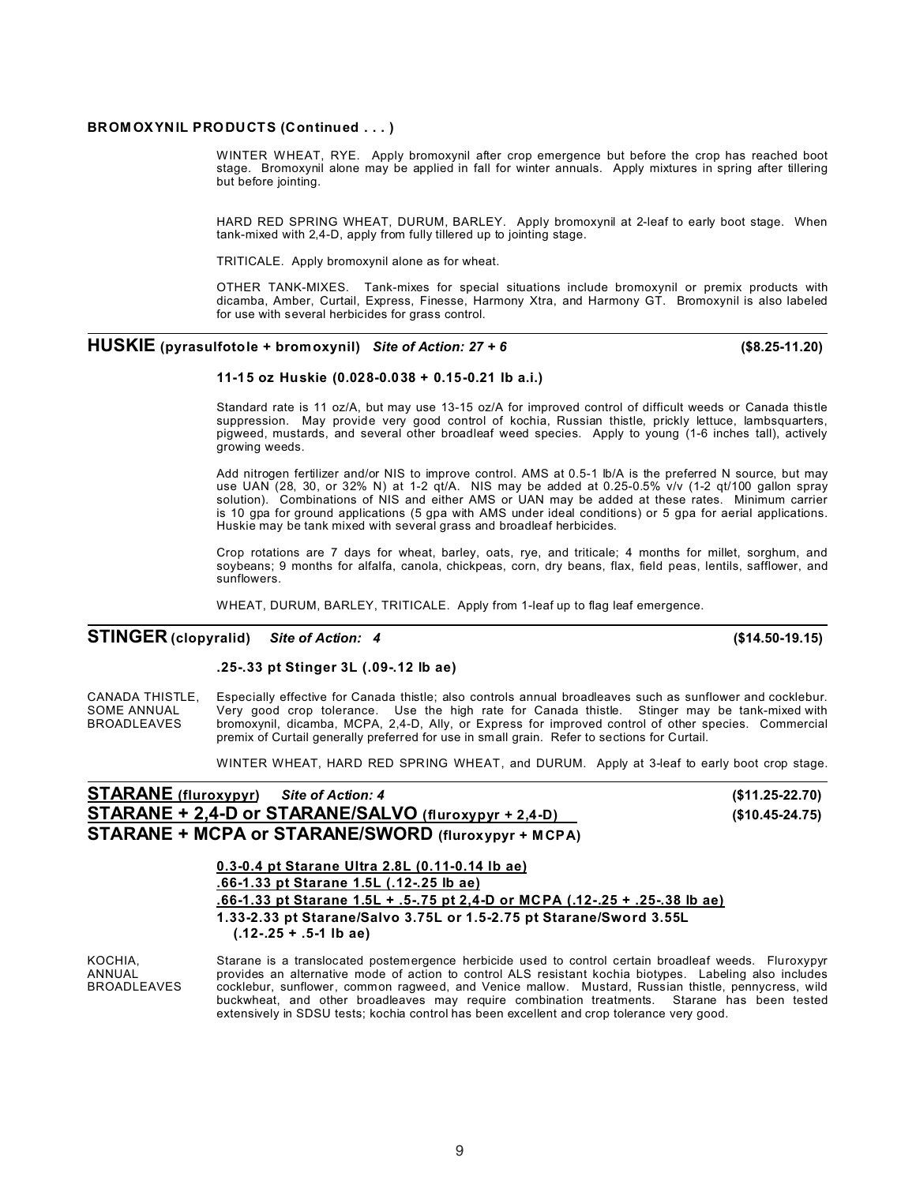#### **BROM OXYNIL PRODUCTS (Continued . . . )**

WINTER WHEAT, RYE. Apply bromoxynil after crop emergence but before the crop has reached boot stage. Bromoxynil alone may be applied in fall for winter annuals. Apply mixtures in spring after tillering but before jointing.

HARD RED SPRING WHEAT, DURUM, BARLEY. Apply bromoxynil at 2-leaf to early boot stage. When tank-mixed with 2,4-D, apply from fully tillered up to jointing stage.

TRITICALE. Apply bromoxynil alone as for wheat.

OTHER TANK-MIXES. Tank-mixes for special situations include bromoxynil or premix products with dicamba, Amber, Curtail, Express, Finesse, Harmony Xtra, and Harmony GT. Bromoxynil is also labeled for use with several herbicides for grass control.

### **HUSKIE (pyrasulfotole + bromoxynil)** *Site of Action: 27 + 6* **(\$8.25-11.20)**

#### **11-15 oz Huskie (0.028-0.038 + 0.15-0.21 lb a.i.)**

Standard rate is 11 oz/A, but may use 13-15 oz/A for improved control of difficult weeds or Canada thistle suppression. May provide very good control of kochia, Russian thistle, prickly lettuce, lambsquarters, pigweed, mustards, and several other broadleaf weed species. Apply to young (1-6 inches tall), actively growing weeds.

Add nitrogen fertilizer and/or NIS to improve control. AMS at 0.5-1 lb/A is the preferred N source, but may use UAN (28, 30, or 32% N) at 1-2 qt/A. NIS may be added at 0.25-0.5% v/v (1-2 qt/100 gallon spray solution). Combinations of NIS and either AMS or UAN may be added at these rates. Minimum carrier is 10 gpa for ground applications (5 gpa with AMS under ideal conditions) or 5 gpa for aerial applications. Huskie may be tank mixed with several grass and broadleaf herbicides.

Crop rotations are 7 days for wheat, barley, oats, rye, and triticale; 4 months for millet, sorghum, and soybeans; 9 months for alfalfa, canola, chickpeas, corn, dry beans, flax, field peas, lentils, safflower, and sunflowers.

WHEAT, DURUM, BARLEY, TRITICALE. Apply from 1-leaf up to flag leaf emergence.

### **STINGER (clopyralid)** *Site of Action: 4* **(\$14.50-19.15)**

**.25-.33 pt Stinger 3L (.09-.12 lb ae)**

CANADA THISTLE, Especially effective for Canada thistle; also controls annual broadleaves such as sunflower and cocklebur.<br>SOME ANNUAL Very good crop tolerance. Use the high rate for Canada thistle. Stinger may be tank-mix SOME ANNUAL Very good crop tolerance. Use the high rate for Canada thistle. Stinger may be tank-mixed with BROADLEAVES bromoxynil, dicamba, MCPA, 2,4-D, Ally, or Express for improved control of other species. Commercial premix of Curtail generally preferred for use in small grain. Refer to sections for Curtail.

WINTER WHEAT, HARD RED SPRING WHEAT, and DURUM. Apply at 3-leaf to early boot crop stage.

| <b>STARANE</b> (fluroxypyr) Site of Action: 4 |                                                            | (\$11.25-22.70) |
|-----------------------------------------------|------------------------------------------------------------|-----------------|
|                                               | STARANE + 2,4-D or STARANE/SALVO (fluroxypyr + 2,4-D)      | (\$10.45-24.75) |
|                                               | <b>STARANE + MCPA or STARANE/SWORD (fluroxypyr + MCPA)</b> |                 |

**0.3-0.4 pt Starane Ultra 2.8L (0.11-0.14 lb ae) .66-1.33 pt Starane 1.5L (.12-.25 lb ae) .66-1.33 pt Starane 1.5L + .5-.75 pt 2,4-D or MCPA (.12-.25 + .25-.38 lb ae) 1.33-2.33 pt Starane/Salvo 3.75L or 1.5-2.75 pt Starane/Sword 3.55L (.12-.25 + .5-1 lb ae)**

KOCHIA, Starane is a translocated postemergence herbicide used to control certain broadleaf weeds. Fluroxypyr ANNUAL provides an alternative mode of action to control ALS resistant kochia biotypes. Labeling also includes<br>BROADLEAVES cocklebur, sunflower, common ragweed, and Venice mallow. Mustard, Russian thistle, pennycress, wild cocklebur, sunflower, common ragweed, and Venice mallow. Mustard, Russian thistle, pennycress, wild buckwheat, and other broadleaves may require combination treatments. Starane has been tested extensively in SDSU tests; kochia control has been excellent and crop tolerance very good.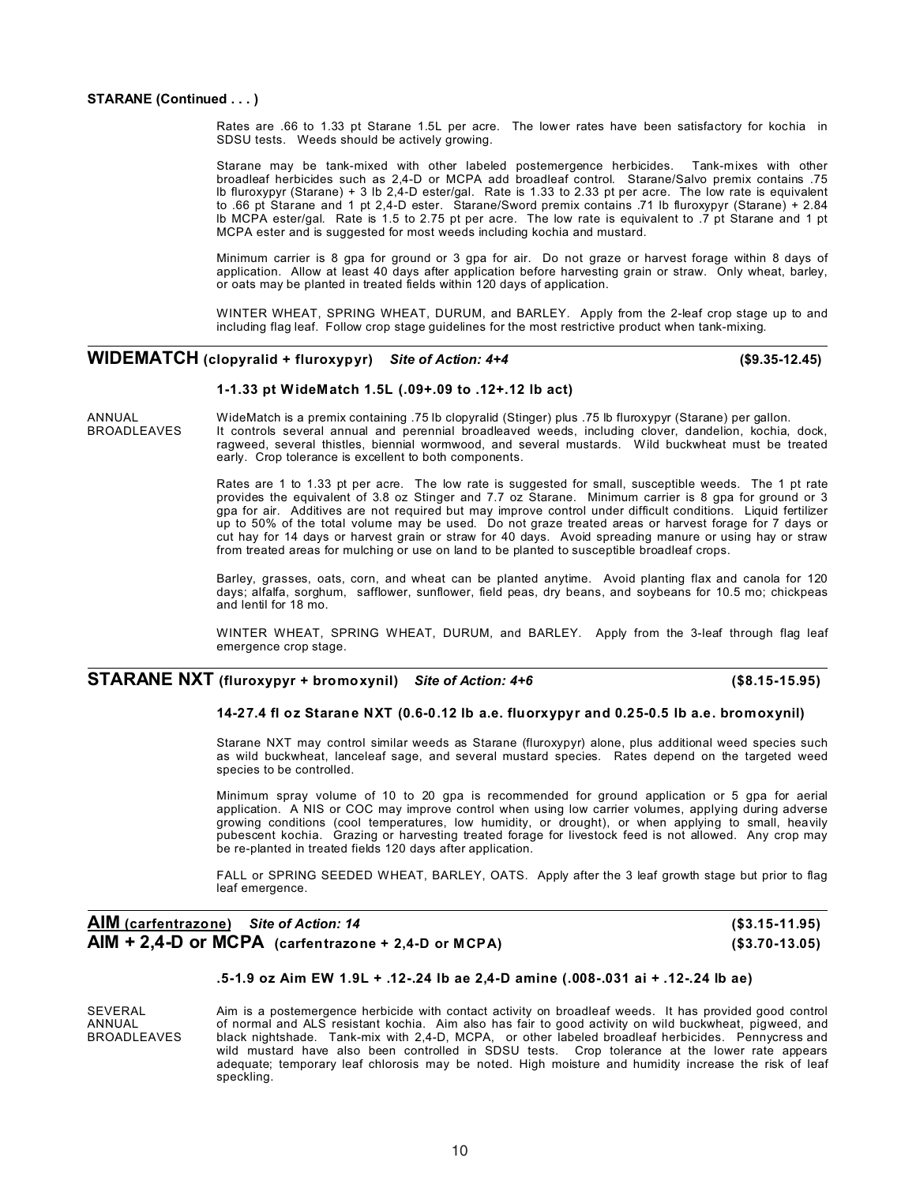Rates are .66 to 1.33 pt Starane 1.5L per acre. The lower rates have been satisfactory for kochia in SDSU tests. Weeds should be actively growing.

Starane may be tank-mixed with other labeled postemergence herbicides. Tank-mixes with other broadleaf herbicides such as 2,4-D or MCPA add broadleaf control. Starane/Salvo premix contains .75 lb fluroxypyr (Starane) + 3 lb 2,4-D ester/gal. Rate is 1.33 to 2.33 pt per acre. The low rate is equivalent to .66 pt Starane and 1 pt 2,4-D ester. Starane/Sword premix contains .71 lb fluroxypyr (Starane) + 2.84 lb MCPA ester/gal. Rate is 1.5 to 2.75 pt per acre. The low rate is equivalent to .7 pt Starane and 1 pt MCPA ester and is suggested for most weeds including kochia and mustard.

Minimum carrier is 8 gpa for ground or 3 gpa for air. Do not graze or harvest forage within 8 days of application. Allow at least 40 days after application before harvesting grain or straw. Only wheat, barley, or oats may be planted in treated fields within 120 days of application.

WINTER WHEAT, SPRING WHEAT, DURUM, and BARLEY. Apply from the 2-leaf crop stage up to and including flag leaf. Follow crop stage guidelines for the most restrictive product when tank-mixing.

## **WIDEMATCH (clopyralid + fluroxypyr)** *Site of Action: 4+4* **(\$9.35-12.45)**

#### **1-1.33 pt WideMatch 1.5L (.09+.09 to .12+.12 lb act)**

ANNUAL WideMatch is a premix containing .75 lb clopyralid (Stinger) plus .75 lb fluroxypyr (Starane) per gallon.<br>BROADLEAVES It controls several annual and perennial broadleaved weeds, including clover, dandelion, kochia. RECORDING SEVERAL CONTENTING IT THE TIP CONCRETED WEEDS, including clover, dandelion, kochia, dock, ragweed, several thistles, biennial wormwood, and several mustards. Wild buckwheat must be treated early. Crop tolerance is excellent to both components.

> Rates are 1 to 1.33 pt per acre. The low rate is suggested for small, susceptible weeds. The 1 pt rate provides the equivalent of 3.8 oz Stinger and 7.7 oz Starane. Minimum carrier is 8 gpa for ground or 3 gpa for air. Additives are not required but may improve control under difficult conditions. Liquid fertilizer up to 50% of the total volume may be used. Do not graze treated areas or harvest forage for 7 days or cut hay for 14 days or harvest grain or straw for 40 days. Avoid spreading manure or using hay or straw from treated areas for mulching or use on land to be planted to susceptible broadleaf crops.

> Barley, grasses, oats, corn, and wheat can be planted anytime. Avoid planting flax and canola for 120 days; alfalfa, sorghum, safflower, sunflower, field peas, dry beans, and soybeans for 10.5 mo; chickpeas and lentil for 18 mo.

> WINTER WHEAT, SPRING WHEAT, DURUM, and BARLEY. Apply from the 3-leaf through flag leaf emergence crop stage.

### **STARANE NXT (fluroxypyr + bromoxynil)** *Site of Action: 4+6* **(\$8.15-15.95)**

### **14-27.4 fl oz Starane NXT (0.6-0.12 lb a.e. fluorxypyr and 0.25-0.5 lb a.e. bromoxynil)**

Starane NXT may control similar weeds as Starane (fluroxypyr) alone, plus additional weed species such as wild buckwheat, lanceleaf sage, and several mustard species. Rates depend on the targeted weed species to be controlled.

Minimum spray volume of 10 to 20 gpa is recommended for ground application or 5 gpa for aerial application. A NIS or COC may improve control when using low carrier volumes, applying during adverse growing conditions (cool temperatures, low humidity, or drought), or when applying to small, heavily pubescent kochia. Grazing or harvesting treated forage for livestock feed is not allowed. Any crop may be re-planted in treated fields 120 days after application.

FALL or SPRING SEEDED WHEAT, BARLEY, OATS. Apply after the 3 leaf growth stage but prior to flag leaf emergence.

### **AIM (carfentrazone)** *Site of Action: 14* **(\$3.15-11.95) AIM + 2,4-D or MCPA (carfentrazone + 2,4-D or MCPA) (\$3.70-13.05)**

### **.5-1.9 oz Aim EW 1.9L + .12-.24 lb ae 2,4-D amine (.008-.031 ai + .12-.24 lb ae)**

SEVERAL Aim is a postemergence herbicide with contact activity on broadleaf weeds. It has provided good control<br>ANNUAI of normal and AIS resistant kochia. Aim also has fair to good activity on wild buckwheat pigweed, and ANNUAL of normal and ALS resistant kochia. Aim also has fair to good activity on wild buckwheat, pigweed, and<br>BROADLEAVES black nightshade. Tank-mix with 2,4-D, MCPA, or other labeled broadleaf herbicides. Pennycress and black nightshade. Tank-mix with 2,4-D, MCPA, or other labeled broadleaf herbicides. Pennycress and wild mustard have also been controlled in SDSU tests. Crop tolerance at the lower rate appears adequate; temporary leaf chlorosis may be noted. High moisture and humidity increase the risk of leaf speckling.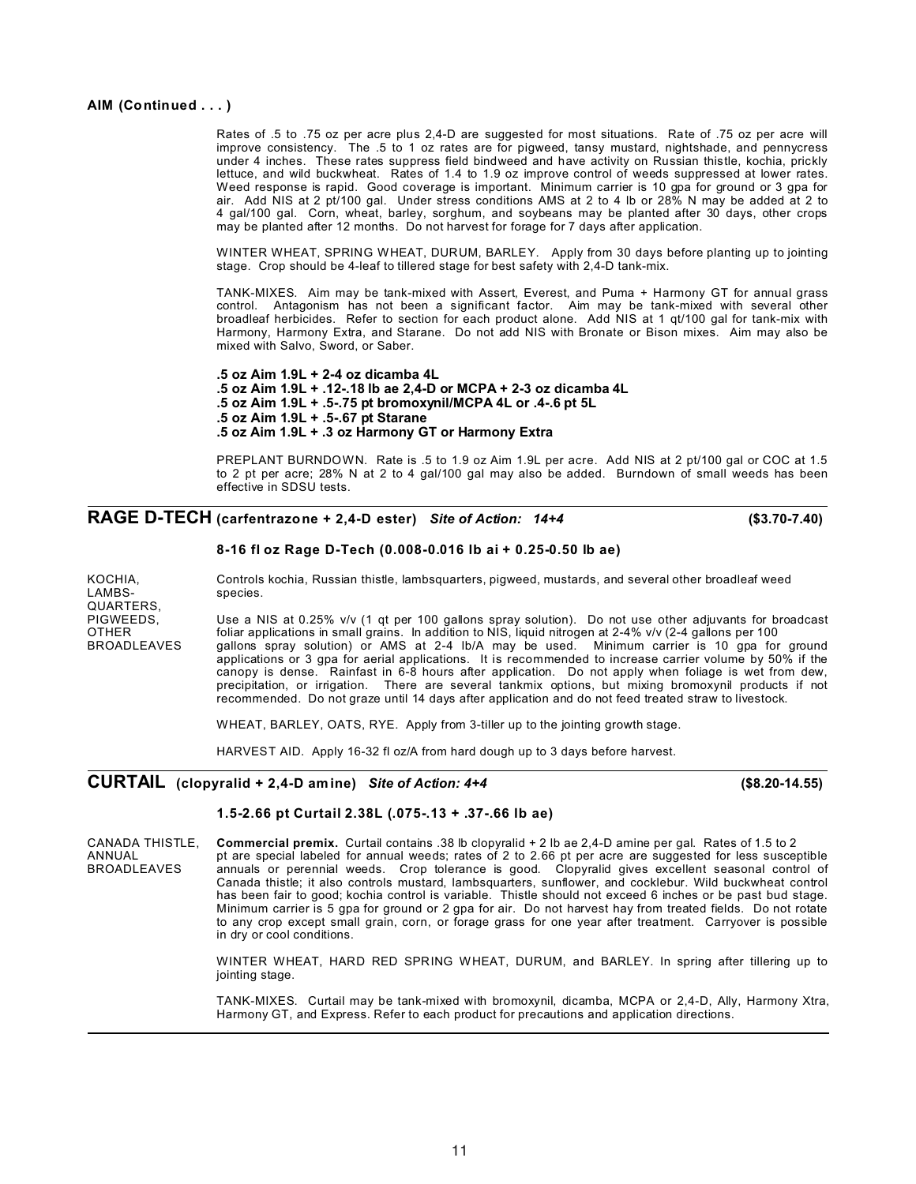### **AIM (Continued . . . )**

Rates of .5 to .75 oz per acre plus 2,4-D are suggested for most situations. Rate of .75 oz per acre will improve consistency. The .5 to 1 oz rates are for pigweed, tansy mustard, nightshade, and pennycress under 4 inches. These rates suppress field bindweed and have activity on Russian thistle, kochia, prickly lettuce, and wild buckwheat. Rates of 1.4 to 1.9 oz improve control of weeds suppressed at lower rates. Weed response is rapid. Good coverage is important. Minimum carrier is 10 gpa for ground or 3 gpa for air. Add NIS at 2 pt/100 gal. Under stress conditions AMS at 2 to 4 lb or 28% N may be added at 2 to 4 gal/100 gal. Corn, wheat, barley, sorghum, and soybeans may be planted after 30 days, other crops may be planted after 12 months. Do not harvest for forage for 7 days after application.

WINTER WHEAT, SPRING WHEAT, DURUM, BARLEY. Apply from 30 days before planting up to jointing stage. Crop should be 4-leaf to tillered stage for best safety with 2,4-D tank-mix.

TANK-MIXES. Aim may be tank-mixed with Assert, Everest, and Puma + Harmony GT for annual grass control. Antagonism has not been a significant factor. Aim may be tank-mixed with several other broadleaf herbicides. Refer to section for each product alone. Add NIS at 1 qt/100 gal for tank-mix with Harmony, Harmony Extra, and Starane. Do not add NIS with Bronate or Bison mixes. Aim may also be mixed with Salvo, Sword, or Saber.

**.5 oz Aim 1.9L + 2-4 oz dicamba 4L .5 oz Aim 1.9L + .12-.18 lb ae 2,4-D or MCPA + 2-3 oz dicamba 4L .5 oz Aim 1.9L + .5-.75 pt bromoxynil/MCPA 4L or .4-.6 pt 5L .5 oz Aim 1.9L + .5-.67 pt Starane .5 oz Aim 1.9L + .3 oz Harmony GT or Harmony Extra**

PREPLANT BURNDOWN. Rate is .5 to 1.9 oz Aim 1.9L per acre. Add NIS at 2 pt/100 gal or COC at 1.5 to 2 pt per acre; 28% N at 2 to 4 gal/100 gal may also be added. Burndown of small weeds has been effective in SDSU tests.

### **RAGE D-TECH (carfentrazone + 2,4-D ester)** *Site of Action: 14+4* **(\$3.70-7.40)**

### **8-16 fl oz Rage D-Tech (0.008-0.016 lb ai + 0.25-0.50 lb ae)**

| KOCHIA.            | Controls kochia, Russian thistle, lambsquarters, piqweed, mustards, and several other broadleaf weed      |
|--------------------|-----------------------------------------------------------------------------------------------------------|
| LAMBS-             | species.                                                                                                  |
| QUARTERS.          |                                                                                                           |
| PIGWEEDS.          | Use a NIS at 0.25% v/v (1 gt per 100 gallons spray solution). Do not use other adjuvants for broadcast    |
| <b>OTHER</b>       | foliar applications in small grains. In addition to NIS, liquid nitrogen at 2-4% v/v (2-4 gallons per 100 |
| <b>BROADLEAVES</b> | gallons spray solution) or AMS at 2-4 lb/A may be used. Minimum carrier is 10 gpa for ground              |
|                    | applications or 3 gpa for aerial applications. It is recommended to increase carrier volume by 50% if the |
|                    | canopy is dense. Rainfast in 6-8 hours after application. Do not apply when foliage is wet from dew,      |
|                    | precipitation, or irrigation. There are several tankmix options, but mixing bromoxynil products if not    |
|                    | recommended. Do not graze until 14 days after application and do not feed treated straw to livestock.     |

WHEAT, BARLEY, OATS, RYE. Apply from 3-tiller up to the jointing growth stage.

HARVEST AID. Apply 16-32 fl oz/A from hard dough up to 3 days before harvest.

## **CURTAIL (clopyralid + 2,4-D amine)** *Site of Action: 4+4* **(\$8.20-14.55)**

### **1.5-2.66 pt Curtail 2.38L (.075-.13 + .37-.66 lb ae)**

CANADA THISTLE, **Commercial premix.** Curtail contains .38 lb clopyralid + 2 lb ae 2,4-D amine per gal. Rates of 1.5 to 2 ANNUAL pt are special labeled for annual weeds; rates of 2 to 2.66 pt per acre are suggested for less susceptible<br>BROADLEAVES annuals or perennial weeds. Crop tolerance is good. Clopyralid gives excellent seasonal control annuals or perennial weeds. Crop tolerance is good. Clopyralid gives excellent seasonal control of Canada thistle; it also controls mustard, lambsquarters, sunflower, and cocklebur. Wild buckwheat control has been fair to good; kochia control is variable. Thistle should not exceed 6 inches or be past bud stage. Minimum carrier is 5 gpa for ground or 2 gpa for air. Do not harvest hay from treated fields. Do not rotate to any crop except small grain, corn, or forage grass for one year after treatment. Carryover is possible in dry or cool conditions.

> WINTER WHEAT, HARD RED SPRING WHEAT, DURUM, and BARLEY. In spring after tillering up to jointing stage.

> TANK-MIXES. Curtail may be tank-mixed with bromoxynil, dicamba, MCPA or 2,4-D, Ally, Harmony Xtra, Harmony GT, and Express. Refer to each product for precautions and application directions.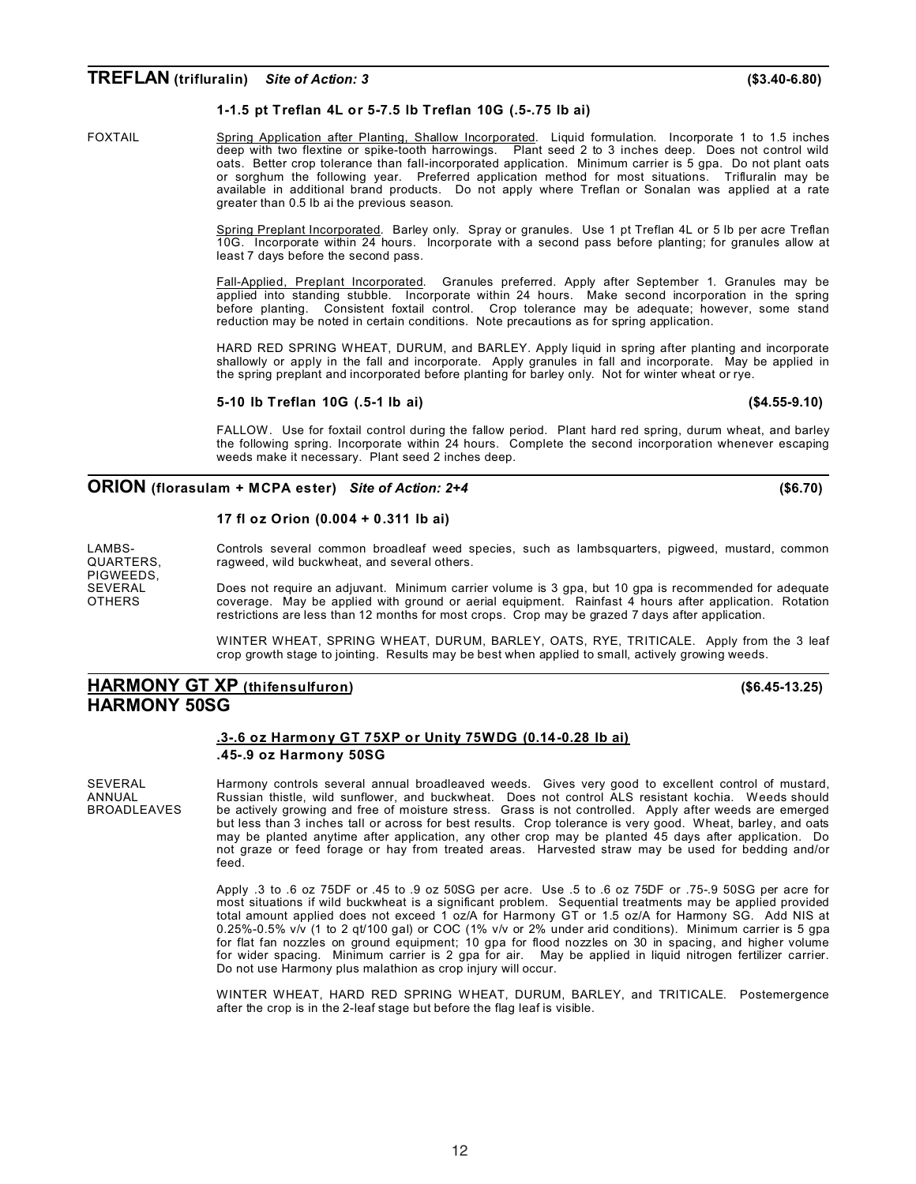### **TREFLAN (trifluralin)** *Site of Action: 3* **(\$3.40-6.80)**

#### **1-1.5 pt Treflan 4L or 5-7.5 lb Treflan 10G (.5-.75 lb ai)**

FOXTAIL Spring Application after Planting, Shallow Incorporated. Liquid formulation. Incorporate 1 to 1.5 inches deep with two flextine or spike-tooth harrowings. Plant seed 2 to 3 inches deep. Does not control wild oats. Better crop tolerance than fall-incorporated application. Minimum carrier is 5 gpa. Do not plant oats or sorghum the following year. Preferred application method for most situations. Trifluralin may be available in additional brand products. Do not apply where Treflan or Sonalan was applied at a rate greater than 0.5 lb ai the previous season.

> Spring Preplant Incorporated. Barley only. Spray or granules. Use 1 pt Treflan 4L or 5 lb per acre Treflan 10G. Incorporate within 24 hours. Incorporate with a second pass before planting; for granules allow at least 7 days before the second pass.

> Fall-Applied, Preplant Incorporated. Granules preferred. Apply after September 1. Granules may be applied into standing stubble. Incorporate within 24 hours. Make second incorporation in the spring before planting. Consistent foxtail control. Crop tolerance may be adequate; however, some stand reduction may be noted in certain conditions. Note precautions as for spring application.

> HARD RED SPRING WHEAT, DURUM, and BARLEY. Apply liquid in spring after planting and incorporate shallowly or apply in the fall and incorporate. Apply granules in fall and incorporate. May be applied in the spring preplant and incorporated before planting for barley only. Not for winter wheat or rye.

#### **5-10 lb Treflan 10G (.5-1 lb ai) (\$4.55-9.10)**

FALLOW. Use for foxtail control during the fallow period. Plant hard red spring, durum wheat, and barley the following spring. Incorporate within 24 hours. Complete the second incorporation whenever escaping weeds make it necessary. Plant seed 2 inches deep.

### **ORION (florasulam + MCPA ester)** *Site of Action: 2+4* **(\$6.70)**

### **17 fl oz Orion (0.004 + 0.311 lb ai)**

PIGWEEDS,<br>SEVERAL

LAMBS- Controls several common broadleaf weed species, such as lambsquarters, pigweed, mustard, common <br>QUARTERS. Tragweed, wild buckwheat, and several others. ragweed, wild buckwheat, and several others.

SEVERAL Does not require an adjuvant. Minimum carrier volume is 3 gpa, but 10 gpa is recommended for adequate<br>OTHERS coverage May be applied with ground or aerial equipment. Rainfast 4 hours after application. Rotation coverage. May be applied with ground or aerial equipment. Rainfast 4 hours after application. Rotation restrictions are less than 12 months for most crops. Crop may be grazed 7 days after application.

> WINTER WHEAT, SPRING WHEAT, DURUM, BARLEY, OATS, RYE, TRITICALE. Apply from the 3 leaf crop growth stage to jointing. Results may be best when applied to small, actively growing weeds.

### **HARMONY GT XP (thifensulfuron) (\$6.45-13.25) HARMONY 50SG**

#### **.3-.6 oz Harmony GT 75XP or Unity 75WDG (0.14-0.28 lb ai) .45-.9 oz Harmony 50SG**

SEVERAL Harmony controls several annual broadleaved weeds. Gives very good to excellent control of mustard,<br>ANNUAL Russian thistle, wild sunflower, and buckwheat. Does not control ALS resistant kochia. Weeds should ANNUAL Russian thistle, wild sunflower, and buckwheat. Does not control ALS resistant kochia. Weeds should BROADLEAVES be actively growing and free of moisture stress. Grass is not controlled. Apply after weeds are emerged but less than 3 inches tall or across for best results. Crop tolerance is very good. Wheat, barley, and oats may be planted anytime after application, any other crop may be planted 45 days after application. Do not graze or feed forage or hay from treated areas. Harvested straw may be used for bedding and/or feed.

> Apply .3 to .6 oz 75DF or .45 to .9 oz 50SG per acre. Use .5 to .6 oz 75DF or .75-.9 50SG per acre for most situations if wild buckwheat is a significant problem. Sequential treatments may be applied provided total amount applied does not exceed 1 oz/A for Harmony GT or 1.5 oz/A for Harmony SG. Add NIS at 0.25%-0.5% v/v (1 to 2 qt/100 gal) or COC (1% v/v or 2% under arid conditions). Minimum carrier is 5 gpa for flat fan nozzles on ground equipment; 10 gpa for flood nozzles on 30 in spacing, and higher volume for wider spacing. Minimum carrier is 2 gpa for air. May be applied in liquid nitrogen fertilizer carrier. Do not use Harmony plus malathion as crop injury will occur.

> WINTER WHEAT, HARD RED SPRING WHEAT, DURUM, BARLEY, and TRITICALE. Postemergence after the crop is in the 2-leaf stage but before the flag leaf is visible.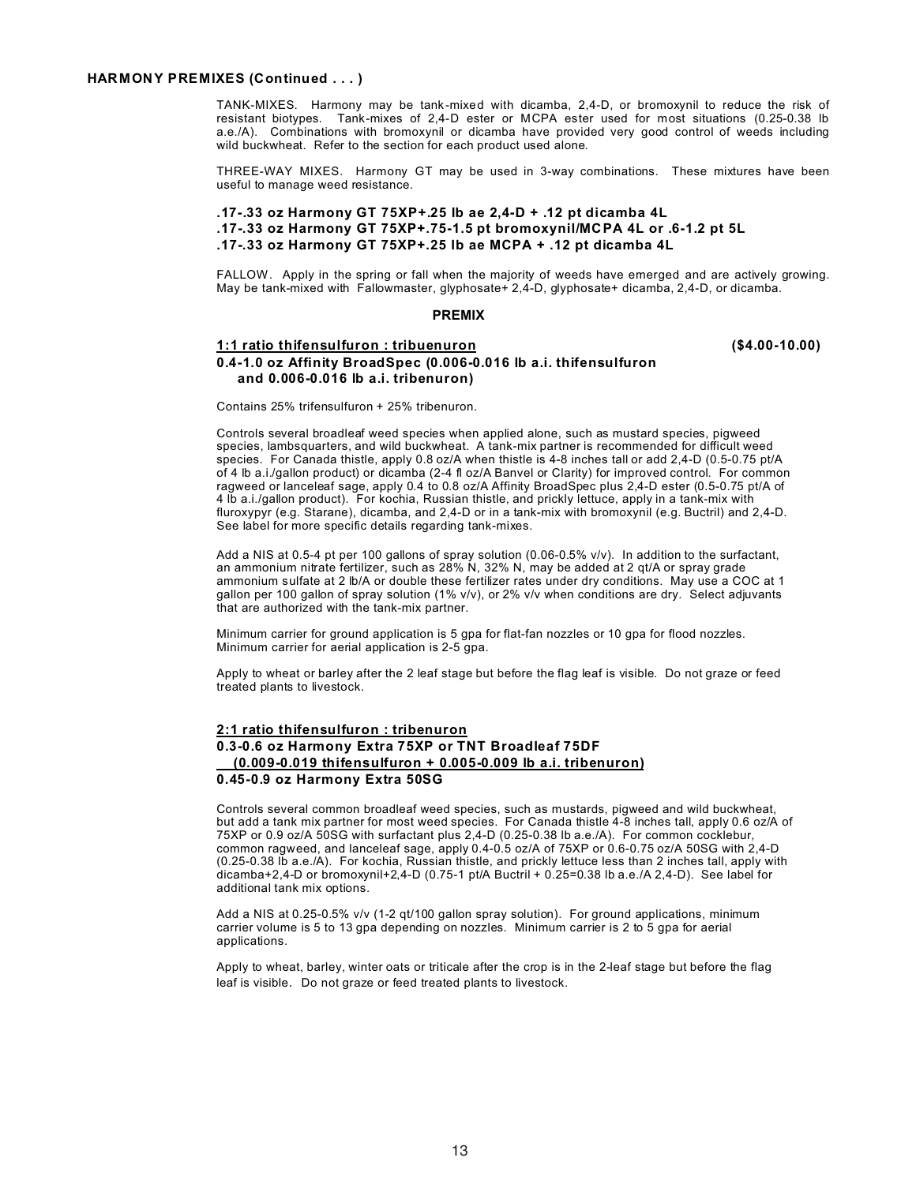#### **HARMONY PREMIXES (Continued . . . )**

TANK-MIXES. Harmony may be tank-mixed with dicamba, 2,4-D, or bromoxynil to reduce the risk of resistant biotypes. Tank-mixes of 2,4-D ester or MCPA ester used for most situations (0.25-0.38 lb a.e./A). Combinations with bromoxynil or dicamba have provided very good control of weeds including wild buckwheat. Refer to the section for each product used alone.

THREE-WAY MIXES. Harmony GT may be used in 3-way combinations. These mixtures have been useful to manage weed resistance.

### **.17-.33 oz Harmony GT 75XP+.25 lb ae 2,4-D + .12 pt dicamba 4L .17-.33 oz Harmony GT 75XP+.75-1.5 pt bromoxynil/MCPA 4L or .6-1.2 pt 5L .17-.33 oz Harmony GT 75XP+.25 lb ae MCPA + .12 pt dicamba 4L**

FALLOW. Apply in the spring or fall when the majority of weeds have emerged and are actively growing. May be tank-mixed with Fallowmaster, glyphosate+ 2,4-D, glyphosate+ dicamba, 2,4-D, or dicamba.

#### **PREMIX**

### **1:1 ratio thifensulfuron : tribuenuron (\$4.00-10.00) 0.4-1.0 oz Affinity BroadSpec (0.006-0.016 lb a.i. thifensulfuron and 0.006-0.016 lb a.i. tribenuron)**

Contains 25% trifensulfuron + 25% tribenuron.

Controls several broadleaf weed species when applied alone, such as mustard species, pigweed species, lambsquarters, and wild buckwheat. A tank-mix partner is recommended for difficult weed species. For Canada thistle, apply 0.8 oz/A when thistle is 4-8 inches tall or add 2,4-D (0.5-0.75 pt/A of 4 lb a.i./gallon product) or dicamba (2-4 fl oz/A Banvel or Clarity) for improved control. For common ragweed or lanceleaf sage, apply 0.4 to 0.8 oz/A Affinity BroadSpec plus 2,4-D ester (0.5-0.75 pt/A of 4 lb a.i./gallon product). For kochia, Russian thistle, and prickly lettuce, apply in a tank-mix with fluroxypyr (e.g. Starane), dicamba, and 2,4-D or in a tank-mix with bromoxynil (e.g. Buctril) and 2,4-D. See label for more specific details regarding tank-mixes.

Add a NIS at 0.5-4 pt per 100 gallons of spray solution (0.06-0.5% v/v). In addition to the surfactant, an ammonium nitrate fertilizer, such as 28% N, 32% N, may be added at 2 qt/A or spray grade ammonium sulfate at 2 lb/A or double these fertilizer rates under dry conditions. May use a COC at 1 gallon per 100 gallon of spray solution (1% v/v), or 2% v/v when conditions are dry. Select adjuvants that are authorized with the tank-mix partner.

Minimum carrier for ground application is 5 gpa for flat-fan nozzles or 10 gpa for flood nozzles. Minimum carrier for aerial application is 2-5 gpa.

Apply to wheat or barley after the 2 leaf stage but before the flag leaf is visible. Do not graze or feed treated plants to livestock.

### **2:1 ratio thifensulfuron : tribenuron 0.3-0.6 oz Harmony Extra 75XP or TNT Broadleaf 75DF (0.009-0.019 thifensulfuron + 0.005-0.009 lb a.i. tribenuron) 0.45-0.9 oz Harmony Extra 50SG**

Controls several common broadleaf weed species, such as mustards, pigweed and wild buckwheat, but add a tank mix partner for most weed species. For Canada thistle 4-8 inches tall, apply 0.6 oz/A of 75XP or 0.9 oz/A 50SG with surfactant plus 2,4-D (0.25-0.38 lb a.e./A). For common cocklebur, common ragweed, and lanceleaf sage, apply 0.4-0.5 oz/A of 75XP or 0.6-0.75 oz/A 50SG with 2,4-D (0.25-0.38 lb a.e./A). For kochia, Russian thistle, and prickly lettuce less than 2 inches tall, apply with dicamba+2,4-D or bromoxynil+2,4-D (0.75-1 pt/A Buctril + 0.25=0.38 lb a.e./A 2,4-D). See label for additional tank mix options.

Add a NIS at 0.25-0.5% v/v (1-2 qt/100 gallon spray solution). For ground applications, minimum carrier volume is 5 to 13 gpa depending on nozzles. Minimum carrier is 2 to 5 gpa for aerial applications.

Apply to wheat, barley, winter oats or triticale after the crop is in the 2-leaf stage but before the flag leaf is visible. Do not graze or feed treated plants to livestock.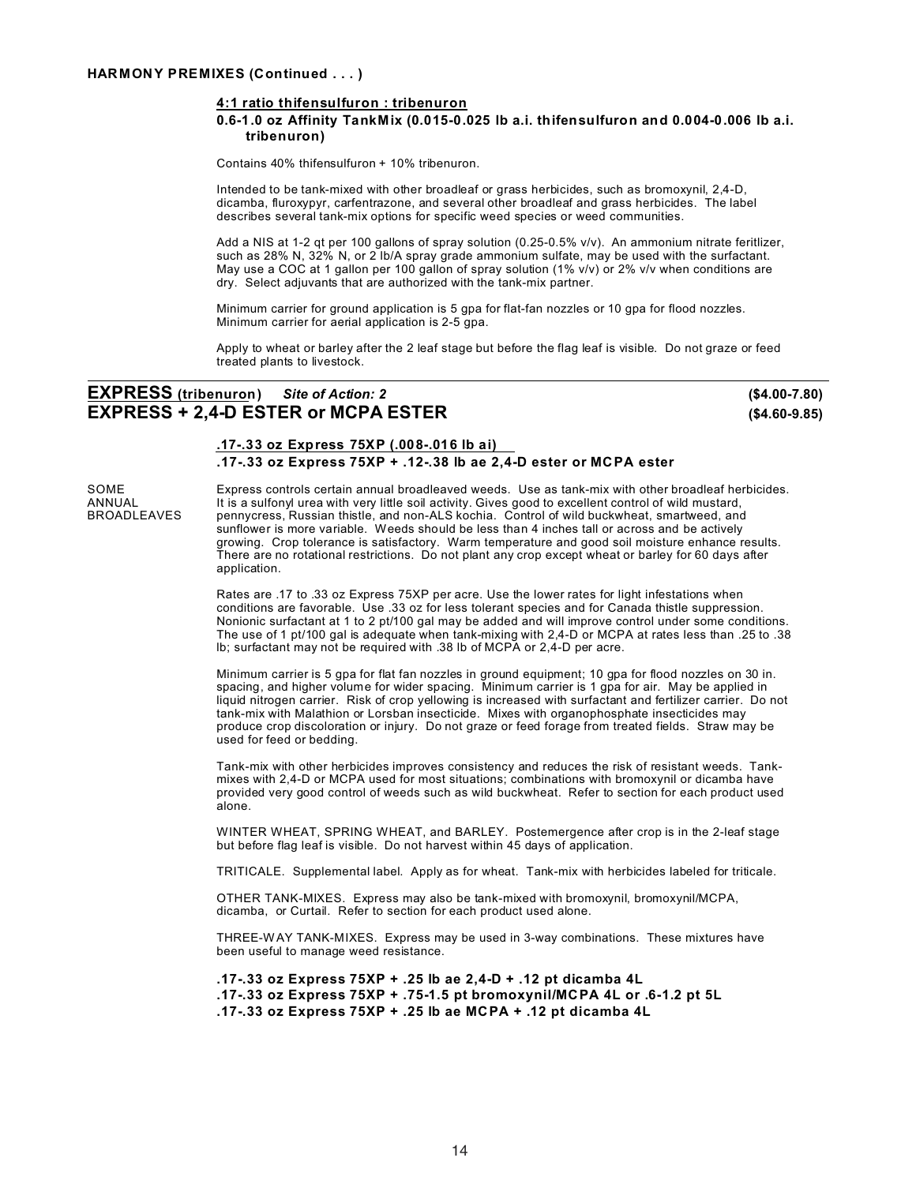### **4:1 ratio thifensulfuron : tribenuron**

#### **0.6-1.0 oz Affinity TankMix (0.015-0.025 lb a.i. thifensulfuron and 0.004-0.006 lb a.i. tribenuron)**

Contains 40% thifensulfuron + 10% tribenuron.

Intended to be tank-mixed with other broadleaf or grass herbicides, such as bromoxynil, 2,4-D, dicamba, fluroxypyr, carfentrazone, and several other broadleaf and grass herbicides. The label describes several tank-mix options for specific weed species or weed communities.

Add a NIS at 1-2 qt per 100 gallons of spray solution (0.25-0.5% v/v). An ammonium nitrate feritlizer, such as 28% N, 32% N, or 2 lb/A spray grade ammonium sulfate, may be used with the surfactant. May use a COC at 1 gallon per 100 gallon of spray solution (1% v/v) or 2% v/v when conditions are dry. Select adjuvants that are authorized with the tank-mix partner.

Minimum carrier for ground application is 5 gpa for flat-fan nozzles or 10 gpa for flood nozzles. Minimum carrier for aerial application is 2-5 gpa.

Apply to wheat or barley after the 2 leaf stage but before the flag leaf is visible. Do not graze or feed treated plants to livestock.

### **EXPRESS (tribenuron)** *Site of Action: 2* **(\$4.00-7.80) EXPRESS + 2,4-D ESTER or MCPA ESTER (\$4.60-9.85)**

### **.17-.33 oz Express 75XP (.008-.016 lb ai) .17-.33 oz Express 75XP + .12-.38 lb ae 2,4-D ester or MCPA ester**

SOME Express controls certain annual broadleaved weeds. Use as tank-mix with other broadleaf herbicides.<br>ANNUAL It is a sulfonyl urea with very little soil activity. Gives good to excellent control of wild mustard. ANNUAL It is a sulfonyl urea with very little soil activity. Gives good to excellent control of wild mustard,<br>BROADLEAVES pennycress, Russian thistle, and non-ALS kochia. Control of wild buckwheat, smartweed, and pennycress, Russian thistle, and non-ALS kochia. Control of wild buckwheat, smartweed, and sunflower is more variable. Weeds should be less than 4 inches tall or across and be actively growing. Crop tolerance is satisfactory. Warm temperature and good soil moisture enhance results. There are no rotational restrictions. Do not plant any crop except wheat or barley for 60 days after application.

> Rates are .17 to .33 oz Express 75XP per acre. Use the lower rates for light infestations when conditions are favorable. Use .33 oz for less tolerant species and for Canada thistle suppression. Nonionic surfactant at 1 to 2 pt/100 gal may be added and will improve control under some conditions. The use of 1 pt/100 gal is adequate when tank-mixing with 2,4-D or MCPA at rates less than .25 to .38 lb; surfactant may not be required with .38 lb of MCPA or 2,4-D per acre.

> Minimum carrier is 5 gpa for flat fan nozzles in ground equipment; 10 gpa for flood nozzles on 30 in. spacing, and higher volume for wider spacing. Minimum carrier is 1 gpa for air. May be applied in liquid nitrogen carrier. Risk of crop yellowing is increased with surfactant and fertilizer carrier. Do not tank-mix with Malathion or Lorsban insecticide. Mixes with organophosphate insecticides may produce crop discoloration or injury. Do not graze or feed forage from treated fields. Straw may be used for feed or bedding.

> Tank-mix with other herbicides improves consistency and reduces the risk of resistant weeds. Tankmixes with 2,4-D or MCPA used for most situations; combinations with bromoxynil or dicamba have provided very good control of weeds such as wild buckwheat. Refer to section for each product used alone.

> WINTER WHEAT, SPRING WHEAT, and BARLEY. Postemergence after crop is in the 2-leaf stage but before flag leaf is visible. Do not harvest within 45 days of application.

> TRITICALE. Supplemental label. Apply as for wheat. Tank-mix with herbicides labeled for triticale.

OTHER TANK-MIXES. Express may also be tank-mixed with bromoxynil, bromoxynil/MCPA, dicamba, or Curtail. Refer to section for each product used alone.

THREE-W AY TANK-MIXES. Express may be used in 3-way combinations. These mixtures have been useful to manage weed resistance.

```
.17-.33 oz Express 75XP + .25 lb ae 2,4-D + .12 pt dicamba 4L
.17-.33 oz Express 75XP + .75-1.5 pt bromoxynil/MCPA 4L or .6-1.2 pt 5L
.17-.33 oz Express 75XP + .25 lb ae MCPA + .12 pt dicamba 4L
```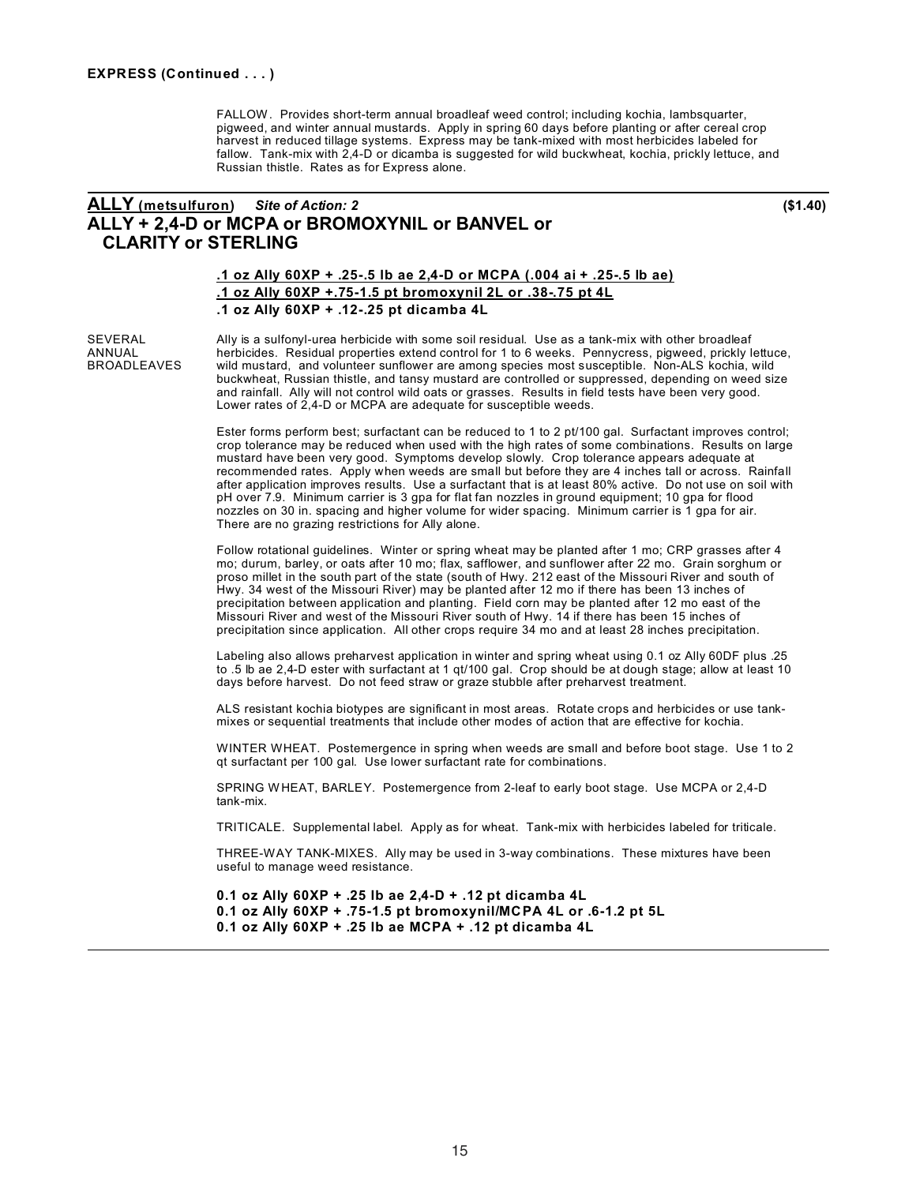FALLOW. Provides short-term annual broadleaf weed control; including kochia, lambsquarter, pigweed, and winter annual mustards. Apply in spring 60 days before planting or after cereal crop harvest in reduced tillage systems. Express may be tank-mixed with most herbicides labeled for fallow. Tank-mix with 2,4-D or dicamba is suggested for wild buckwheat, kochia, prickly lettuce, and Russian thistle. Rates as for Express alone.

### **ALLY (metsulfuron)** *Site of Action: 2* **(\$1.40) ALLY + 2,4-D or MCPA or BROMOXYNIL or BANVEL or CLARITY or STERLING**

### **.1 oz Ally 60XP + .25-.5 lb ae 2,4-D or MCPA (.004 ai + .25-.5 lb ae) .1 oz Ally 60XP +.75-1.5 pt bromoxynil 2L or .38-.75 pt 4L .1 oz Ally 60XP + .12-.25 pt dicamba 4L**

SEVERAL Ally is a sulfonyl-urea herbicide with some soil residual. Use as a tank-mix with other broadleaf<br>ANNUAL herbicides. Residual properties extend control for 1 to 6 weeks. Pennycress, piqweed, prickly l ANNUAL herbicides. Residual properties extend control for 1 to 6 weeks. Pennycress, pigweed, prickly lettuce,<br>BROADLEAVES wild mustard, and volunteer sunflower are among species most susceptible. Non-ALS kochia, wild wild mustard, and volunteer sunflower are among species most susceptible. Non-ALS kochia, wild buckwheat, Russian thistle, and tansy mustard are controlled or suppressed, depending on weed size and rainfall. Ally will not control wild oats or grasses. Results in field tests have been very good. Lower rates of 2,4-D or MCPA are adequate for susceptible weeds.

> Ester forms perform best; surfactant can be reduced to 1 to 2 pt/100 gal. Surfactant improves control; crop tolerance may be reduced when used with the high rates of some combinations. Results on large mustard have been very good. Symptoms develop slowly. Crop tolerance appears adequate at recommended rates. Apply when weeds are small but before they are 4 inches tall or across. Rainfall after application improves results. Use a surfactant that is at least 80% active. Do not use on soil with pH over 7.9. Minimum carrier is 3 gpa for flat fan nozzles in ground equipment; 10 gpa for flood nozzles on 30 in. spacing and higher volume for wider spacing. Minimum carrier is 1 gpa for air. There are no grazing restrictions for Ally alone.

Follow rotational guidelines. Winter or spring wheat may be planted after 1 mo; CRP grasses after 4 mo; durum, barley, or oats after 10 mo; flax, safflower, and sunflower after 22 mo. Grain sorghum or proso millet in the south part of the state (south of Hwy. 212 east of the Missouri River and south of Hwy. 34 west of the Missouri River) may be planted after 12 mo if there has been 13 inches of precipitation between application and planting. Field corn may be planted after 12 mo east of the Missouri River and west of the Missouri River south of Hwy. 14 if there has been 15 inches of precipitation since application. All other crops require 34 mo and at least 28 inches precipitation.

Labeling also allows preharvest application in winter and spring wheat using 0.1 oz Ally 60DF plus .25 to .5 lb ae 2,4-D ester with surfactant at 1 qt/100 gal. Crop should be at dough stage; allow at least 10 days before harvest. Do not feed straw or graze stubble after preharvest treatment.

ALS resistant kochia biotypes are significant in most areas. Rotate crops and herbicides or use tankmixes or sequential treatments that include other modes of action that are effective for kochia.

WINTER WHEAT. Postemergence in spring when weeds are small and before boot stage. Use 1 to 2 qt surfactant per 100 gal. Use lower surfactant rate for combinations.

SPRING W HEAT, BARLEY. Postemergence from 2-leaf to early boot stage. Use MCPA or 2,4-D tank-mix.

TRITICALE. Supplemental label. Apply as for wheat. Tank-mix with herbicides labeled for triticale.

THREE-WAY TANK-MIXES. Ally may be used in 3-way combinations. These mixtures have been useful to manage weed resistance.

**0.1 oz Ally 60XP + .25 lb ae 2,4-D + .12 pt dicamba 4L 0.1 oz Ally 60XP + .75-1.5 pt bromoxynil/MCPA 4L or .6-1.2 pt 5L 0.1 oz Ally 60XP + .25 lb ae MCPA + .12 pt dicamba 4L**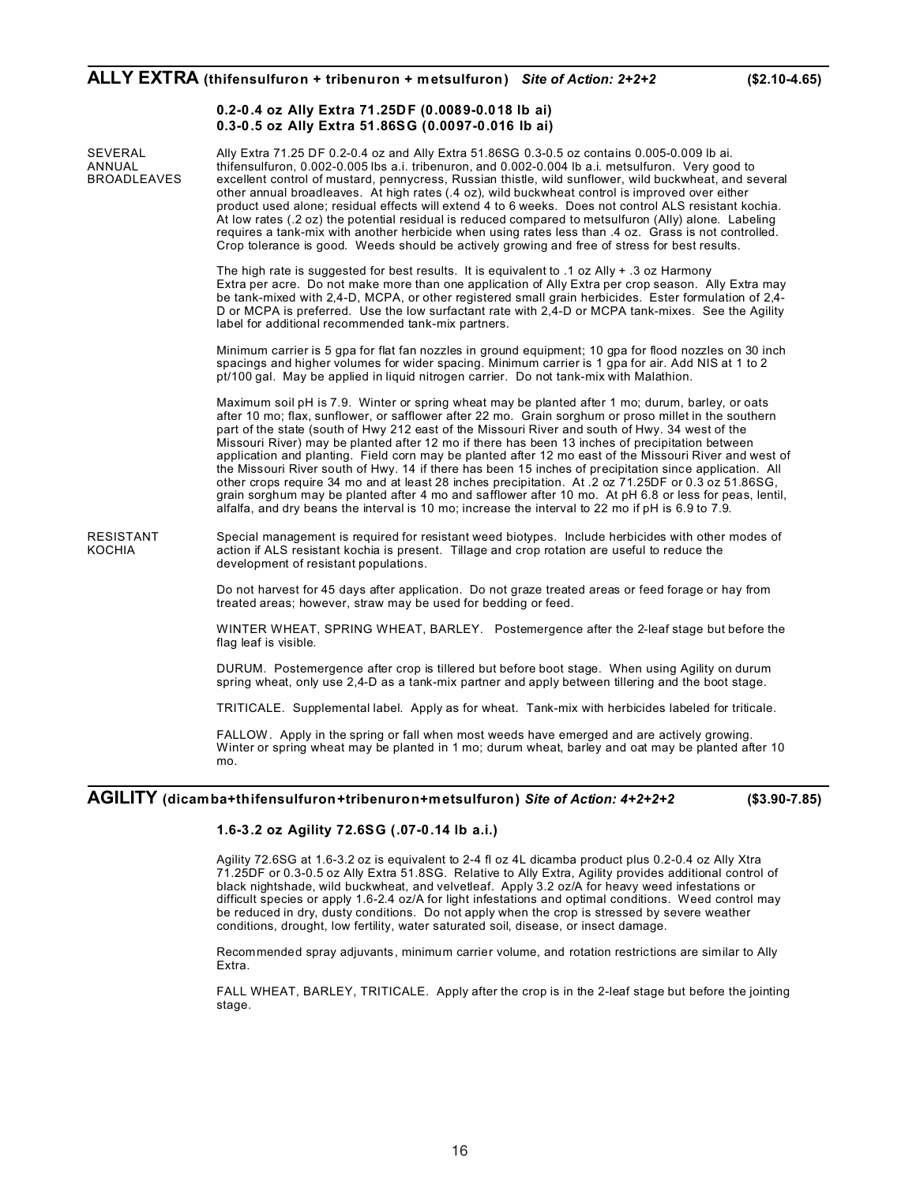### **ALLY EXTRA (thifensulfuron + tribenuron + metsulfuron)** *Site of Action: 2+2+2* **(\$2.10-4.65)**

### **0.2-0.4 oz Ally Extra 71.25DF (0.0089-0.018 lb ai) 0.3-0.5 oz Ally Extra 51.86SG (0.0097-0.016 lb ai)**

SEVERAL Ally Extra 71.25 DF 0.2-0.4 oz and Ally Extra 51.86SG 0.3-0.5 oz contains 0.005-0.009 lb ai.<br>ANNUAL thifensulfuron, 0.002-0.005 lbs a.i. tribenuron, and 0.002-0.004 lb a.i. metsulfuron. Very goo ANNUAL thifensulfuron, 0.002-0.005 lbs a.i. tribenuron, and 0.002-0.004 lb a.i. metsulfuron. Very good to<br>BROADLEAVES excellent control of mustard. pennycress. Russian thistle. wild sunflower. wild buckwheat. and se excellent control of mustard, pennycress, Russian thistle, wild sunflower, wild buckwheat, and several other annual broadleaves. At high rates (.4 oz), wild buckwheat control is improved over either product used alone; residual effects will extend 4 to 6 weeks. Does not control ALS resistant kochia. At low rates (.2 oz) the potential residual is reduced compared to metsulfuron (Ally) alone. Labeling requires a tank-mix with another herbicide when using rates less than .4 oz. Grass is not controlled. Crop tolerance is good. Weeds should be actively growing and free of stress for best results. The high rate is suggested for best results. It is equivalent to .1 oz Ally + .3 oz Harmony Extra per acre. Do not make more than one application of Ally Extra per crop season. Ally Extra may be tank-mixed with 2,4-D, MCPA, or other registered small grain herbicides. Ester formulation of 2,4- D or MCPA is preferred. Use the low surfactant rate with 2,4-D or MCPA tank-mixes. See the Agility label for additional recommended tank-mix partners. Minimum carrier is 5 gpa for flat fan nozzles in ground equipment; 10 gpa for flood nozzles on 30 inch spacings and higher volumes for wider spacing. Minimum carrier is 1 gpa for air. Add NIS at 1 to 2 pt/100 gal. May be applied in liquid nitrogen carrier. Do not tank-mix with Malathion. Maximum soil pH is 7.9. Winter or spring wheat may be planted after 1 mo; durum, barley, or oats after 10 mo; flax, sunflower, or safflower after 22 mo. Grain sorghum or proso millet in the southern part of the state (south of Hwy 212 east of the Missouri River and south of Hwy. 34 west of the Missouri River) may be planted after 12 mo if there has been 13 inches of precipitation between application and planting. Field corn may be planted after 12 mo east of the Missouri River and west of the Missouri River south of Hwy. 14 if there has been 15 inches of precipitation since application. All other crops require 34 mo and at least 28 inches precipitation. At .2 oz 71.25DF or 0.3 oz 51.86SG, grain sorghum may be planted after 4 mo and safflower after 10 mo. At pH 6.8 or less for peas, lentil, alfalfa, and dry beans the interval is 10 mo; increase the interval to 22 mo if pH is 6.9 to 7.9. RESISTANT Special management is required for resistant weed biotypes. Include herbicides with other modes of <br>KOCHIA action if ALS resistant kochia is present. Tillage and crop rotation are useful to reduce the action if ALS resistant kochia is present. Tillage and crop rotation are useful to reduce the development of resistant populations. Do not harvest for 45 days after application. Do not graze treated areas or feed forage or hay from treated areas; however, straw may be used for bedding or feed. WINTER WHEAT, SPRING WHEAT, BARLEY. Postemergence after the 2-leaf stage but before the flag leaf is visible. DURUM. Postemergence after crop is tillered but before boot stage. When using Agility on durum spring wheat, only use 2,4-D as a tank-mix partner and apply between tillering and the boot stage. TRITICALE. Supplemental label. Apply as for wheat. Tank-mix with herbicides labeled for triticale. FALLOW. Apply in the spring or fall when most weeds have emerged and are actively growing. Winter or spring wheat may be planted in 1 mo; durum wheat, barley and oat may be planted after 10 mo.

### **AGILITY (dicamba+thifensulfuron+tribenuron+metsulfuron)** *Site of Action: 4+2+2+2* **(\$3.90-7.85)**

### **1.6-3.2 oz Agility 72.6SG (.07-0.14 lb a.i.)**

Agility 72.6SG at 1.6-3.2 oz is equivalent to 2-4 fl oz 4L dicamba product plus 0.2-0.4 oz Ally Xtra 71.25DF or 0.3-0.5 oz Ally Extra 51.8SG. Relative to Ally Extra, Agility provides additional control of black nightshade, wild buckwheat, and velvetleaf. Apply 3.2 oz/A for heavy weed infestations or difficult species or apply 1.6-2.4 oz/A for light infestations and optimal conditions. Weed control may be reduced in dry, dusty conditions. Do not apply when the crop is stressed by severe weather conditions, drought, low fertility, water saturated soil, disease, or insect damage.

Recommended spray adjuvants, minimum carrier volume, and rotation restrictions are similar to Ally Extra.

FALL WHEAT, BARLEY, TRITICALE. Apply after the crop is in the 2-leaf stage but before the jointing stage.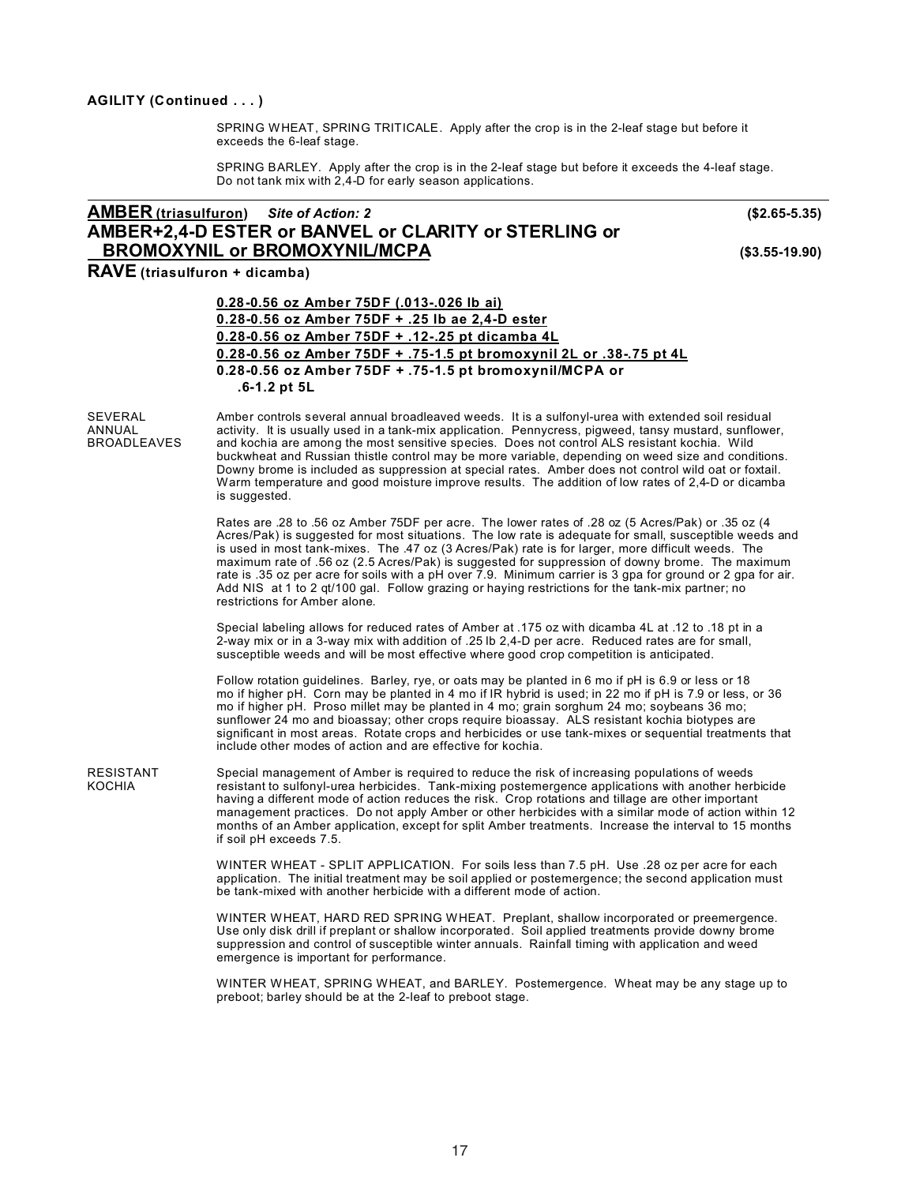### **AGILITY (Continued . . . )**

SPRING WHEAT, SPRING TRITICALE. Apply after the crop is in the 2-leaf stage but before it exceeds the 6-leaf stage.

SPRING BARLEY. Apply after the crop is in the 2-leaf stage but before it exceeds the 4-leaf stage. Do not tank mix with 2,4-D for early season applications.

### **AMBER (triasulfuron)** *Site of Action: 2* **(\$2.65-5.35) AMBER+2,4-D ESTER or BANVEL or CLARITY or STERLING or BROMOXYNIL or BROMOXYNIL/MCPA (\$3.55-19.90)**

**RAVE (triasulfuron + dicamba)**

| 0.28-0.56 oz Amber 75DF (.013-.026 lb ai)                           |
|---------------------------------------------------------------------|
| 0.28-0.56 oz Amber 75DF $+$ .25 lb ae 2.4-D ester                   |
| 0.28-0.56 oz Amber 75DF + .12-.25 pt dicamba 4L                     |
| 0.28-0.56 oz Amber 75DF + .75-1.5 pt bromoxynil 2L or .38-.75 pt 4L |
| 0.28-0.56 oz Amber 75DF + .75-1.5 pt bromoxynil/MCPA or             |
| $.6 - 1.2$ pt 5L                                                    |

SEVERAL Amber controls several annual broadleaved weeds. It is a sulfonyl-urea with extended soil residual<br>ANNUAL activity. It is usually used in a tank-mix application. Pennycress, piqweed, tansy mustard, sunflowe ANNUAL activity. It is usually used in a tank-mix application. Pennycress, pigweed, tansy mustard, sunflower, <br>BROADLEAVES and kochia are among the most sensitive species. Does not control ALS resistant kochia. Wild and kochia are among the most sensitive species. Does not control ALS resistant kochia. Wild buckwheat and Russian thistle control may be more variable, depending on weed size and conditions. Downy brome is included as suppression at special rates. Amber does not control wild oat or foxtail. Warm temperature and good moisture improve results. The addition of low rates of 2,4-D or dicamba is suggested.

> Rates are .28 to .56 oz Amber 75DF per acre. The lower rates of .28 oz (5 Acres/Pak) or .35 oz (4 Acres/Pak) is suggested for most situations. The low rate is adequate for small, susceptible weeds and is used in most tank-mixes. The .47 oz (3 Acres/Pak) rate is for larger, more difficult weeds. The maximum rate of .56 oz (2.5 Acres/Pak) is suggested for suppression of downy brome. The maximum rate is .35 oz per acre for soils with a pH over 7.9. Minimum carrier is 3 gpa for ground or 2 gpa for air. Add NIS at 1 to 2 qt/100 gal. Follow grazing or haying restrictions for the tank-mix partner; no restrictions for Amber alone.

Special labeling allows for reduced rates of Amber at .175 oz with dicamba 4L at .12 to .18 pt in a 2-way mix or in a 3-way mix with addition of .25 lb 2,4-D per acre. Reduced rates are for small, susceptible weeds and will be most effective where good crop competition is anticipated.

Follow rotation guidelines. Barley, rye, or oats may be planted in 6 mo if pH is 6.9 or less or 18 mo if higher pH. Corn may be planted in 4 mo if IR hybrid is used; in 22 mo if pH is 7.9 or less, or 36 mo if higher pH. Proso millet may be planted in 4 mo; grain sorghum 24 mo; soybeans 36 mo; sunflower 24 mo and bioassay; other crops require bioassay. ALS resistant kochia biotypes are significant in most areas. Rotate crops and herbicides or use tank-mixes or sequential treatments that include other modes of action and are effective for kochia.

RESISTANT Special management of Amber is required to reduce the risk of increasing populations of weeds<br>KOCHIA resistant to sulfonyl-urea herbicides. Tank-mixing postemergence applications with another herb resistant to sulfonyl-urea herbicides. Tank-mixing postemergence applications with another herbicide having a different mode of action reduces the risk. Crop rotations and tillage are other important management practices. Do not apply Amber or other herbicides with a similar mode of action within 12 months of an Amber application, except for split Amber treatments. Increase the interval to 15 months if soil pH exceeds 7.5.

> WINTER WHEAT - SPLIT APPLICATION. For soils less than 7.5 pH. Use .28 oz per acre for each application. The initial treatment may be soil applied or postemergence; the second application must be tank-mixed with another herbicide with a different mode of action.

> WINTER WHEAT, HARD RED SPRING WHEAT. Preplant, shallow incorporated or preemergence. Use only disk drill if preplant or shallow incorporated. Soil applied treatments provide downy brome suppression and control of susceptible winter annuals. Rainfall timing with application and weed emergence is important for performance.

WINTER WHEAT, SPRING WHEAT, and BARLEY. Postemergence. Wheat may be any stage up to preboot; barley should be at the 2-leaf to preboot stage.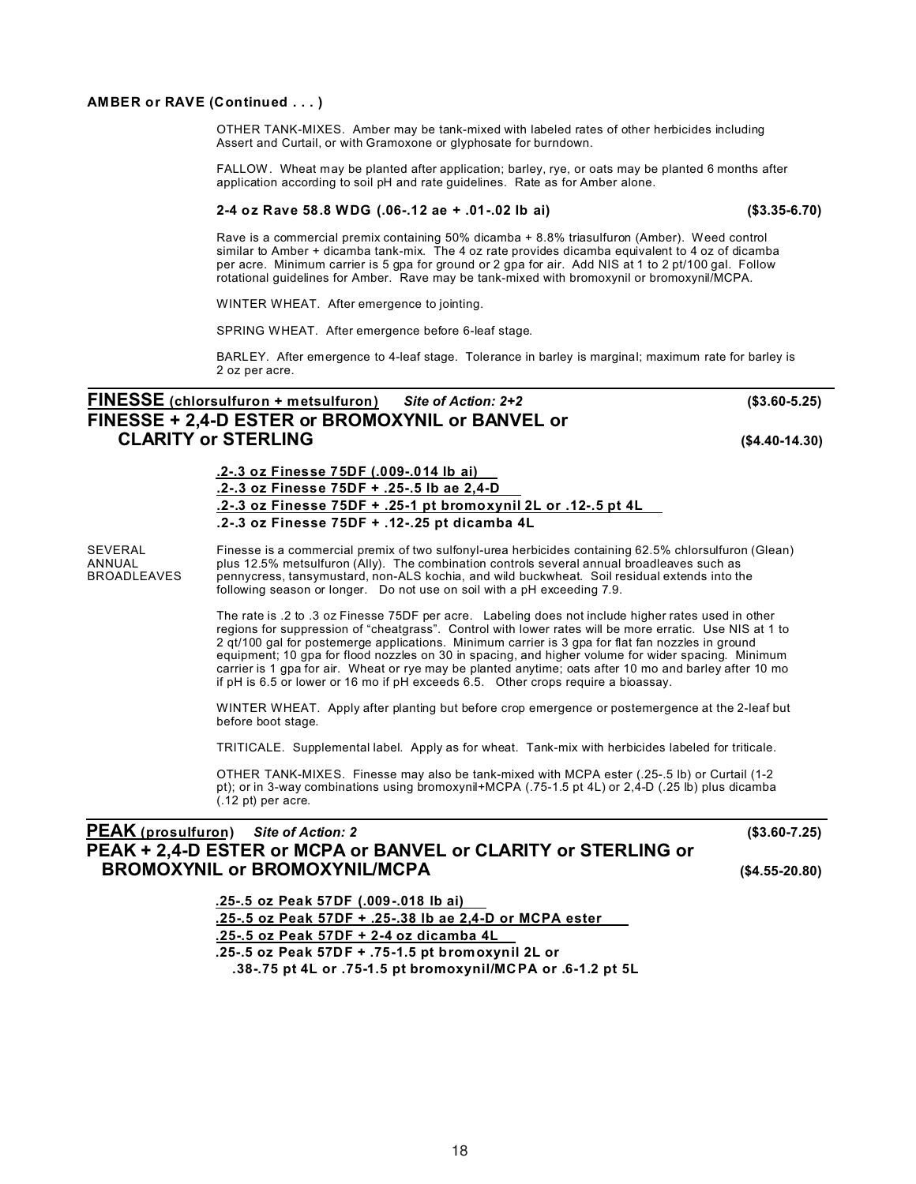### **AMBER or RAVE (Continued . . . )**

OTHER TANK-MIXES. Amber may be tank-mixed with labeled rates of other herbicides including Assert and Curtail, or with Gramoxone or glyphosate for burndown.

FALLOW. Wheat may be planted after application; barley, rye, or oats may be planted 6 months after application according to soil pH and rate guidelines. Rate as for Amber alone.

#### **2-4 oz Rave 58.8 WDG (.06-.12 ae + .01-.02 lb ai) (\$3.35-6.70)**

Rave is a commercial premix containing 50% dicamba + 8.8% triasulfuron (Amber). Weed control similar to Amber + dicamba tank-mix. The 4 oz rate provides dicamba equivalent to 4 oz of dicamba per acre. Minimum carrier is 5 gpa for ground or 2 gpa for air. Add NIS at 1 to 2 pt/100 gal. Follow rotational guidelines for Amber. Rave may be tank-mixed with bromoxynil or bromoxynil/MCPA.

WINTER WHEAT. After emergence to jointing.

SPRING WHEAT. After emergence before 6-leaf stage.

BARLEY. After emergence to 4-leaf stage. Tolerance in barley is marginal; maximum rate for barley is 2 oz per acre.

## **FINESSE (chlorsulfuron + metsulfuron)** *Site of Action: 2+2* **(\$3.60-5.25) FINESSE + 2,4-D ESTER or BROMOXYNIL or BANVEL or CLARITY or STERLING (\$4.40-14.30)**

### **.2-.3 oz Finesse 75DF (.009-.014 lb ai) .2-.3 oz Finesse 75DF + .25-.5 lb ae 2,4-D .2-.3 oz Finesse 75DF + .25-1 pt bromoxynil 2L or .12-.5 pt 4L .2-.3 oz Finesse 75DF + .12-.25 pt dicamba 4L**

SEVERAL Finesse is a commercial premix of two sulfonyl-urea herbicides containing 62.5% chlorsulfuron (Glean)<br>ANNUAL plus 12.5% metsulfuron (Ally). The combination controls several annual broadleaves such as ANNUAL plus 12.5% metsulfuron (Ally). The combination controls several annual broadleaves such as<br>BROADLEAVES pennycress, tansymustard, non-ALS kochia, and wild buckwheat. Soil residual extends into th pennycress, tansymustard, non-ALS kochia, and wild buckwheat. Soil residual extends into the following season or longer. Do not use on soil with a pH exceeding 7.9.

> The rate is .2 to .3 oz Finesse 75DF per acre. Labeling does not include higher rates used in other regions for suppression of "cheatgrass". Control with lower rates will be more erratic. Use NIS at 1 to 2 qt/100 gal for postemerge applications. Minimum carrier is 3 gpa for flat fan nozzles in ground equipment; 10 gpa for flood nozzles on 30 in spacing, and higher volume for wider spacing. Minimum carrier is 1 gpa for air. Wheat or rye may be planted anytime; oats after 10 mo and barley after 10 mo if pH is 6.5 or lower or 16 mo if pH exceeds 6.5. Other crops require a bioassay.

> WINTER WHEAT. Apply after planting but before crop emergence or postemergence at the 2-leaf but before boot stage.

TRITICALE. Supplemental label. Apply as for wheat. Tank-mix with herbicides labeled for triticale.

OTHER TANK-MIXES. Finesse may also be tank-mixed with MCPA ester (.25-.5 lb) or Curtail (1-2 pt); or in 3-way combinations using bromoxynil+MCPA (.75-1.5 pt 4L) or  $2,\dot{4}$ -D (.25 lb) plus dicamba (.12 pt) per acre.

### **PEAK (prosulfuron)** *Site of Action: 2* **(\$3.60-7.25) PEAK + 2,4-D ESTER or MCPA or BANVEL or CLARITY or STERLING or BROMOXYNIL or BROMOXYNIL/MCPA (\$4.55-20.80)**

**.25-.5 oz Peak 57DF (.009-.018 lb ai)**

**.25-.5 oz Peak 57DF + .25-.38 lb ae 2,4-D or MCPA ester**

**.25-.5 oz Peak 57DF + 2-4 oz dicamba 4L**

**.25-.5 oz Peak 57DF + .75-1.5 pt bromoxynil 2L or**

**.38-.75 pt 4L or .75-1.5 pt bromoxynil/MCPA or .6-1.2 pt 5L**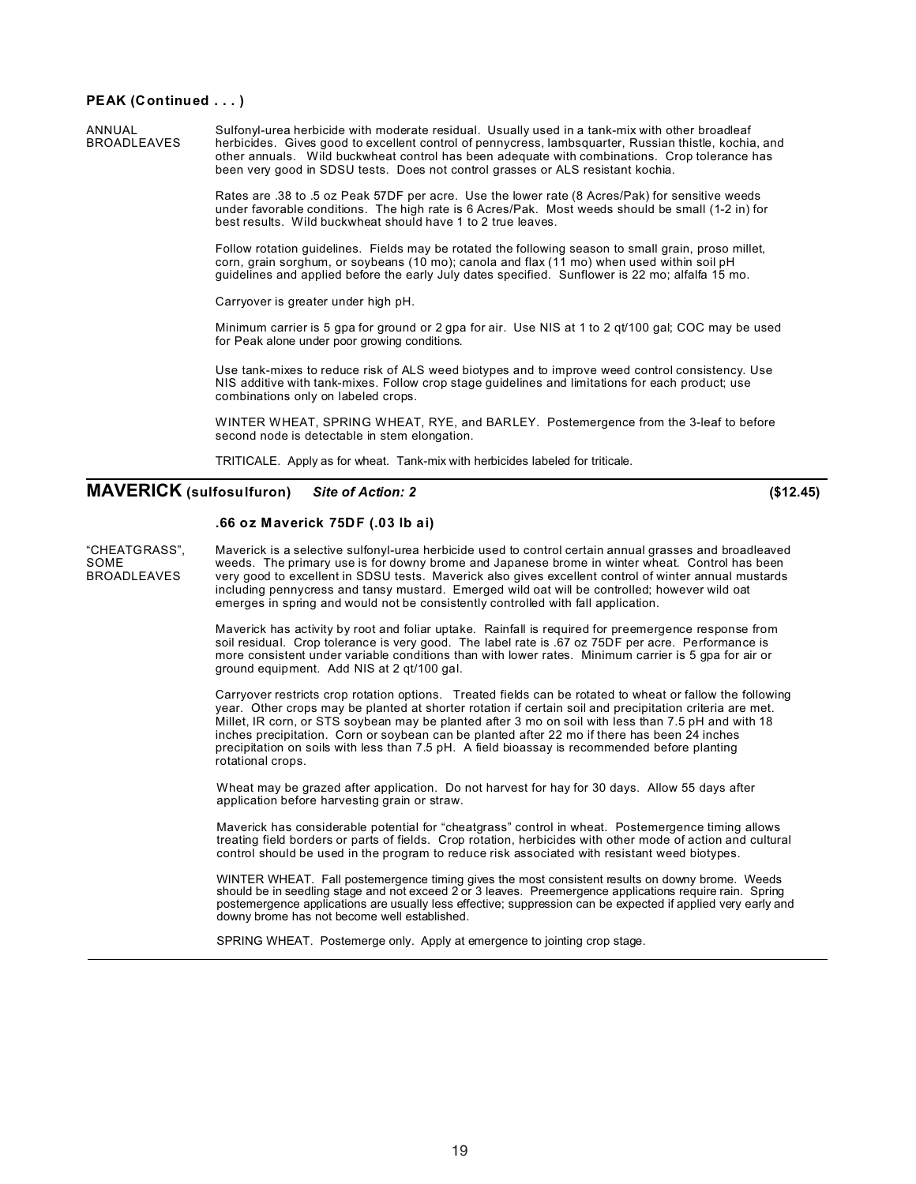#### **PEAK (Continued . . . )**

ANNUAL Sulfonyl-urea herbicide with moderate residual. Usually used in a tank-mix with other broadleaf<br>BROADLEAVES herbicides. Gives good to excellent control of pennycress. lambsquarter. Russian thistle. kochia herbicides. Gives good to excellent control of pennycress, lambsquarter, Russian thistle, kochia, and other annuals. Wild buckwheat control has been adequate with combinations. Crop tolerance has been very good in SDSU tests. Does not control grasses or ALS resistant kochia.

> Rates are .38 to .5 oz Peak 57DF per acre. Use the lower rate (8 Acres/Pak) for sensitive weeds under favorable conditions. The high rate is 6 Acres/Pak. Most weeds should be small (1-2 in) for best results. Wild buckwheat should have 1 to 2 true leaves.

> Follow rotation guidelines. Fields may be rotated the following season to small grain, proso millet, corn, grain sorghum, or soybeans (10 mo); canola and flax (11 mo) when used within soil pH guidelines and applied before the early July dates specified. Sunflower is 22 mo; alfalfa 15 mo.

Carryover is greater under high pH.

Minimum carrier is 5 gpa for ground or 2 gpa for air. Use NIS at 1 to 2 qt/100 gal; COC may be used for Peak alone under poor growing conditions.

Use tank-mixes to reduce risk of ALS weed biotypes and to improve weed control consistency. Use NIS additive with tank-mixes. Follow crop stage guidelines and limitations for each product; use combinations only on labeled crops.

WINTER WHEAT, SPRING WHEAT, RYE, and BARLEY. Postemergence from the 3-leaf to before second node is detectable in stem elongation.

TRITICALE. Apply as for wheat. Tank-mix with herbicides labeled for triticale.

### **MAVERICK (sulfosulfuron)** *Site of Action: 2* **(\$12.45)**

#### **.66 oz Maverick 75DF (.03 lb ai)**

"CHEATGRASS", Maverick is a selective sulfonyl-urea herbicide used to control certain annual grasses and broadleaved<br>SOME states weeds. The primary use is for downy brome and Japanese brome in winter wheat. Control has bee SOME weeds. The primary use is for downy brome and Japanese brome in winter wheat. Control has been<br>BROADLEAVES very good to excellent in SDSU tests. Maverick also gives excellent control of winter annual mustards very good to excellent in SDSU tests. Maverick also gives excellent control of winter annual mustards including pennycress and tansy mustard. Emerged wild oat will be controlled; however wild oat emerges in spring and would not be consistently controlled with fall application.

> Maverick has activity by root and foliar uptake. Rainfall is required for preemergence response from soil residual. Crop tolerance is very good. The label rate is .67 oz 75DF per acre. Performance is more consistent under variable conditions than with lower rates. Minimum carrier is 5 gpa for air or ground equipment. Add NIS at 2 qt/100 gal.

Carryover restricts crop rotation options. Treated fields can be rotated to wheat or fallow the following year. Other crops may be planted at shorter rotation if certain soil and precipitation criteria are met. Millet, IR corn, or STS soybean may be planted after 3 mo on soil with less than 7.5 pH and with 18 inches precipitation. Corn or soybean can be planted after 22 mo if there has been 24 inches precipitation on soils with less than 7.5 pH. A field bioassay is recommended before planting rotational crops.

Wheat may be grazed after application. Do not harvest for hay for 30 days. Allow 55 days after application before harvesting grain or straw.

Maverick has considerable potential for "cheatgrass" control in wheat. Postemergence timing allows treating field borders or parts of fields. Crop rotation, herbicides with other mode of action and cultural control should be used in the program to reduce risk associated with resistant weed biotypes.

WINTER WHEAT. Fall postemergence timing gives the most consistent results on downy brome. Weeds should be in seedling stage and not exceed 2 or 3 leaves. Preemergence applications require rain. Spring postemergence applications are usually less effective; suppression can be expected if applied very early and downy brome has not become well established.

SPRING WHEAT. Postemerge only. Apply at emergence to jointing crop stage.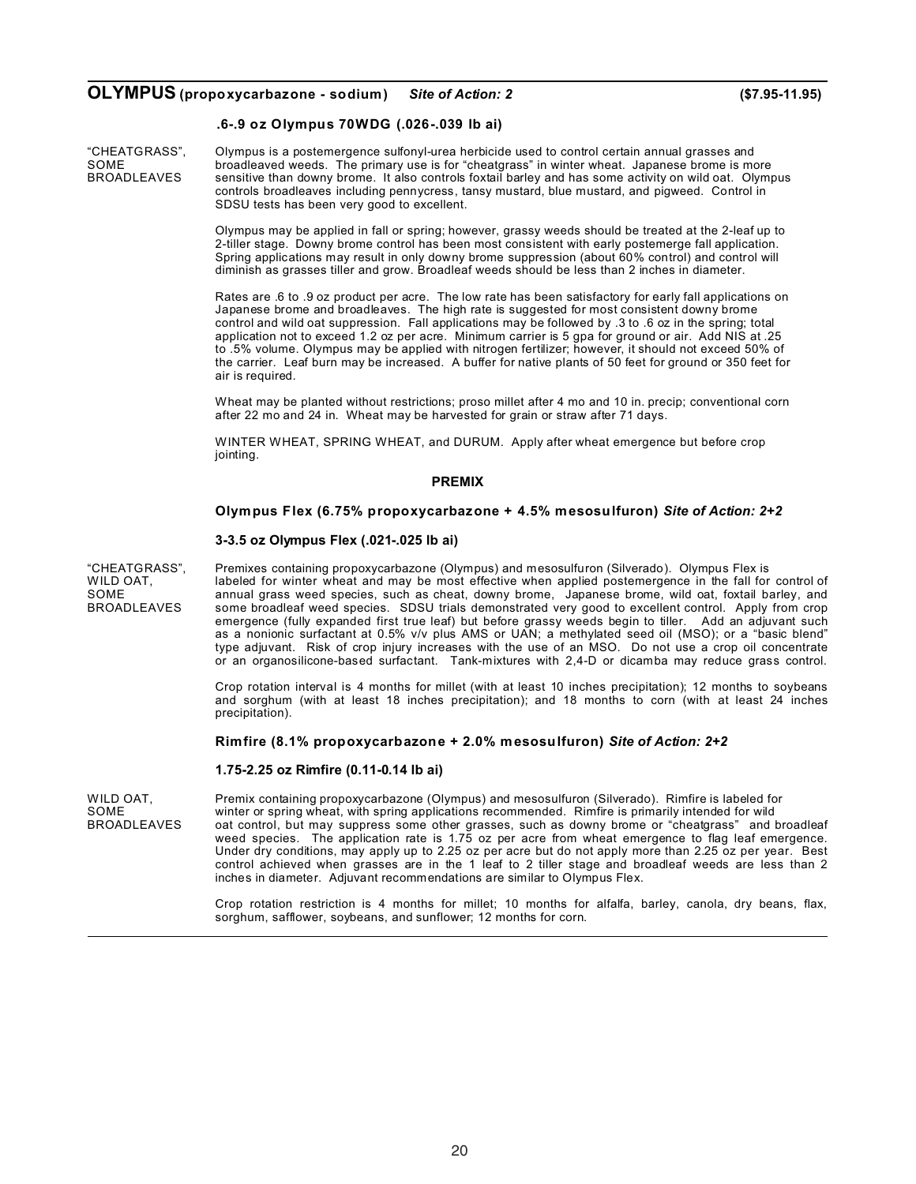### **OLYMPUS (propoxycarbazone - sodium)** *Site of Action: 2* **(\$7.95-11.95)**

### **.6-.9 oz Olympus 70WDG (.026-.039 lb ai)**

"CHEATGRASS", Olympus is a postemergence sulfonyl-urea herbicide used to control certain annual grasses and SOME broadleaved weeds. The primary use is for "cheatgrass" in winter wheat. Japanese brome is more<br>BROADLEAVES sensitive than downy brome. It also controls foxtail barley and has some activity on wild oat. Olym sensitive than downy brome. It also controls foxtail barley and has some activity on wild oat. Olympus controls broadleaves including pennycress, tansy mustard, blue mustard, and pigweed. Control in SDSU tests has been very good to excellent.

> Olympus may be applied in fall or spring; however, grassy weeds should be treated at the 2-leaf up to 2-tiller stage. Downy brome control has been most consistent with early postemerge fall application. Spring applications may result in only downy brome suppression (about 60% control) and control will diminish as grasses tiller and grow. Broadleaf weeds should be less than 2 inches in diameter.

Rates are .6 to .9 oz product per acre. The low rate has been satisfactory for early fall applications on Japanese brome and broadleaves. The high rate is suggested for most consistent downy brome control and wild oat suppression. Fall applications may be followed by .3 to .6 oz in the spring; total application not to exceed 1.2 oz per acre. Minimum carrier is 5 gpa for ground or air. Add NIS at .25 to .5% volume. Olympus may be applied with nitrogen fertilizer; however, it should not exceed 50% of the carrier. Leaf burn may be increased. A buffer for native plants of 50 feet for ground or 350 feet for air is required.

Wheat may be planted without restrictions; proso millet after 4 mo and 10 in. precip; conventional corn after 22 mo and 24 in. Wheat may be harvested for grain or straw after 71 days.

WINTER WHEAT, SPRING WHEAT, and DURUM. Apply after wheat emergence but before crop jointing.

#### **PREMIX**

#### **Olympus Flex (6.75% propoxycarbazone + 4.5% mesosulfuron)** *Site of Action: 2+2*

#### **3-3.5 oz Olympus Flex (.021-.025 lb ai)**

"CHEATGRASS", Premixes containing propoxycarbazone (Olympus) and mesosulfuron (Silverado). Olympus Flex is labeled for winter wheat and may be most effective when applied postemergence in the fall for control of SOME annual grass weed species, such as cheat, downy brome, Japanese brome, wild oat, foxtail barley, and<br>BROADLEAVES some broadleaf weed species. SDSU trials demonstrated very good to excellent control. Apply from crop some broadleaf weed species. SDSU trials demonstrated very good to excellent control. Apply from crop emergence (fully expanded first true leaf) but before grassy weeds begin to tiller. Add an adjuvant such as a nonionic surfactant at 0.5% v/v plus AMS or UAN; a methylated seed oil (MSO); or a "basic blend" type adjuvant. Risk of crop injury increases with the use of an MSO. Do not use a crop oil concentrate or an organosilicone-based surfactant. Tank-mixtures with 2,4-D or dicamba may reduce grass control.

> Crop rotation interval is 4 months for millet (with at least 10 inches precipitation); 12 months to soybeans and sorghum (with at least 18 inches precipitation); and 18 months to corn (with at least 24 inches precipitation).

#### **Rimfire (8.1% propoxycarbazone + 2.0% mesosulfuron)** *Site of Action: 2+2*

#### **1.75-2.25 oz Rimfire (0.11-0.14 lb ai)**

WILD OAT, Premix containing propoxycarbazone (Olympus) and mesosulfuron (Silverado). Rimfire is labeled for wild<br>SOME strained for wild SOME winter or spring wheat, with spring applications recommended. Rimfire is primarily intended for wild<br>BROADLEAVES oat control, but may suppress some other grasses, such as downy brome or "cheatgrass" and b oat control, but may suppress some other grasses, such as downy brome or "cheatgrass" and broadleaf weed species. The application rate is 1.75 oz per acre from wheat emergence to flag leaf emergence. Under dry conditions, may apply up to 2.25 oz per acre but do not apply more than 2.25 oz per year. Best control achieved when grasses are in the 1 leaf to 2 tiller stage and broadleaf weeds are less than 2 inches in diameter. Adjuvant recommendations are similar to Olympus Flex.

> Crop rotation restriction is 4 months for millet; 10 months for alfalfa, barley, canola, dry beans, flax, sorghum, safflower, soybeans, and sunflower; 12 months for corn.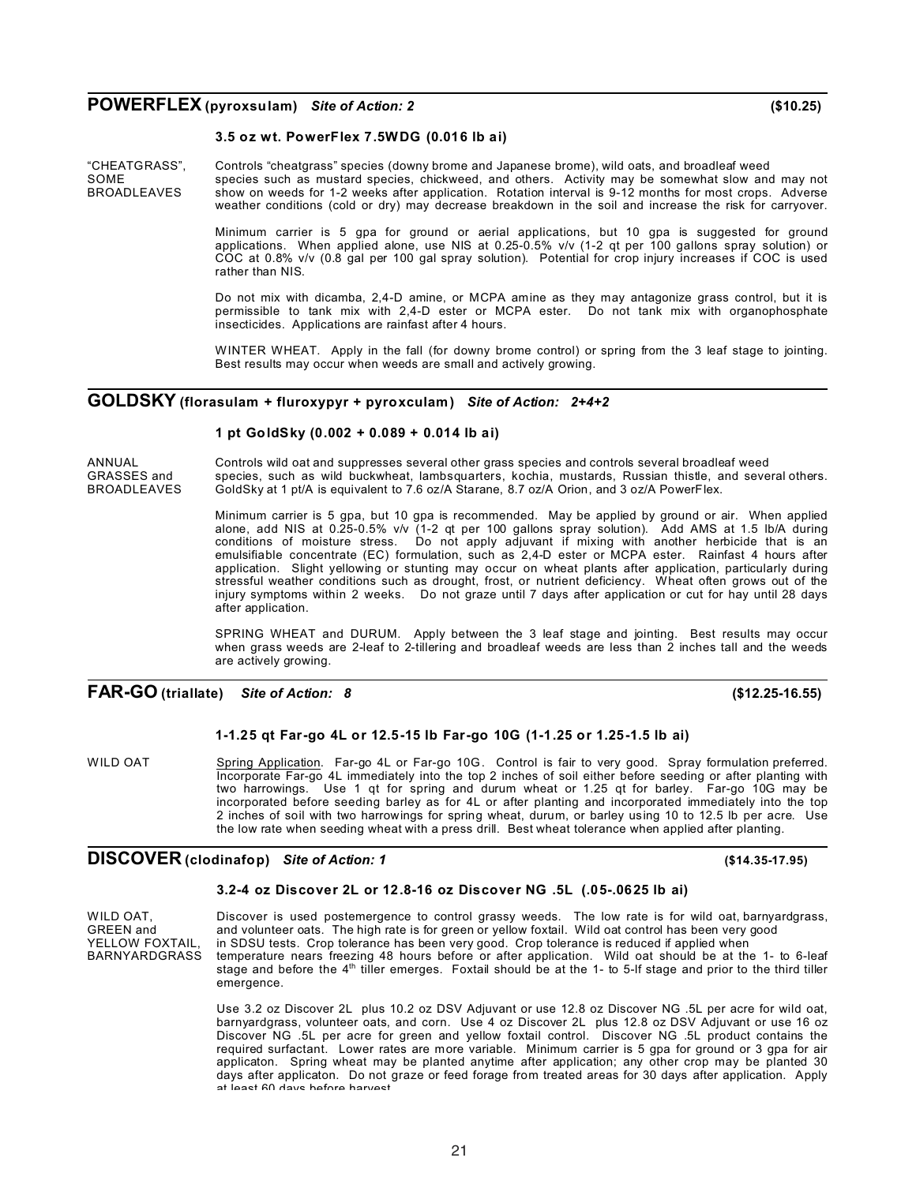### **POWERFLEX (pyroxsulam)** *Site of Action: 2* **(\$10.25)**

### **3.5 oz wt. PowerFlex 7.5WDG (0.016 lb ai)**

"CHEATGRASS", Controls "cheatgrass" species (downy brome and Japanese brome), wild oats, and broadleaf weed SOME species such as mustard species, chickweed, and others. Activity may be somewhat slow and may not<br>BROADLEAVES show on weeds for 1-2 weeks after application. Rotation interval is 9-12 months for most crops. Adverse show on weeds for 1-2 weeks after application. Rotation interval is 9-12 months for most crops. Adverse weather conditions (cold or dry) may decrease breakdown in the soil and increase the risk for carryover.

> Minimum carrier is 5 gpa for ground or aerial applications, but 10 gpa is suggested for ground applications. When applied alone, use NIS at 0.25-0.5% v/v (1-2 qt per 100 gallons spray solution) or COC at 0.8% v/v (0.8 gal per 100 gal spray solution). Potential for crop injury increases if COC is used rather than NIS.

> Do not mix with dicamba, 2,4-D amine, or MCPA amine as they may antagonize grass control, but it is permissible to tank mix with 2,4-D ester or MCPA ester. Do not tank mix with organophosphate insecticides. Applications are rainfast after 4 hours.

> WINTER WHEAT. Apply in the fall (for downy brome control) or spring from the 3 leaf stage to jointing. Best results may occur when weeds are small and actively growing.

### **GOLDSKY (florasulam + fluroxypyr + pyroxculam)** *Site of Action: 2+4+2*

#### **1 pt GoldSky (0.002 + 0.089 + 0.014 lb ai)**

ANNUAL Controls wild oat and suppresses several other grass species and controls several broadleaf weed

GRASSES and species, such as wild buckwheat, lambsquarters, kochia, mustards, Russian thistle, and several others.<br>BROADLEAVES GoldSkv at 1 pt/A is equivalent to 7.6 oz/A Starane, 8.7 oz/A Orion, and 3 oz/A PowerFlex. GoldSky at 1 pt/A is equivalent to 7.6 oz/A Starane, 8.7 oz/A Orion, and 3 oz/A PowerFlex.

> Minimum carrier is 5 gpa, but 10 gpa is recommended. May be applied by ground or air. When applied alone, add NIS at 0.25-0.5% v/v (1-2 qt per 100 gallons spray solution). Add AMS at 1.5 lb/A during conditions of moisture stress. Do not apply adjuvant if mixing with another herbicide that is an emulsifiable concentrate (EC) formulation, such as 2,4-D ester or MCPA ester. Rainfast 4 hours after application. Slight yellowing or stunting may occur on wheat plants after application, particularly during stressful weather conditions such as drought, frost, or nutrient deficiency. Wheat often grows out of the injury symptoms within 2 weeks. Do not graze until 7 days after application or cut for hay until 28 days after application.

> SPRING WHEAT and DURUM. Apply between the 3 leaf stage and jointing. Best results may occur when grass weeds are 2-leaf to 2-tillering and broadleaf weeds are less than 2 inches tall and the weeds are actively growing.

### **FAR-GO (triallate)** *Site of Action: 8* **(\$12.25-16.55)**

#### **1-1.25 qt Far-go 4L or 12.5-15 lb Far-go 10G (1-1.25 or 1.25-1.5 lb ai)**

WILD OAT Spring Application. Far-go 4L or Far-go 10G. Control is fair to very good. Spray formulation preferred. Incorporate Far-go 4L immediately into the top 2 inches of soil either before seeding or after planting with two harrowings. Use 1 qt for spring and durum wheat or 1.25 qt for barley. Far-go 10G may be incorporated before seeding barley as for 4L or after planting and incorporated immediately into the top 2 inches of soil with two harrowings for spring wheat, durum, or barley using 10 to 12.5 lb per acre. Use the low rate when seeding wheat with a press drill. Best wheat tolerance when applied after planting.

### **DISCOVER (clodinafop)** *Site of Action: 1* **(\$14.35-17.95)**

#### **3.2-4 oz Discover 2L or 12.8-16 oz Discover NG .5L (.05-.0625 lb ai)**

WILD OAT, Saliscover is used postemergence to control grassy weeds. The low rate is for wild oat, barnyardgrass, GREEN and and volunteer oats. The high rate is for green or yellow foxtail. Wild oat control has been very good YELLOW FOXTAIL, in SDSU tests. Crop tolerance has been very good. Crop tolerance is reduced if applied when<br>BARNYARDGRASS temperature nears freezing 48 hours before or after application. Wild oat should be at the temperature nears freezing 48 hours before or after application. Wild oat should be at the 1- to 6-leaf stage and before the  $4<sup>th</sup>$  tiller emerges. Foxtail should be at the 1- to 5-lf stage and prior to the third tiller emergence.

> Use 3.2 oz Discover 2L plus 10.2 oz DSV Adjuvant or use 12.8 oz Discover NG .5L per acre for wild oat, barnyardgrass, volunteer oats, and corn. Use 4 oz Discover 2L plus 12.8 oz DSV Adjuvant or use 16 oz Discover NG .5L per acre for green and yellow foxtail control. Discover NG .5L product contains the required surfactant. Lower rates are more variable. Minimum carrier is 5 gpa for ground or 3 gpa for air applicaton. Spring wheat may be planted anytime after application; any other crop may be planted 30 days after applicaton. Do not graze or feed forage from treated areas for 30 days after application. Apply at least 60 days before harvest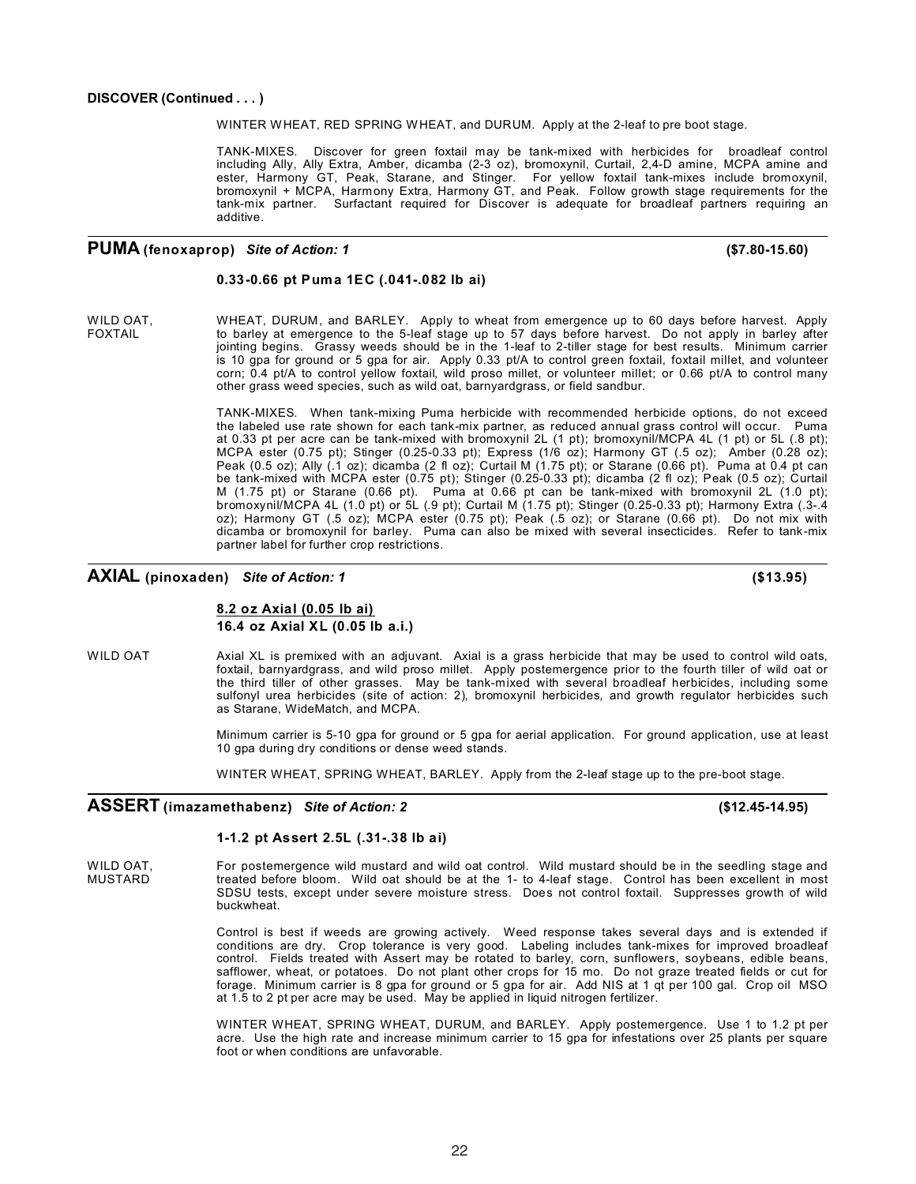WINTER WHEAT, RED SPRING WHEAT, and DURUM. Apply at the 2-leaf to pre boot stage.

TANK-MIXES. Discover for green foxtail may be tank-mixed with herbicides for broadleaf control including Ally, Ally Extra, Amber, dicamba (2-3 oz), bromoxynil, Curtail, 2,4-D amine, MCPA amine and ester, Harmony GT, Peak, Starane, and Stinger. For yellow foxtail tank-mixes include bromoxynil, bromoxynil + MCPA, Harmony Extra, Harmony GT, and Peak. Follow growth stage requirements for the tank-mix partner. Surfactant required for Discover is adequate for broadleaf partners requiring an additive.

### **PUMA (fenoxaprop)** *Site of Action: 1* **(\$7.80-15.60)**

#### **0.33-0.66 pt Puma 1EC (.041-.082 lb ai)**

WILD OAT, WHEAT, DURUM, and BARLEY. Apply to wheat from emergence up to 60 days before harvest. Apply in the B-<br>FOXTAIL FOXTAIL to barley at emergence to the 5-leaf stage up to 57 days before harvest. Do not apply in barle to barley at emergence to the 5-leaf stage up to 57 days before harvest. Do not apply in barley after jointing begins. Grassy weeds should be in the 1-leaf to 2-tiller stage for best results. Minimum carrier is 10 gpa for ground or 5 gpa for air. Apply 0.33 pt/A to control green foxtail, foxtail millet, and volunteer corn; 0.4 pt/A to control yellow foxtail, wild proso millet, or volunteer millet; or 0.66 pt/A to control many other grass weed species, such as wild oat, barnyardgrass, or field sandbur.

> TANK-MIXES. When tank-mixing Puma herbicide with recommended herbicide options, do not exceed the labeled use rate shown for each tank-mix partner, as reduced annual grass control will occur. Puma at 0.33 pt per acre can be tank-mixed with bromoxynil 2L (1 pt); bromoxynil/MCPA 4L (1 pt) or 5L (.8 pt); MCPA ester (0.75 pt); Stinger (0.25-0.33 pt); Express (1/6 oz); Harmony GT (.5 oz); Amber (0.28 oz); Peak (0.5 oz); Ally (.1 oz); dicamba (2 fl oz); Curtail M (1.75 pt); or Starane (0.66 pt). Puma at 0.4 pt can be tank-mixed with MCPA ester (0.75 pt); Stinger (0.25-0.33 pt); dicamba (2 fl oz); Peak (0.5 oz); Curtail M (1.75 pt) or Starane (0.66 pt). Puma at 0.66 pt can be tank-mixed with bromoxynil 2L (1.0 pt); bromoxynil/MCPA 4L (1.0 pt) or 5L (.9 pt); Curtail M (1.75 pt); Stinger (0.25-0.33 pt); Harmony Extra (.3-.4 oz); Harmony GT (.5 oz); MCPA ester (0.75 pt); Peak (.5 oz); or Starane (0.66 pt). Do not mix with dicamba or bromoxynil for barley. Puma can also be mixed with several insecticides. Refer to tank-mix partner label for further crop restrictions.

### **AXIAL (pinoxaden)** *Site of Action: 1* **(\$13.95)**

### **8.2 oz Axial (0.05 lb ai) 16.4 oz Axial XL (0.05 lb a.i.)**

WILD OAT Axial XL is premixed with an adjuvant. Axial is a grass herbicide that may be used to control wild oats, foxtail, barnyardgrass, and wild proso millet. Apply postemergence prior to the fourth tiller of wild oat or the third tiller of other grasses. May be tank-mixed with several broadleaf herbicides, including some sulfonyl urea herbicides (site of action: 2), bromoxynil herbicides, and growth regulator herbicides such as Starane, WideMatch, and MCPA.

> Minimum carrier is 5-10 gpa for ground or 5 gpa for aerial application. For ground application, use at least 10 gpa during dry conditions or dense weed stands.

WINTER WHEAT, SPRING WHEAT, BARLEY. Apply from the 2-leaf stage up to the pre-boot stage.

### **ASSERT (imazamethabenz)** *Site of Action: 2* **(\$12.45-14.95)**

### **1-1.2 pt Assert 2.5L (.31-.38 lb ai)**

WILD OAT, For postemergence wild mustard and wild oat control. Wild mustard should be in the seedling stage and<br>MUSTARD treated before bloom. Wild oat should be at the 1- to 4-leaf stage. Control has been excellent in most treated before bloom. Wild oat should be at the 1- to 4-leaf stage. Control has been excellent in most SDSU tests, except under severe moisture stress. Does not control foxtail. Suppresses growth of wild buckwheat.

> Control is best if weeds are growing actively. Weed response takes several days and is extended if conditions are dry. Crop tolerance is very good. Labeling includes tank-mixes for improved broadleaf control. Fields treated with Assert may be rotated to barley, corn, sunflowers, soybeans, edible beans, safflower, wheat, or potatoes. Do not plant other crops for 15 mo. Do not graze treated fields or cut for forage. Minimum carrier is 8 gpa for ground or 5 gpa for air. Add NIS at 1 qt per 100 gal. Crop oil MSO at 1.5 to 2 pt per acre may be used. May be applied in liquid nitrogen fertilizer.

> WINTER WHEAT, SPRING WHEAT, DURUM, and BARLEY. Apply postemergence. Use 1 to 1.2 pt per acre. Use the high rate and increase minimum carrier to 15 gpa for infestations over 25 plants per square foot or when conditions are unfavorable.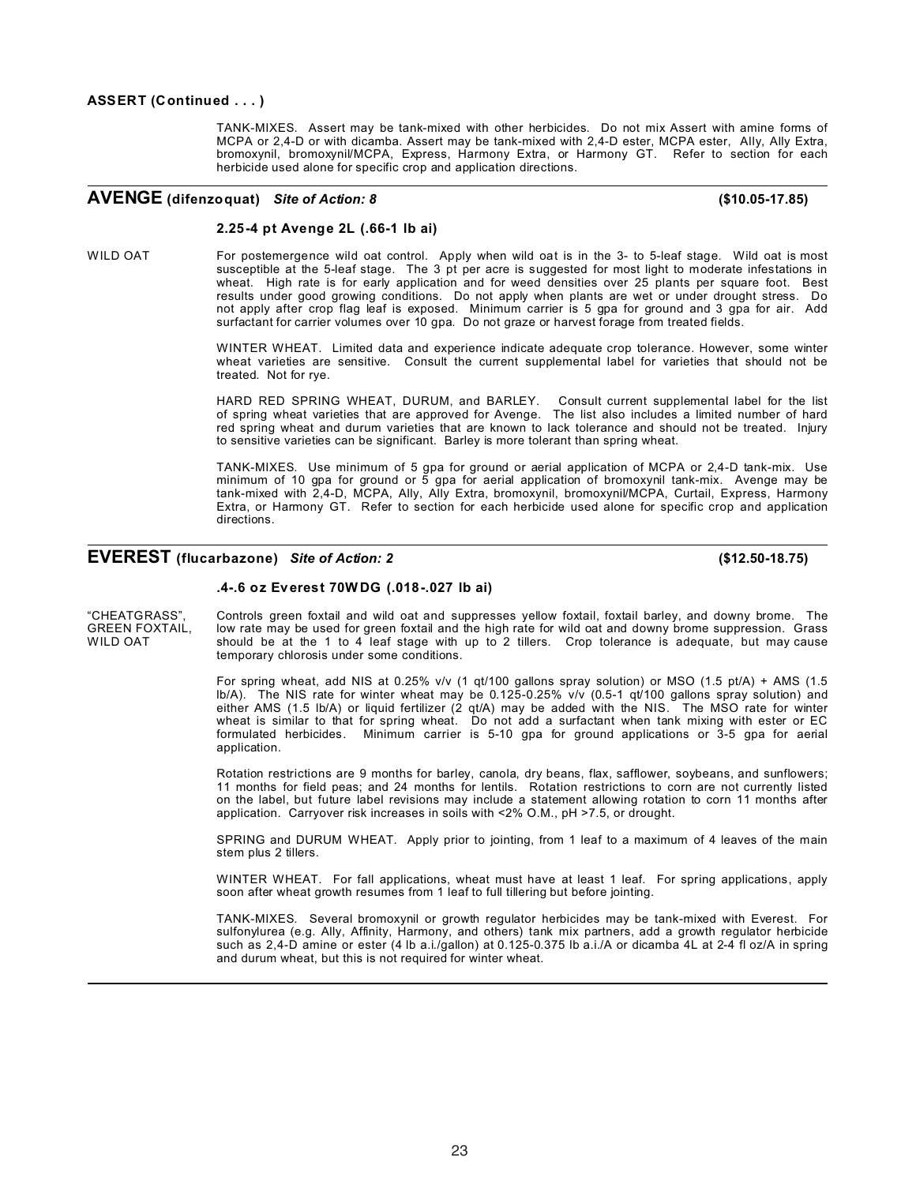TANK-MIXES. Assert may be tank-mixed with other herbicides. Do not mix Assert with amine forms of MCPA or 2,4-D or with dicamba. Assert may be tank-mixed with 2,4-D ester, MCPA ester, Ally, Ally Extra, bromoxynil, bromoxynil/MCPA, Express, Harmony Extra, or Harmony GT. Refer to section for each herbicide used alone for specific crop and application directions.

### **AVENGE (difenzoquat)** *Site of Action: 8* **(\$10.05-17.85)**

#### **2.25-4 pt Avenge 2L (.66-1 lb ai)**

WILD OAT For postemergence wild oat control. Apply when wild oat is in the 3- to 5-leaf stage. Wild oat is most susceptible at the 5-leaf stage. The 3 pt per acre is suggested for most light to moderate infestations in wheat. High rate is for early application and for weed densities over 25 plants per square foot. Best results under good growing conditions. Do not apply when plants are wet or under drought stress. Do not apply after crop flag leaf is exposed. Minimum carrier is 5 gpa for ground and 3 gpa for air. Add surfactant for carrier volumes over 10 gpa. Do not graze or harvest forage from treated fields.

> WINTER WHEAT. Limited data and experience indicate adequate crop tolerance. However, some winter wheat varieties are sensitive. Consult the current supplemental label for varieties that should not be treated. Not for rye.

> HARD RED SPRING WHEAT, DURUM, and BARLEY. Consult current supplemental label for the list of spring wheat varieties that are approved for Avenge. The list also includes a limited number of hard red spring wheat and durum varieties that are known to lack tolerance and should not be treated. Injury to sensitive varieties can be significant. Barley is more tolerant than spring wheat.

> TANK-MIXES. Use minimum of 5 gpa for ground or aerial application of MCPA or 2,4-D tank-mix. Use minimum of 10 gpa for ground or 5 gpa for aerial application of bromoxynil tank-mix. Avenge may be tank-mixed with 2,4-D, MCPA, Ally, Ally Extra, bromoxynil, bromoxynil/MCPA, Curtail, Express, Harmony Extra, or Harmony GT. Refer to section for each herbicide used alone for specific crop and application directions.

### **EVEREST (flucarbazone)** *Site of Action: 2* **(\$12.50-18.75)**

#### **.4-.6 oz Everest 70W DG (.018-.027 lb ai)**

"CHEATGRASS", Controls green foxtail and wild oat and suppresses yellow foxtail, foxtail barley, and downy brome. The<br>GREEN FOXTAIL. Iow rate mav be used for green foxtail and the high rate for wild oat and downy brome sup low rate may be used for green foxtail and the high rate for wild oat and downy brome suppression. Grass WILD OAT should be at the 1 to 4 leaf stage with up to 2 tillers. Crop tolerance is adequate, but may cause temporary chlorosis under some conditions.

> For spring wheat, add NIS at 0.25% v/v (1 qt/100 gallons spray solution) or MSO (1.5 pt/A) + AMS (1.5 lb/A). The NIS rate for winter wheat may be 0.125-0.25% v/v (0.5-1 qt/100 gallons spray solution) and either AMS (1.5 lb/A) or liquid fertilizer (2 qt/A) may be added with the NIS. The MSO rate for winter wheat is similar to that for spring wheat. Do not add a surfactant when tank mixing with ester or EC formulated herbicides. Minimum carrier is 5-10 gpa for ground applications or 3-5 gpa for aerial application.

> Rotation restrictions are 9 months for barley, canola, dry beans, flax, safflower, soybeans, and sunflowers; 11 months for field peas; and 24 months for lentils. Rotation restrictions to corn are not currently listed on the label, but future label revisions may include a statement allowing rotation to corn 11 months after application. Carryover risk increases in soils with <2% O.M., pH >7.5, or drought.

> SPRING and DURUM WHEAT. Apply prior to jointing, from 1 leaf to a maximum of 4 leaves of the main stem plus 2 tillers.

> WINTER WHEAT. For fall applications, wheat must have at least 1 leaf. For spring applications, apply soon after wheat growth resumes from 1 leaf to full tillering but before jointing.

> TANK-MIXES. Several bromoxynil or growth regulator herbicides may be tank-mixed with Everest. For sulfonylurea (e.g. Ally, Affinity, Harmony, and others) tank mix partners, add a growth regulator herbicide such as 2,4-D amine or ester (4 lb a.i./gallon) at 0.125-0.375 lb a.i./A or dicamba 4L at 2-4 fl oz/A in spring and durum wheat, but this is not required for winter wheat.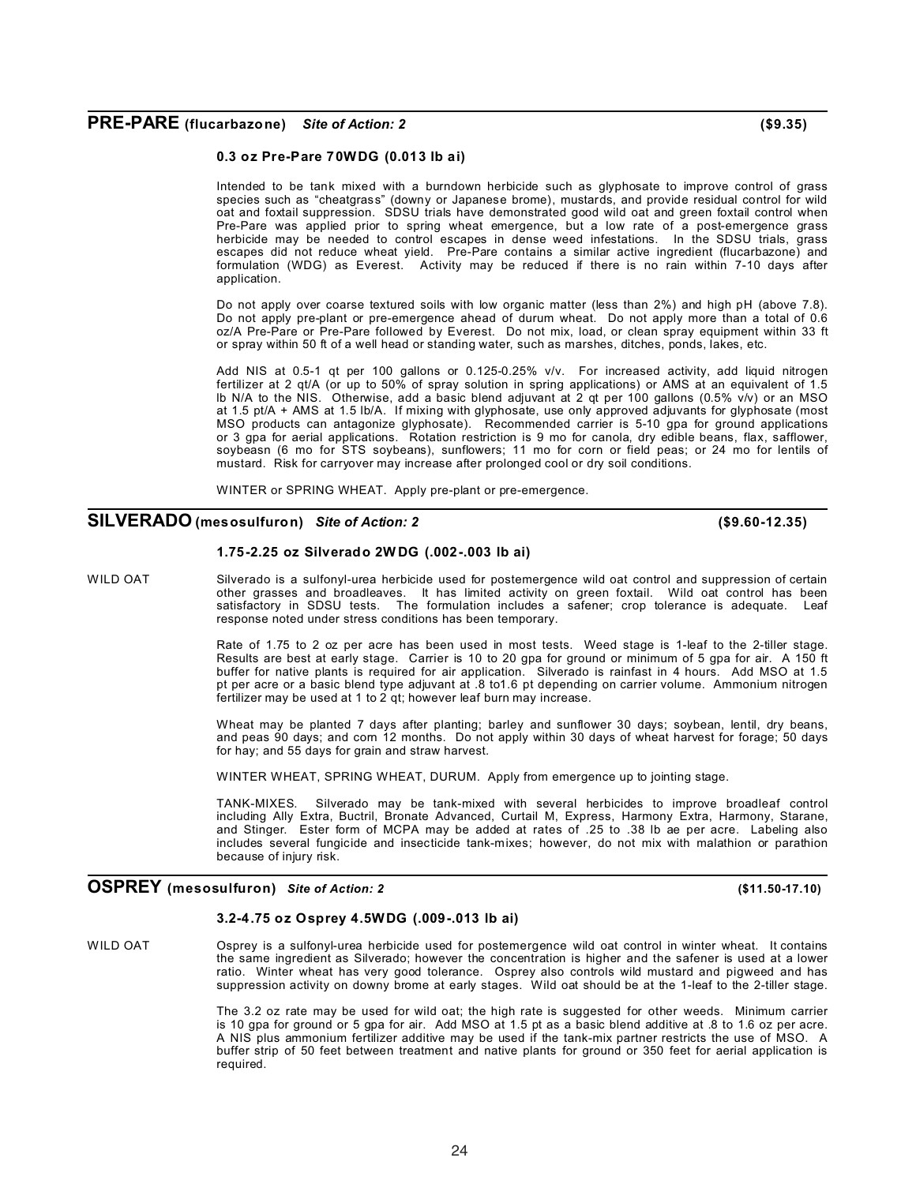### **PRE-PARE (flucarbazone)** *Site of Action: 2* **(\$9.35)**

#### **0.3 oz Pre-Pare 70WDG (0.013 lb ai)**

Intended to be tank mixed with a burndown herbicide such as glyphosate to improve control of grass species such as "cheatgrass" (downy or Japanese brome), mustards, and provide residual control for wild oat and foxtail suppression. SDSU trials have demonstrated good wild oat and green foxtail control when Pre-Pare was applied prior to spring wheat emergence, but a low rate of a post-emergence grass herbicide may be needed to control escapes in dense weed infestations. In the SDSU trials, grass escapes did not reduce wheat yield. Pre-Pare contains a similar active ingredient (flucarbazone) and formulation (WDG) as Everest. Activity may be reduced if there is no rain within 7-10 days after application.

Do not apply over coarse textured soils with low organic matter (less than 2%) and high pH (above 7.8). Do not apply pre-plant or pre-emergence ahead of durum wheat. Do not apply more than a total of 0.6 oz/A Pre-Pare or Pre-Pare followed by Everest. Do not mix, load, or clean spray equipment within 33 ft or spray within 50 ft of a well head or standing water, such as marshes, ditches, ponds, lakes, etc.

Add NIS at 0.5-1 qt per 100 gallons or 0.125-0.25% v/v. For increased activity, add liquid nitrogen fertilizer at 2 qt/A (or up to 50% of spray solution in spring applications) or AMS at an equivalent of 1.5 lb N/A to the NIS. Otherwise, add a basic blend adjuvant at 2 qt per 100 gallons (0.5% v/v) or an MSO at 1.5 pt/A + AMS at 1.5 lb/A. If mixing with glyphosate, use only approved adjuvants for glyphosate (most MSO products can antagonize glyphosate). Recommended carrier is 5-10 gpa for ground applications or 3 gpa for aerial applications. Rotation restriction is 9 mo for canola, dry edible beans, flax, safflower, soybeasn (6 mo for STS soybeans), sunflowers; 11 mo for corn or field peas; or 24 mo for lentils of mustard. Risk for carryover may increase after prolonged cool or dry soil conditions.

WINTER or SPRING WHEAT. Apply pre-plant or pre-emergence.

### **SILVERADO (mesosulfuron)** *Site of Action: 2* **(\$9.60-12.35)**

#### **1.75-2.25 oz Silverado 2W DG (.002-.003 lb ai)**

WILD OAT Silverado is a sulfonyl-urea herbicide used for postemergence wild oat control and suppression of certain other grasses and broadleaves. It has limited activity on green foxtail. Wild oat control has been satisfactory in SDSU tests. The formulation includes a safener; crop tolerance is adequate. Leaf response noted under stress conditions has been temporary.

> Rate of 1.75 to 2 oz per acre has been used in most tests. Weed stage is 1-leaf to the 2-tiller stage. Results are best at early stage. Carrier is 10 to 20 gpa for ground or minimum of 5 gpa for air. A 150 ft buffer for native plants is required for air application. Silverado is rainfast in 4 hours. Add MSO at 1.5 pt per acre or a basic blend type adjuvant at .8 to1.6 pt depending on carrier volume. Ammonium nitrogen fertilizer may be used at 1 to 2 qt; however leaf burn may increase.

> Wheat may be planted 7 days after planting; barley and sunflower 30 days; soybean, lentil, dry beans, and peas 90 days; and corn 12 months. Do not apply within 30 days of wheat harvest for forage; 50 days for hay; and 55 days for grain and straw harvest.

WINTER WHEAT, SPRING WHEAT, DURUM. Apply from emergence up to jointing stage.

TANK-MIXES. Silverado may be tank-mixed with several herbicides to improve broadleaf control including Ally Extra, Buctril, Bronate Advanced, Curtail M, Express, Harmony Extra, Harmony, Starane, and Stinger. Ester form of MCPA may be added at rates of .25 to .38 lb ae per acre. Labeling also includes several fungicide and insecticide tank-mixes; however, do not mix with malathion or parathion because of injury risk.

### **OSPREY (mesosulfuron)** *Site of Action: <sup>2</sup>* **(\$11.50-17.10)**

#### **3.2-4.75 oz Osprey 4.5WDG (.009-.013 lb ai)**

WILD OAT Osprey is a sulfonyl-urea herbicide used for postemergence wild oat control in winter wheat. It contains the same ingredient as Silverado; however the concentration is higher and the safener is used at a lower ratio. Winter wheat has very good tolerance. Osprey also controls wild mustard and pigweed and has suppression activity on downy brome at early stages. Wild oat should be at the 1-leaf to the 2-tiller stage.

> The 3.2 oz rate may be used for wild oat; the high rate is suggested for other weeds. Minimum carrier is 10 gpa for ground or 5 gpa for air. Add MSO at 1.5 pt as a basic blend additive at .8 to 1.6 oz per acre. A NIS plus ammonium fertilizer additive may be used if the tank-mix partner restricts the use of MSO. A buffer strip of 50 feet between treatment and native plants for ground or 350 feet for aerial application is required.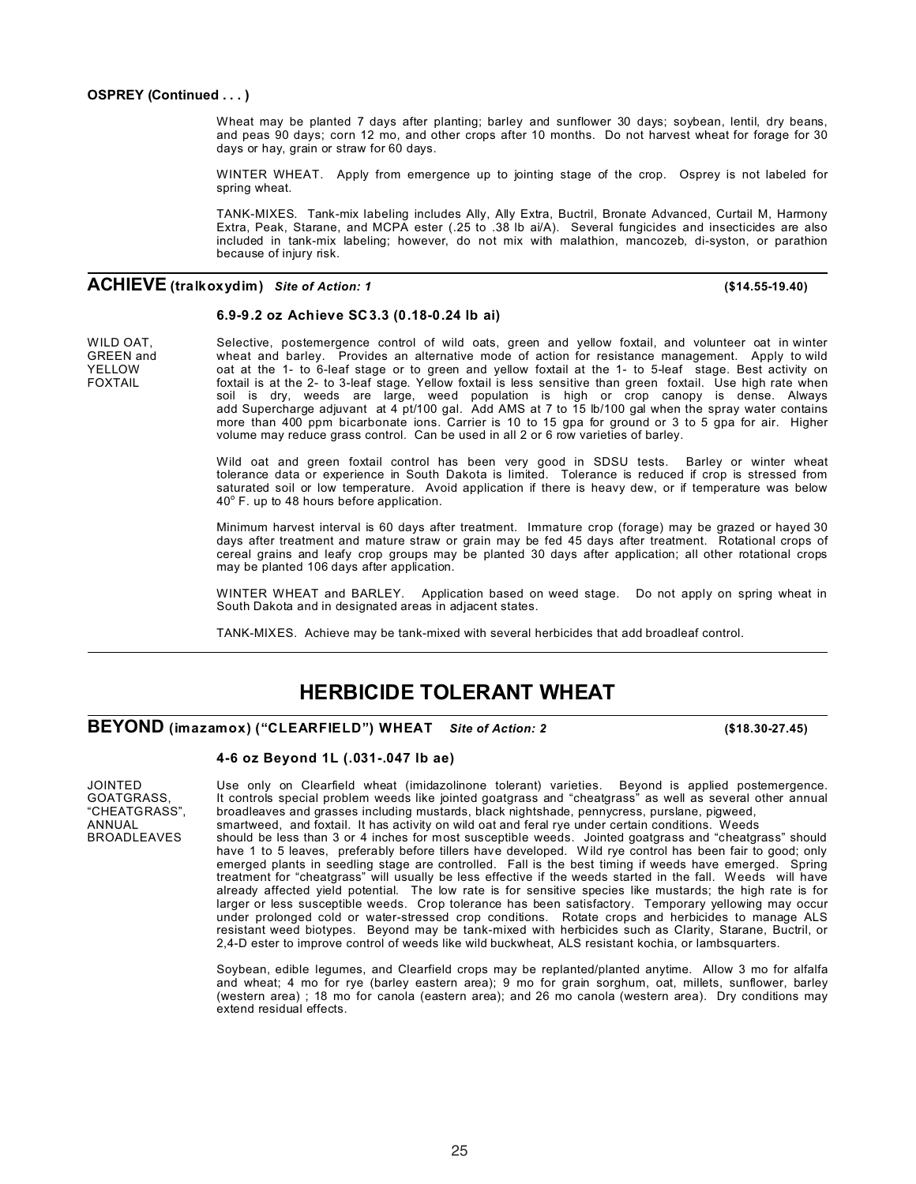#### **OSPREY (Continued . . . )**

Wheat may be planted 7 days after planting; barley and sunflower 30 days; soybean, lentil, dry beans, and peas 90 days; corn 12 mo, and other crops after 10 months. Do not harvest wheat for forage for 30 days or hay, grain or straw for 60 days.

WINTER WHEAT. Apply from emergence up to jointing stage of the crop. Osprey is not labeled for spring wheat.

TANK-MIXES. Tank-mix labeling includes Ally, Ally Extra, Buctril, Bronate Advanced, Curtail M, Harmony Extra, Peak, Starane, and MCPA ester (.25 to .38 lb ai/A). Several fungicides and insecticides are also included in tank-mix labeling; however, do not mix with malathion, mancozeb, di-syston, or parathion because of injury risk.

### **ACHIEVE (tralkoxydim)** *Site of Action: <sup>1</sup>* **(\$14.55-19.40)**

#### **6.9-9.2 oz Achieve SC3.3 (0.18-0.24 lb ai)**

WILD OAT, Selective, postemergence control of wild oats, green and yellow foxtail, and volunteer oat in winter<br>GREEN and wheat and barley. Provides an alternative mode of action for resistance management. Apply to wild GREEN and wheat and barley. Provides an alternative mode of action for resistance management. Apply to wild<br>SELLOW oat at the 1- to 6-leaf stage or to green and vellow foxtail at the 1- to 5-leaf stage. Best activity on YELLOW oat at the 1- to 6-leaf stage or to green and yellow foxtail at the 1- to 5-leaf stage. Best activity on<br>FOXTAIL foxtail is at the 2- to 3-leaf stage. Yellow foxtail is less sensitive than green foxtail. Use high ra foxtail is at the 2- to 3-leaf stage. Yellow foxtail is less sensitive than green foxtail. Use high rate when soil is dry, weeds are large, weed population is high or crop canopy is dense. Always add Supercharge adjuvant at 4 pt/100 gal. Add AMS at 7 to 15 lb/100 gal when the spray water contains more than 400 ppm bicarbonate ions. Carrier is 10 to 15 gpa for ground or 3 to 5 gpa for air. Higher volume may reduce grass control. Can be used in all 2 or 6 row varieties of barley.

> Wild oat and green foxtail control has been very good in SDSU tests. Barley or winter wheat tolerance data or experience in South Dakota is limited. Tolerance is reduced if crop is stressed from saturated soil or low temperature. Avoid application if there is heavy dew, or if temperature was below  $40^\circ$  F. up to 48 hours before application.

> Minimum harvest interval is 60 days after treatment. Immature crop (forage) may be grazed or hayed 30 days after treatment and mature straw or grain may be fed 45 days after treatment. Rotational crops of cereal grains and leafy crop groups may be planted 30 days after application; all other rotational crops may be planted 106 days after application.

> WINTER WHEAT and BARLEY. Application based on weed stage. Do not apply on spring wheat in South Dakota and in designated areas in adjacent states.

TANK-MIXES. Achieve may be tank-mixed with several herbicides that add broadleaf control.

## **HERBICIDE TOLERANT WHEAT**

### **BEYOND (imazamox) ("CLEARFIELD") WHEAT** *Site of Action: <sup>2</sup>* **(\$18.30-27.45)**

#### **4-6 oz Beyond 1L (.031-.047 lb ae)**

JOINTED Use only on Clearfield wheat (imidazolinone tolerant) varieties. Beyond is applied postemergence.<br>GOATGRASS, It controls special problem weeds like jointed goatgrass and "cheatgrass" as well as several other annual GOATGRASS, It controls special problem weeds like jointed goatgrass and "cheatgrass" as well as several other annual<br>"CHEATGRASS", broadleaves and grasses including mustards, black nightshade, pennycress, purslane, pigweed "CHEATGRASS", broadleaves and grasses including mustards, black nightshade, pennycress, purslane, pigweed,

ANNUAL smartweed, and foxtail. It has activity on wild oat and feral rye under certain conditions. Weeds<br>BROADLEAVES should be less than 3 or 4 inches for most susceptible weeds. Jointed goatgrass and "cheatgr BROADLEAVES should be less than 3 or 4 inches for most susceptible weeds. Jointed goatgrass and "cheatgrass" should have 1 to 5 leaves, preferably before tillers have developed. Wild rye control has been fair to good; only emerged plants in seedling stage are controlled. Fall is the best timing if weeds have emerged. Spring treatment for "cheatgrass" will usually be less effective if the weeds started in the fall. Weeds will have already affected yield potential. The low rate is for sensitive species like mustards; the high rate is for larger or less susceptible weeds. Crop tolerance has been satisfactory. Temporary yellowing may occur under prolonged cold or water-stressed crop conditions. Rotate crops and herbicides to manage ALS resistant weed biotypes. Beyond may be tank-mixed with herbicides such as Clarity, Starane, Buctril, or 2,4-D ester to improve control of weeds like wild buckwheat, ALS resistant kochia, or lambsquarters.

> Soybean, edible legumes, and Clearfield crops may be replanted/planted anytime. Allow 3 mo for alfalfa and wheat; 4 mo for rye (barley eastern area); 9 mo for grain sorghum, oat, millets, sunflower, barley (western area) ; 18 mo for canola (eastern area); and 26 mo canola (western area). Dry conditions may extend residual effects.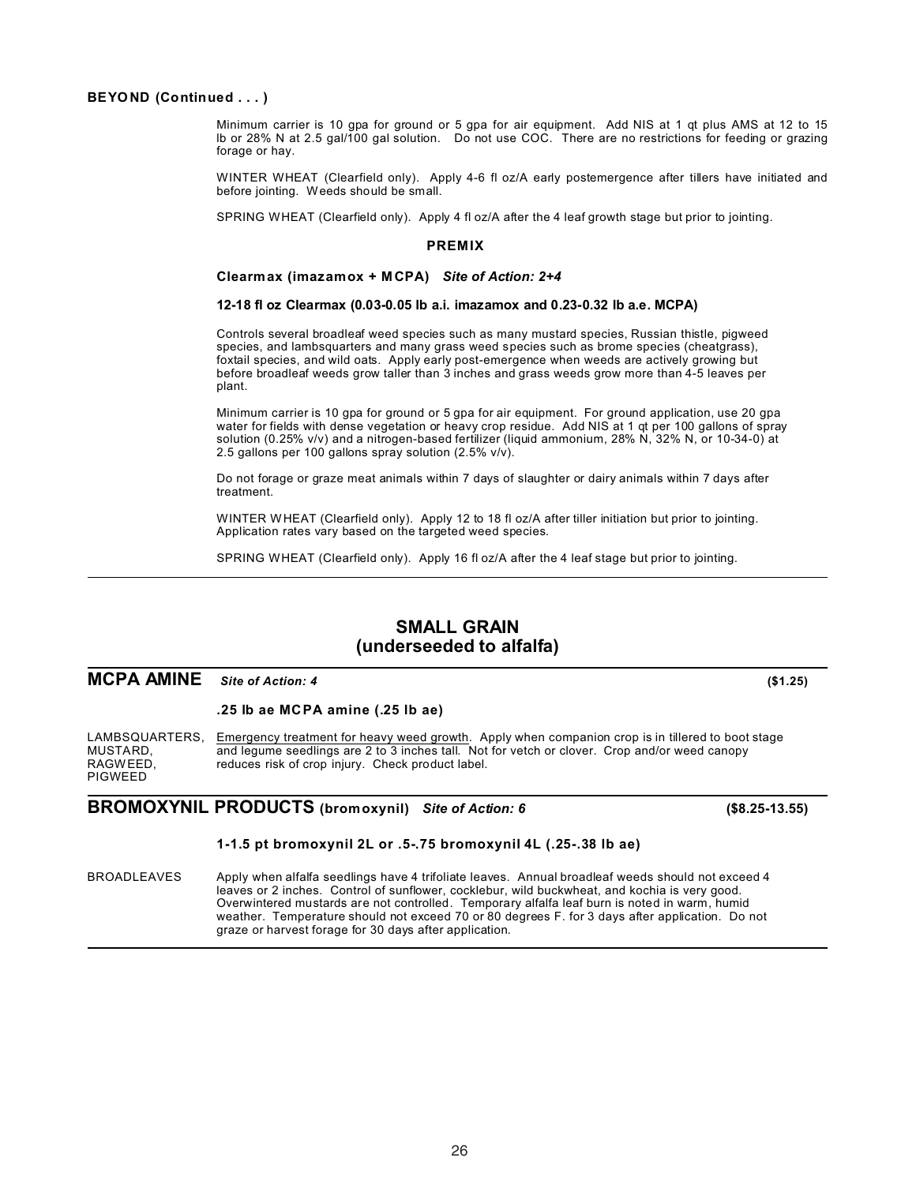### **BEYOND (Continued . . . )**

Minimum carrier is 10 gpa for ground or 5 gpa for air equipment. Add NIS at 1 qt plus AMS at 12 to 15 lb or 28% N at 2.5 gal/100 gal solution. Do not use COC. There are no restrictions for feeding or grazing forage or hay.

WINTER WHEAT (Clearfield only). Apply 4-6 fl oz/A early postemergence after tillers have initiated and before jointing. Weeds should be small.

SPRING WHEAT (Clearfield only). Apply 4 fl oz/A after the 4 leaf growth stage but prior to jointing.

#### **PREMIX**

**Clearmax (imazamox + M CPA)** *Site of Action: 2+4*

#### **12-18 fl oz Clearmax (0.03-0.05 lb a.i. imazamox and 0.23-0.32 lb a.e. MCPA)**

Controls several broadleaf weed species such as many mustard species, Russian thistle, pigweed species, and lambsquarters and many grass weed species such as brome species (cheatgrass), foxtail species, and wild oats. Apply early post-emergence when weeds are actively growing but before broadleaf weeds grow taller than 3 inches and grass weeds grow more than 4-5 leaves per plant.

Minimum carrier is 10 gpa for ground or 5 gpa for air equipment. For ground application, use 20 gpa water for fields with dense vegetation or heavy crop residue. Add NIS at 1 qt per 100 gallons of spray solution (0.25% v/v) and a nitrogen-based fertilizer (liquid ammonium, 28% N, 32% N, or 10-34-0) at 2.5 gallons per 100 gallons spray solution (2.5% v/v).

Do not forage or graze meat animals within 7 days of slaughter or dairy animals within 7 days after treatment.

WINTER WHEAT (Clearfield only). Apply 12 to 18 fl oz/A after tiller initiation but prior to jointing. Application rates vary based on the targeted weed species.

SPRING WHEAT (Clearfield only). Apply 16 fl oz/A after the 4 leaf stage but prior to jointing.

### **SMALL GRAIN (underseeded to alfalfa)**

### **MCPA AMINE** *Site of Action: <sup>4</sup>* **(\$1.25)**

#### **.25 lb ae MCPA amine (.25 lb ae)**

LAMBSQUARTERS, Emergency treatment for heavy weed growth. Apply when companion crop is in tillered to boot stage MUSTARD, and legume seedlings are 2 to 3 inches tall. Not for vetch or clover. Crop and/or weed canopy RAGWEED, reduces risk of crop injury. Check product label. PIGWEED

### **BROMOXYNIL PRODUCTS (bromoxynil)** *Site of Action: 6* **(\$8.25-13.55)**

#### **1-1.5 pt bromoxynil 2L or .5-.75 bromoxynil 4L (.25-.38 lb ae)**

BROADLEAVES Apply when alfalfa seedlings have 4 trifoliate leaves. Annual broadleaf weeds should not exceed 4 leaves or 2 inches. Control of sunflower, cocklebur, wild buckwheat, and kochia is very good. Overwintered mustards are not controlled. Temporary alfalfa leaf burn is noted in warm, humid weather. Temperature should not exceed 70 or 80 degrees F. for 3 days after application. Do not graze or harvest forage for 30 days after application.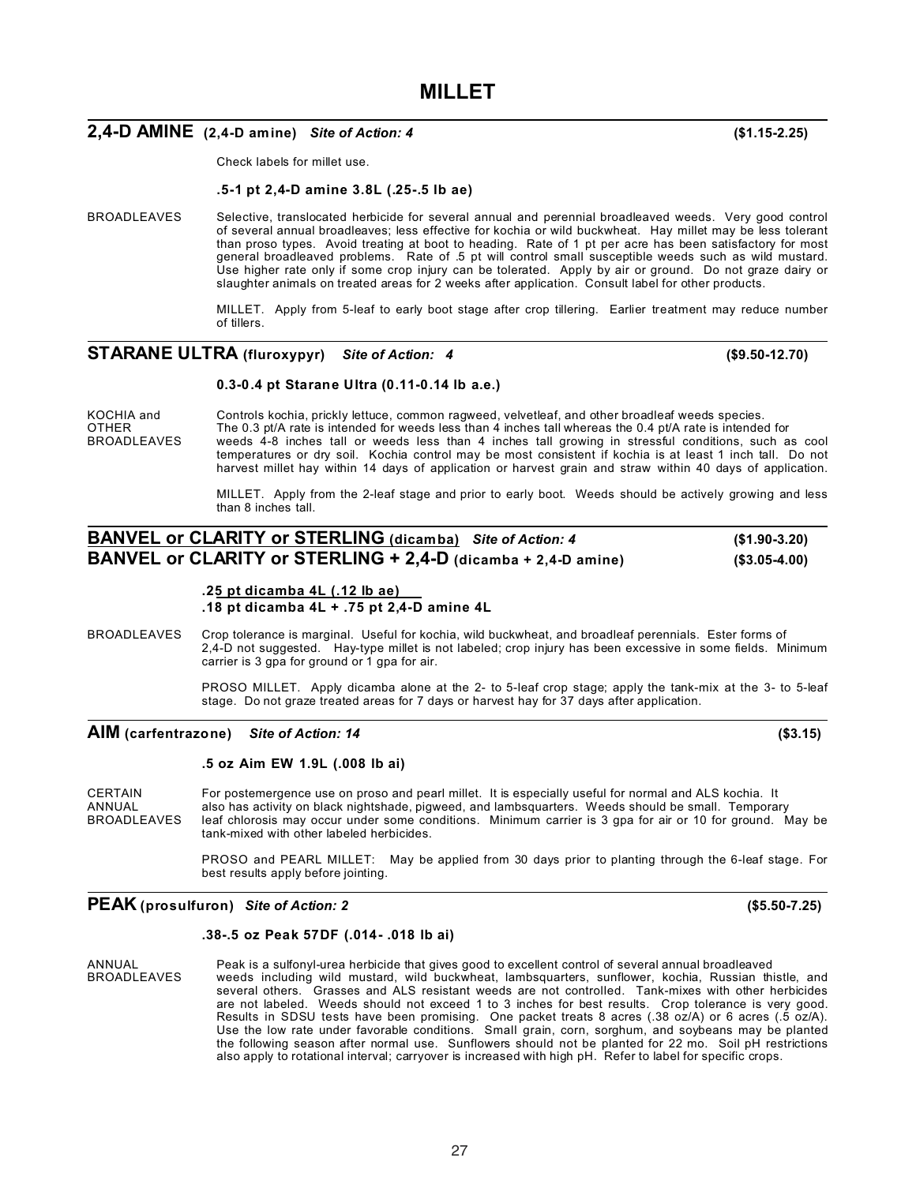27

**.18 pt dicamba 4L + .75 pt 2,4-D amine 4L**

BROADLEAVES Crop tolerance is marginal. Useful for kochia, wild buckwheat, and broadleaf perennials. Ester forms of 2,4-D not suggested. Hay-type millet is not labeled; crop injury has been excessive in some fields. Minimum carrier is 3 gpa for ground or 1 gpa for air.

> PROSO MILLET. Apply dicamba alone at the 2- to 5-leaf crop stage; apply the tank-mix at the 3- to 5-leaf stage. Do not graze treated areas for 7 days or harvest hay for 37 days after application.

### **AIM (carfentrazone)** *Site of Action: 14* **(\$3.15)**

#### **.5 oz Aim EW 1.9L (.008 lb ai)**

**.25 pt dicamba 4L (.12 lb ae)**

CERTAIN For postemergence use on proso and pearl millet. It is especially useful for normal and ALS kochia. It ANNUAL also has activity on black nightshade, pigweed, and lambsquarters. Weeds should be small. Temporary<br>BROADLEAVES leaf chlorosis may occur under some conditions. Minimum carrier is 3 gpa for air or 10 for ground. leaf chlorosis may occur under some conditions. Minimum carrier is 3 gpa for air or 10 for ground. May be tank-mixed with other labeled herbicides.

> PROSO and PEARL MILLET: May be applied from 30 days prior to planting through the 6-leaf stage. For best results apply before jointing.

### **PEAK (prosulfuron)** *Site of Action: 2* **(\$5.50-7.25)**

#### **.38-.5 oz Peak 57DF (.014- .018 lb ai)**

ANNUAL Peak is a sulfonyl-urea herbicide that gives good to excellent control of several annual broadleaved<br>BROADLEAVES weeds including wild mustard, wild buckwheat, lambsquarters, sunflower, kochia, Russian th weeds including wild mustard, wild buckwheat, lambsquarters, sunflower, kochia, Russian thistle, and several others. Grasses and ALS resistant weeds are not controlled. Tank-mixes with other herbicides are not labeled. Weeds should not exceed 1 to 3 inches for best results. Crop tolerance is very good. Results in SDSU tests have been promising. One packet treats 8 acres (.38 oz/A) or 6 acres (.5 oz/A). Use the low rate under favorable conditions. Small grain, corn, sorghum, and soybeans may be planted the following season after normal use. Sunflowers should not be planted for 22 mo. Soil pH restrictions also apply to rotational interval; carryover is increased with high pH. Refer to label for specific crops.

## **MILLET**

### **2,4-D AMINE (2,4-D amine)** *Site of Action: 4* **(\$1.15-2.25)**

Check labels for millet use.

#### **.5-1 pt 2,4-D amine 3.8L (.25-.5 lb ae)**

BROADLEAVES Selective, translocated herbicide for several annual and perennial broadleaved weeds. Very good control of several annual broadleaves; less effective for kochia or wild buckwheat. Hay millet may be less tolerant than proso types. Avoid treating at boot to heading. Rate of 1 pt per acre has been satisfactory for most general broadleaved problems. Rate of .5 pt will control small susceptible weeds such as wild mustard. Use higher rate only if some crop injury can be tolerated. Apply by air or ground. Do not graze dairy or slaughter animals on treated areas for 2 weeks after application. Consult label for other products.

> MILLET. Apply from 5-leaf to early boot stage after crop tillering. Earlier treatment may reduce number of tillers.

### **STARANE ULTRA (fluroxypyr)** *Site of Action: 4* **(\$9.50-12.70)**

### **0.3-0.4 pt Starane Ultra (0.11-0.14 lb a.e.)**

KOCHIA and Controls kochia, prickly lettuce, common ragweed, velvetleaf, and other broadleaf weeds species.<br>CTHER The 0.3 pt/A rate is intended for weeds less than 4 inches tall whereas the 0.4 pt/A rate is intended OTHER The 0.3 pt/A rate is intended for weeds less than 4 inches tall whereas the 0.4 pt/A rate is intended for<br>BROADLEAVES weeds 4-8 inches tall or weeds less than 4 inches tall growing in stressful conditions, such a weeds 4-8 inches tall or weeds less than 4 inches tall growing in stressful conditions, such as cool temperatures or dry soil. Kochia control may be most consistent if kochia is at least 1 inch tall. Do not harvest millet hay within 14 days of application or harvest grain and straw within 40 days of application.

> MILLET. Apply from the 2-leaf stage and prior to early boot. Weeds should be actively growing and less than 8 inches tall.

### **BANVEL or CLARITY or STERLING (dicamba)** *Site of Action: 4* **(\$1.90-3.20) BANVEL or CLARITY or STERLING + 2,4-D (dicamba + 2,4-D amine) (\$3.05-4.00)**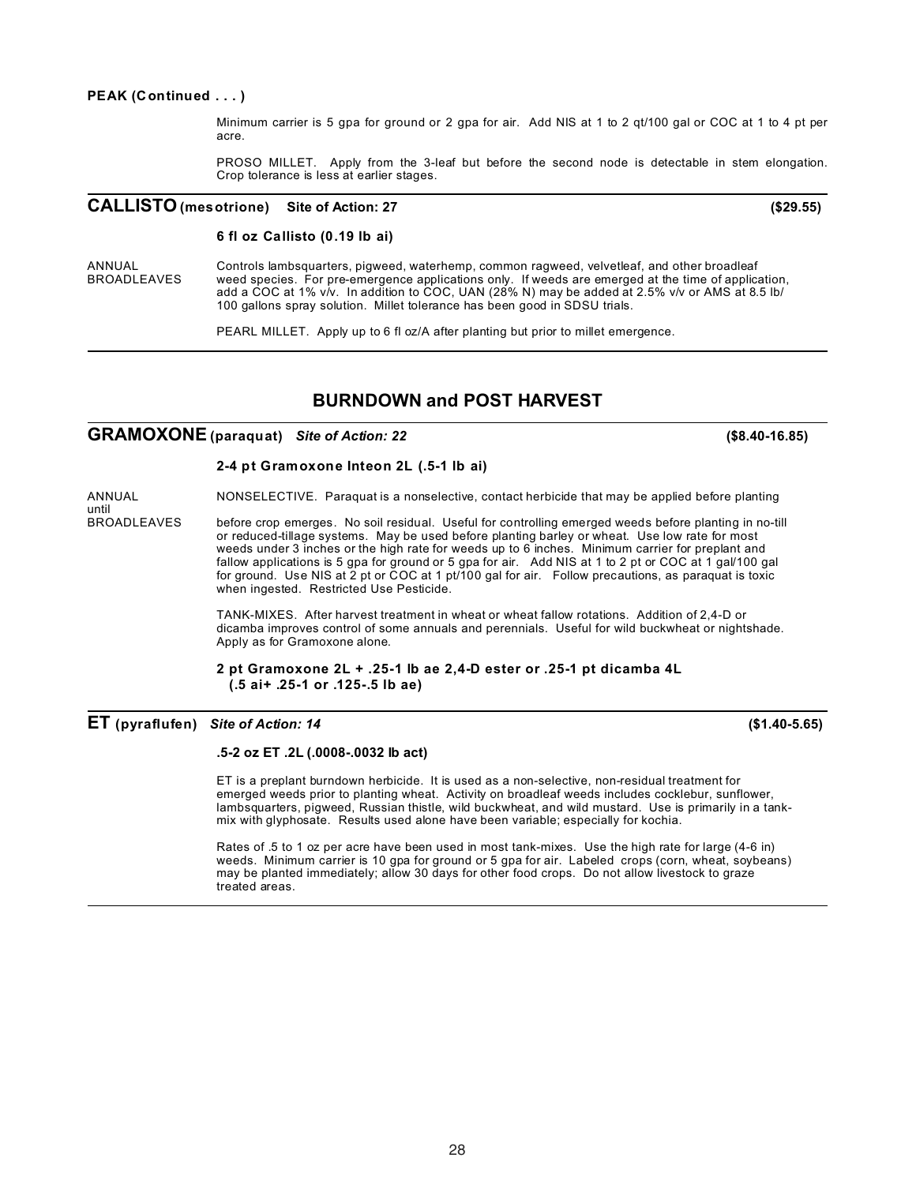#### **PEAK (Continued . . . )**

Minimum carrier is 5 gpa for ground or 2 gpa for air. Add NIS at 1 to 2 qt/100 gal or COC at 1 to 4 pt per acre.

PROSO MILLET. Apply from the 3-leaf but before the second node is detectable in stem elongation. Crop tolerance is less at earlier stages.

### **CALLISTO (mesotrione) Site of Action: 27 (\$29.55)**

### **6 fl oz Callisto (0.19 lb ai)**

ANNUAL Controls lambsquarters, pigweed, waterhemp, common ragweed, velvetleaf, and other broadleaf<br>BROADLEAVES weed species. For pre-emergence applications only. If weeds are emerged at the time of application weed species. For pre-emergence applications only. If weeds are emerged at the time of application, add a COC at 1% v/v. In addition to COC, UAN (28% N) may be added at 2.5% v/v or AMS at 8.5 lb/ 100 gallons spray solution. Millet tolerance has been good in SDSU trials.

PEARL MILLET. Apply up to 6 fl oz/A after planting but prior to millet emergence.

### **BURNDOWN and POST HARVEST**

### **GRAMOXONE (paraquat)** *Site of Action: 22* **(\$8.40-16.85)**

### **2-4 pt Gramoxone Inteon 2L (.5-1 lb ai)**

ANNUAL NONSELECTIVE. Paraquat is a nonselective, contact herbicide that may be applied before planting

until<br>BROADI FAVES before crop emerges. No soil residual. Useful for controlling emerged weeds before planting in no-till or reduced-tillage systems. May be used before planting barley or wheat. Use low rate for most weeds under 3 inches or the high rate for weeds up to 6 inches. Minimum carrier for preplant and fallow applications is 5 gpa for ground or 5 gpa for air. Add NIS at 1 to 2 pt or COC at 1 gal/100 gal for ground. Use NIS at 2 pt or COC at 1 pt/100 gal for air. Follow precautions, as paraquat is toxic when ingested. Restricted Use Pesticide.

> TANK-MIXES. After harvest treatment in wheat or wheat fallow rotations. Addition of 2,4-D or dicamba improves control of some annuals and perennials. Useful for wild buckwheat or nightshade. Apply as for Gramoxone alone.

**2 pt Gramoxone 2L + .25-1 lb ae 2,4-D ester or .25-1 pt dicamba 4L (.5 ai+ .25-1 or .125-.5 lb ae)**

**ET (pyraflufen)** *Site of Action: 14* **(\$1.40-5.65)**

#### **.5-2 oz ET .2L (.0008-.0032 lb act)**

ET is a preplant burndown herbicide. It is used as a non-selective, non-residual treatment for emerged weeds prior to planting wheat. Activity on broadleaf weeds includes cocklebur, sunflower, lambsquarters, pigweed, Russian thistle, wild buckwheat, and wild mustard. Use is primarily in a tankmix with glyphosate. Results used alone have been variable; especially for kochia.

Rates of .5 to 1 oz per acre have been used in most tank-mixes. Use the high rate for large (4-6 in) weeds. Minimum carrier is 10 gpa for ground or 5 gpa for air. Labeled crops (corn, wheat, soybeans) may be planted immediately; allow 30 days for other food crops. Do not allow livestock to graze treated areas.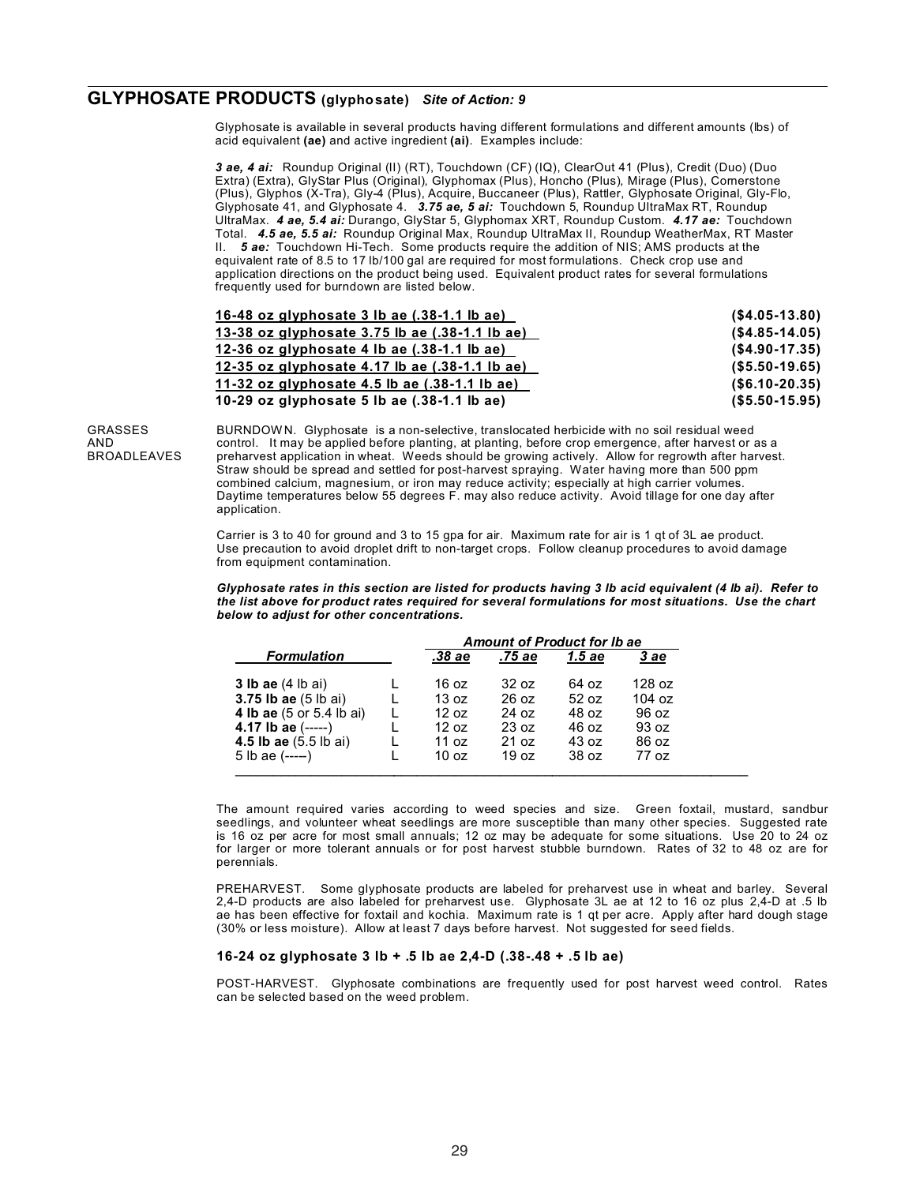### **GLYPHOSATE PRODUCTS (glyphosate)** *Site of Action: 9*

Glyphosate is available in several products having different formulations and different amounts (lbs) of acid equivalent **(ae)** and active ingredient **(ai)**. Examples include:

*3 ae, 4 ai:* Roundup Original (II) (RT), Touchdown (CF) (IQ), ClearOut 41 (Plus), Credit (Duo) (Duo Extra) (Extra), GlyStar Plus (Original), Glyphomax (Plus), Honcho (Plus), Mirage (Plus), Cornerstone (Plus), Glyphos (X-Tra), Gly-4 (Plus), Acquire, Buccaneer (Plus), Rattler, Glyphosate Original, Gly-Flo, Glyphosate 41, and Glyphosate 4. *3.75 ae, 5 ai:* Touchdown 5, Roundup UltraMax RT, Roundup UltraMax. *4 ae, 5.4 ai:* Durango, GlyStar 5, Glyphomax XRT, Roundup Custom. *4.17 ae:* Touchdown Total. *4.5 ae, 5.5 ai:* Roundup Original Max, Roundup UltraMax II, Roundup WeatherMax, RT Master II. *5 ae:* Touchdown Hi-Tech. Some products require the addition of NIS; AMS products at the equivalent rate of 8.5 to 17 lb/100 gal are required for most formulations. Check crop use and application directions on the product being used. Equivalent product rates for several formulations frequently used for burndown are listed below.

| 16-48 oz glyphosate $3$ lb ae $(.38-1.1$ lb ae)       | $($ \$4.05-13.80) |
|-------------------------------------------------------|-------------------|
| <u>13-38 oz glyphosate 3.75 lb ae (.38-1.1 lb ae)</u> | $($ \$4.85-14.05) |
| 12-36 oz glyphosate 4 lb ae $(.38-1.1$ lb ae)         | $($ \$4.90-17.35) |
| 12-35 oz glyphosate 4.17 lb ae $(.38-1.1$ lb ae)      | $($ \$5.50-19.65) |
| 11-32 oz glyphosate 4.5 lb ae $(.38-1.1$ lb ae)       | $($ \$6.10-20.35) |
| 10-29 oz glyphosate 5 lb ae $(.38-1.1$ lb ae)         | $($ \$5.50-15.95) |

GRASSES BURNDOWN. Glyphosate is a non-selective, translocated herbicide with no soil residual weed<br>AND control. It may be applied before planting, at planting, before crop emergence, after harvest or a AND control. It may be applied before planting, at planting, before crop emergence, after harvest or as a<br>BROADLEAVES preharvest application in wheat. Weeds should be growing actively. Allow for regrowth after harves preharvest application in wheat. Weeds should be growing actively. Allow for regrowth after harvest. Straw should be spread and settled for post-harvest spraying. Water having more than 500 ppm combined calcium, magnesium, or iron may reduce activity; especially at high carrier volumes. Daytime temperatures below 55 degrees F. may also reduce activity. Avoid tillage for one day after application.

> Carrier is 3 to 40 for ground and 3 to 15 gpa for air. Maximum rate for air is 1 qt of 3L ae product. Use precaution to avoid droplet drift to non-target crops. Follow cleanup procedures to avoid damage from equipment contamination.

Glyphosate rates in this section are listed for products having 3 lb acid equivalent (4 lb ai). Refer to *the list above for product rates required for several formulations for most situations. Use the chart below to adjust for other concentrations.*

|                                 | <b>Amount of Product for Ib ae</b> |                  |        |        |
|---------------------------------|------------------------------------|------------------|--------|--------|
| <b>Formulation</b>              | .38 ae                             | .75 ae           | 1.5 ae | 3 ae   |
| <b>3 lb ae</b> (4 lb ai)        | 16 oz                              | 32 oz            | 64 oz  | 128 oz |
| <b>3.75 lb ae</b> (5 lb ai)     | 13 oz                              | $26 \text{ oz}$  | 52 oz  | 104 oz |
| <b>4 lb ae</b> (5 or 5.4 lb ai) | 12 oz                              | 24 oz            | 48 oz  | 96 oz  |
| 4.17 lb ae $(---)$              | 12 oz                              | 23 oz            | 46 oz  | 93 oz  |
| <b>4.5 lb ae</b> (5.5 lb ai)    | 11 $oz$                            | 21 oz            | 43 oz  | 86 oz  |
| 5 lb ae $(---)$                 | 10 oz                              | 19 <sub>oz</sub> | 38 oz  | 77 oz  |
|                                 |                                    |                  |        |        |

The amount required varies according to weed species and size. Green foxtail, mustard, sandbur seedlings, and volunteer wheat seedlings are more susceptible than many other species. Suggested rate is 16 oz per acre for most small annuals; 12 oz may be adequate for some situations. Use 20 to 24 oz for larger or more tolerant annuals or for post harvest stubble burndown. Rates of 32 to 48 oz are for perennials.

PREHARVEST. Some glyphosate products are labeled for preharvest use in wheat and barley. Several 2,4-D products are also labeled for preharvest use. Glyphosate 3L ae at 12 to 16 oz plus 2,4-D at .5 lb ae has been effective for foxtail and kochia. Maximum rate is 1 qt per acre. Apply after hard dough stage (30% or less moisture). Allow at least 7 days before harvest. Not suggested for seed fields.

#### **16-24 oz glyphosate 3 lb + .5 lb ae 2,4-D (.38-.48 + .5 lb ae)**

POST-HARVEST. Glyphosate combinations are frequently used for post harvest weed control. Rates can be selected based on the weed problem.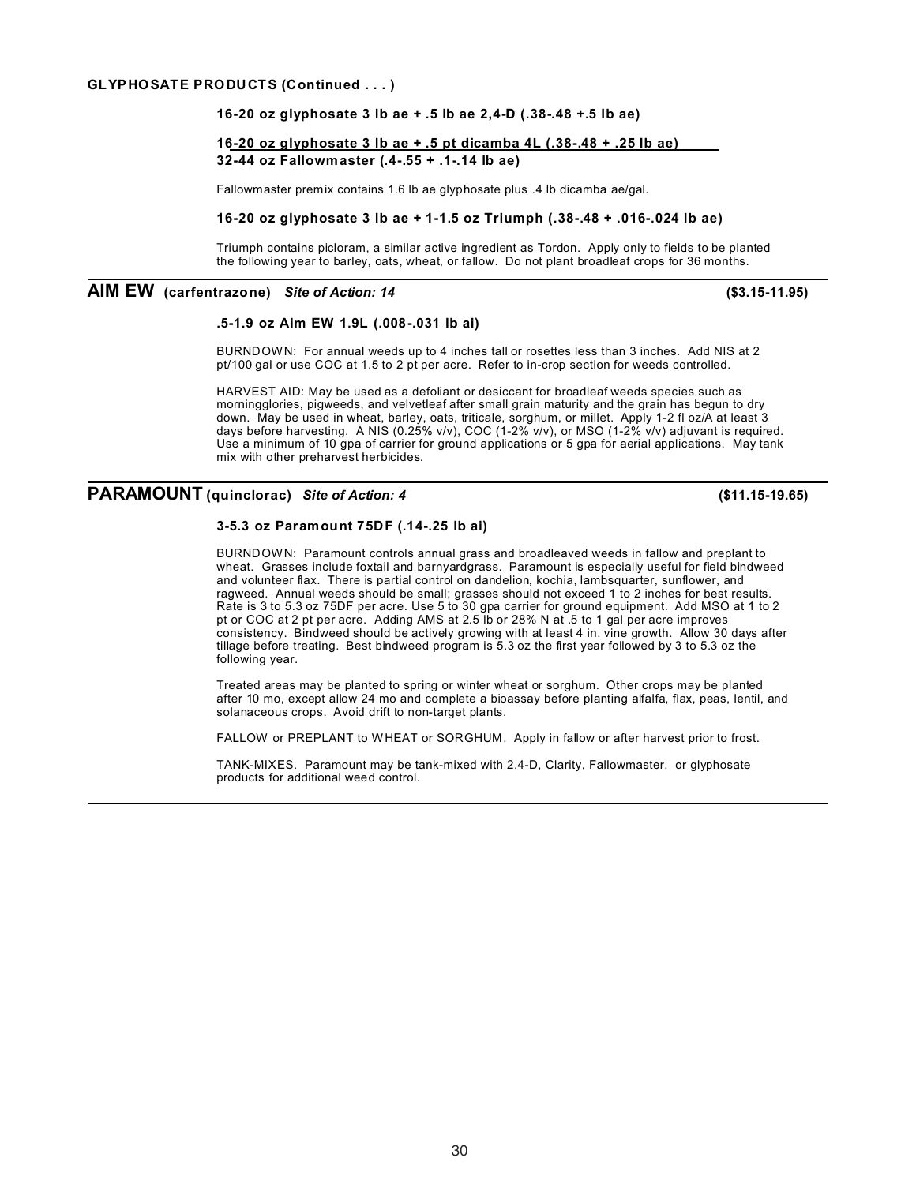#### **GLYPHOSATE PRODUCTS (Continued . . . )**

### **16-20 oz glyphosate 3 lb ae + .5 lb ae 2,4-D (.38-.48 +.5 lb ae)**

### **16-20 oz glyphosate 3 lb ae + .5 pt dicamba 4L (.38-.48 + .25 lb ae) 32-44 oz Fallowmaster (.4-.55 + .1-.14 lb ae)**

Fallowmaster premix contains 1.6 lb ae glyphosate plus .4 lb dicamba ae/gal.

#### **16-20 oz glyphosate 3 lb ae + 1-1.5 oz Triumph (.38-.48 + .016-.024 lb ae)**

Triumph contains picloram, a similar active ingredient as Tordon. Apply only to fields to be planted the following year to barley, oats, wheat, or fallow. Do not plant broadleaf crops for 36 months.

### **AIM EW (carfentrazone)** *Site of Action: 14* **(\$3.15-11.95)**

#### **.5-1.9 oz Aim EW 1.9L (.008-.031 lb ai)**

BURNDOWN: For annual weeds up to 4 inches tall or rosettes less than 3 inches. Add NIS at 2 pt/100 gal or use COC at 1.5 to 2 pt per acre. Refer to in-crop section for weeds controlled.

HARVEST AID: May be used as a defoliant or desiccant for broadleaf weeds species such as morningglories, pigweeds, and velvetleaf after small grain maturity and the grain has begun to dry down. May be used in wheat, barley, oats, triticale, sorghum, or millet. Apply 1-2 fl oz/A at least 3 days before harvesting. A NIS (0.25% v/v), COC (1-2% v/v), or MSO (1-2% v/v) adjuvant is required. Use a minimum of 10 gpa of carrier for ground applications or 5 gpa for aerial applications. May tank mix with other preharvest herbicides.

### **PARAMOUNT (quinclorac)** *Site of Action: 4* **(\$11.15-19.65)**

### **3-5.3 oz Paramount 75DF (.14-.25 lb ai)**

BURNDOWN: Paramount controls annual grass and broadleaved weeds in fallow and preplant to wheat. Grasses include foxtail and barnyardgrass. Paramount is especially useful for field bindweed and volunteer flax. There is partial control on dandelion, kochia, lambsquarter, sunflower, and ragweed. Annual weeds should be small; grasses should not exceed 1 to 2 inches for best results. Rate is 3 to 5.3 oz 75DF per acre. Use 5 to 30 gpa carrier for ground equipment. Add MSO at 1 to 2 pt or COC at 2 pt per acre. Adding AMS at 2.5 lb or 28% N at .5 to 1 gal per acre improves consistency. Bindweed should be actively growing with at least 4 in. vine growth. Allow 30 days after tillage before treating. Best bindweed program is 5.3 oz the first year followed by 3 to 5.3 oz the following year.

Treated areas may be planted to spring or winter wheat or sorghum. Other crops may be planted after 10 mo, except allow 24 mo and complete a bioassay before planting alfalfa, flax, peas, lentil, and solanaceous crops. Avoid drift to non-target plants.

FALLOW or PREPLANT to WHEAT or SORGHUM. Apply in fallow or after harvest prior to frost.

TANK-MIXES. Paramount may be tank-mixed with 2,4-D, Clarity, Fallowmaster, or glyphosate products for additional weed control.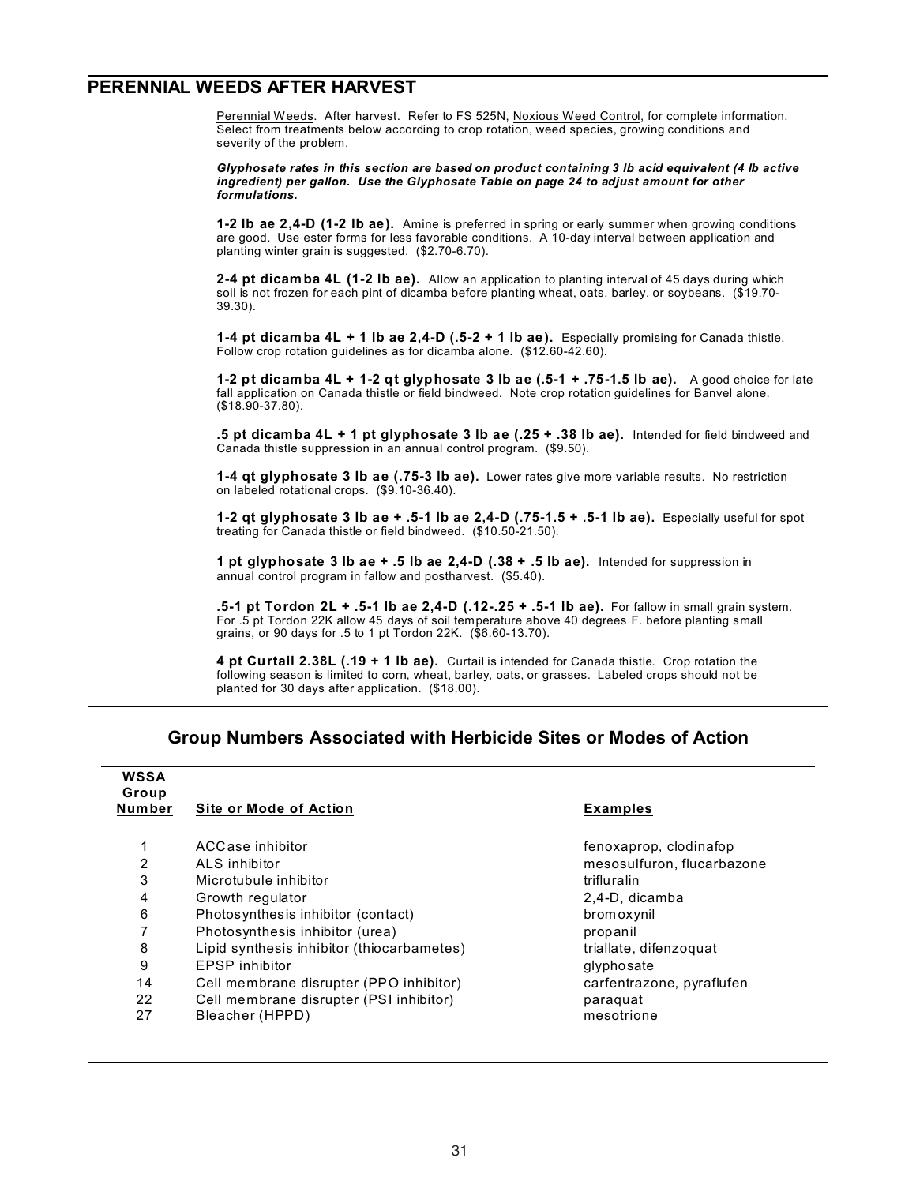### **PERENNIAL WEEDS AFTER HARVEST**

Perennial Weeds. After harvest. Refer to FS 525N, Noxious Weed Control, for complete information. Select from treatments below according to crop rotation, weed species, growing conditions and severity of the problem.

*Glyphosate rates in this section are based on product containing 3 lb acid equivalent (4 lb active ingredient) per gallon. Use the Glyphosate Table on page 24 to adjust amount for other formulations.*

**1-2 lb ae 2,4-D (1-2 lb ae).** Amine is preferred in spring or early summer when growing conditions are good. Use ester forms for less favorable conditions. A 10-day interval between application and planting winter grain is suggested. (\$2.70-6.70).

**2-4 pt dicamba 4L (1-2 lb ae).** Allow an application to planting interval of 45 days during which soil is not frozen for each pint of dicamba before planting wheat, oats, barley, or soybeans. (\$19.70- 39.30).

**1-4 pt dicamba 4L + 1 lb ae 2,4-D (.5-2 + 1 lb ae).** Especially promising for Canada thistle. Follow crop rotation guidelines as for dicamba alone. (\$12.60-42.60).

**1-2 pt dicamba 4L + 1-2 qt glyphosate 3 lb ae (.5-1 + .75-1.5 lb ae).** A good choice for late fall application on Canada thistle or field bindweed. Note crop rotation guidelines for Banvel alone. (\$18.90-37.80).

**.5 pt dicamba 4L + 1 pt glyphosate 3 lb ae (.25 + .38 lb ae).** Intended for field bindweed and Canada thistle suppression in an annual control program. (\$9.50).

**1-4 qt glyphosate 3 lb ae (.75-3 lb ae).** Lower rates give more variable results. No restriction on labeled rotational crops. (\$9.10-36.40).

**1-2 qt glyphosate 3 lb ae + .5-1 lb ae 2,4-D (.75-1.5 + .5-1 lb ae).** Especially useful for spot treating for Canada thistle or field bindweed. (\$10.50-21.50).

**1 pt glyphosate 3 lb ae + .5 lb ae 2,4-D (.38 + .5 lb ae).** Intended for suppression in annual control program in fallow and postharvest. (\$5.40).

**.5-1 pt Tordon 2L + .5-1 lb ae 2,4-D (.12-.25 + .5-1 lb ae).** For fallow in small grain system. For .5 pt Tordon 22K allow 45 days of soil temperature above 40 degrees F. before planting small grains, or 90 days for .5 to 1 pt Tordon 22K. (\$6.60-13.70).

**4 pt Curtail 2.38L (.19 + 1 lb ae).** Curtail is intended for Canada thistle. Crop rotation the following season is limited to corn, wheat, barley, oats, or grasses. Labeled crops should not be planted for 30 days after application. (\$18.00).

### **Group Numbers Associated with Herbicide Sites or Modes of Action**

| <b>WSSA</b><br>Group |                                            |                            |  |  |  |  |
|----------------------|--------------------------------------------|----------------------------|--|--|--|--|
| <b>Number</b>        | <b>Site or Mode of Action</b>              | <b>Examples</b>            |  |  |  |  |
|                      | ACCase inhibitor                           | fenoxaprop, clodinafop     |  |  |  |  |
| 2                    | ALS inhibitor                              | mesosulfuron, flucarbazone |  |  |  |  |
| 3                    | Microtubule inhibitor                      | trifluralin                |  |  |  |  |
| 4                    | Growth regulator                           | 2,4-D, dicamba             |  |  |  |  |
| 6                    | Photosynthesis inhibitor (contact)         | brom ox ynil               |  |  |  |  |
|                      | Photosynthesis inhibitor (urea)            | propanil                   |  |  |  |  |
| 8                    | Lipid synthesis inhibitor (thiocarbametes) | triallate, difenzoquat     |  |  |  |  |
| 9                    | <b>EPSP</b> inhibitor                      | glyphosate                 |  |  |  |  |
| 14                   | Cell membrane disrupter (PPO inhibitor)    | carfentrazone, pyraflufen  |  |  |  |  |
| 22                   | Cell membrane disrupter (PSI inhibitor)    | paraquat                   |  |  |  |  |
| 27                   | Bleacher (HPPD)                            | mesotrione                 |  |  |  |  |
|                      |                                            |                            |  |  |  |  |